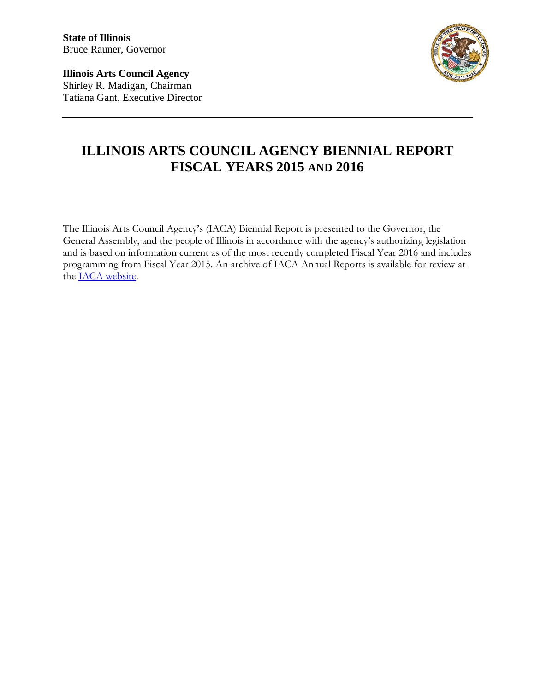**State of Illinois** Bruce Rauner, Governor

**Illinois Arts Council Agency** Shirley R. Madigan, Chairman Tatiana Gant, Executive Director



# **ILLINOIS ARTS COUNCIL AGENCY BIENNIAL REPORT FISCAL YEARS 2015 AND 2016**

The Illinois Arts Council Agency's (IACA) Biennial Report is presented to the Governor, the General Assembly, and the people of Illinois in accordance with the agency's authorizing legislation and is based on information current as of the most recently completed Fiscal Year 2016 and includes programming from Fiscal Year 2015. An archive of IACA Annual Reports is available for review at the [IACA website.](http://www.arts.illinois.gov/annual-report)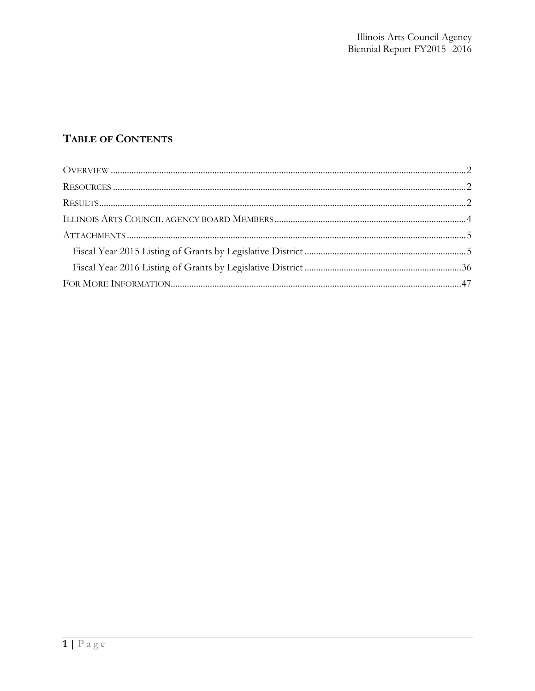# TABLE OF CONTENTS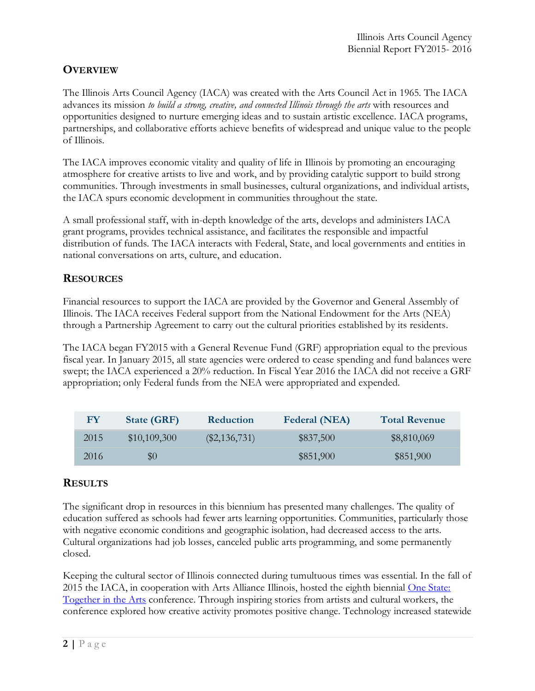# <span id="page-2-0"></span>**OVERVIEW**

The Illinois Arts Council Agency (IACA) was created with the Arts Council Act in 1965. The IACA advances its mission *to build a strong, creative, and connected Illinois through the arts* with resources and opportunities designed to nurture emerging ideas and to sustain artistic excellence. IACA programs, partnerships, and collaborative efforts achieve benefits of widespread and unique value to the people of Illinois.

The IACA improves economic vitality and quality of life in Illinois by promoting an encouraging atmosphere for creative artists to live and work, and by providing catalytic support to build strong communities. Through investments in small businesses, cultural organizations, and individual artists, the IACA spurs economic development in communities throughout the state.

A small professional staff, with in-depth knowledge of the arts, develops and administers IACA grant programs, provides technical assistance, and facilitates the responsible and impactful distribution of funds. The IACA interacts with Federal, State, and local governments and entities in national conversations on arts, culture, and education.

# <span id="page-2-1"></span>**RESOURCES**

Financial resources to support the IACA are provided by the Governor and General Assembly of Illinois. The IACA receives Federal support from the National Endowment for the Arts (NEA) through a Partnership Agreement to carry out the cultural priorities established by its residents.

The IACA began FY2015 with a General Revenue Fund (GRF) appropriation equal to the previous fiscal year. In January 2015, all state agencies were ordered to cease spending and fund balances were swept; the IACA experienced a 20% reduction. In Fiscal Year 2016 the IACA did not receive a GRF appropriation; only Federal funds from the NEA were appropriated and expended.

| FY   | <b>State (GRF)</b> | <b>Reduction</b> | <b>Federal (NEA)</b> | <b>Total Revenue</b> |
|------|--------------------|------------------|----------------------|----------------------|
| 2015 | \$10,109,300       | $(\$2,136,731)$  | \$837,500            | \$8,810,069          |
| 2016 | \$O                |                  | \$851,900            | \$851,900            |

# <span id="page-2-2"></span>**RESULTS**

The significant drop in resources in this biennium has presented many challenges. The quality of education suffered as schools had fewer arts learning opportunities. Communities, particularly those with negative economic conditions and geographic isolation, had decreased access to the arts. Cultural organizations had job losses, canceled public arts programming, and some permanently closed.

Keeping the cultural sector of Illinois connected during tumultuous times was essential. In the fall of 2015 the IACA, in cooperation with Arts Alliance Illinois, hosted the eighth biennial [One State:](http://onestateillinois.com/about/)  [Together in the Arts](http://onestateillinois.com/about/) conference. Through inspiring stories from artists and cultural workers, the conference explored how creative activity promotes positive change. Technology increased statewide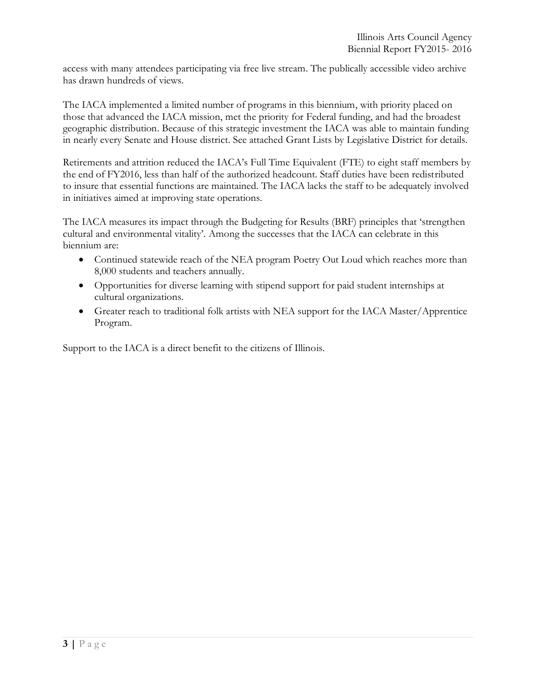access with many attendees participating via free live stream. The publically accessible video archive has drawn hundreds of views.

The IACA implemented a limited number of programs in this biennium, with priority placed on those that advanced the IACA mission, met the priority for Federal funding, and had the broadest geographic distribution. Because of this strategic investment the IACA was able to maintain funding in nearly every Senate and House district. See attached Grant Lists by Legislative District for details.

Retirements and attrition reduced the IACA's Full Time Equivalent (FTE) to eight staff members by the end of FY2016, less than half of the authorized headcount. Staff duties have been redistributed to insure that essential functions are maintained. The IACA lacks the staff to be adequately involved in initiatives aimed at improving state operations.

The IACA measures its impact through the Budgeting for Results (BRF) principles that 'strengthen cultural and environmental vitality'. Among the successes that the IACA can celebrate in this biennium are:

- Continued statewide reach of the NEA program Poetry Out Loud which reaches more than 8,000 students and teachers annually.
- Opportunities for diverse learning with stipend support for paid student internships at cultural organizations.
- Greater reach to traditional folk artists with NEA support for the IACA Master/Apprentice Program.

Support to the IACA is a direct benefit to the citizens of Illinois.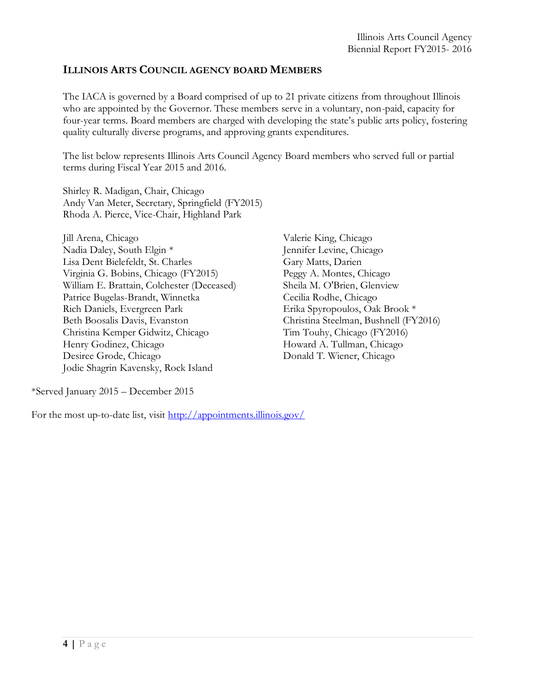# <span id="page-4-0"></span>**ILLINOIS ARTS COUNCIL AGENCY BOARD MEMBERS**

The IACA is governed by a Board comprised of up to 21 private citizens from throughout Illinois who are appointed by the Governor. These members serve in a voluntary, non-paid, capacity for four-year terms. Board members are charged with developing the state's public arts policy, fostering quality culturally diverse programs, and approving grants expenditures.

The list below represents Illinois Arts Council Agency Board members who served full or partial terms during Fiscal Year 2015 and 2016.

Shirley R. Madigan, Chair, Chicago Andy Van Meter, Secretary, Springfield (FY2015) Rhoda A. Pierce, Vice-Chair, Highland Park

Jill Arena, Chicago Nadia Daley, South Elgin \* Lisa Dent Bielefeldt, St. Charles Virginia G. Bobins, Chicago (FY2015) William E. Brattain, Colchester (Deceased) Patrice Bugelas-Brandt, Winnetka Rich Daniels, Evergreen Park Beth Boosalis Davis, Evanston Christina Kemper Gidwitz, Chicago Henry Godinez, Chicago Desiree Grode, Chicago Jodie Shagrin Kavensky, Rock Island

Valerie King, Chicago Jennifer Levine, Chicago Gary Matts, Darien Peggy A. Montes, Chicago Sheila M. O'Brien, Glenview Cecilia Rodhe, Chicago Erika Spyropoulos, Oak Brook \* Christina Steelman, Bushnell (FY2016) Tim Touhy, Chicago (FY2016) Howard A. Tullman, Chicago Donald T. Wiener, Chicago

\*Served January 2015 – December 2015

For the most up-to-date list, visit<http://appointments.illinois.gov/>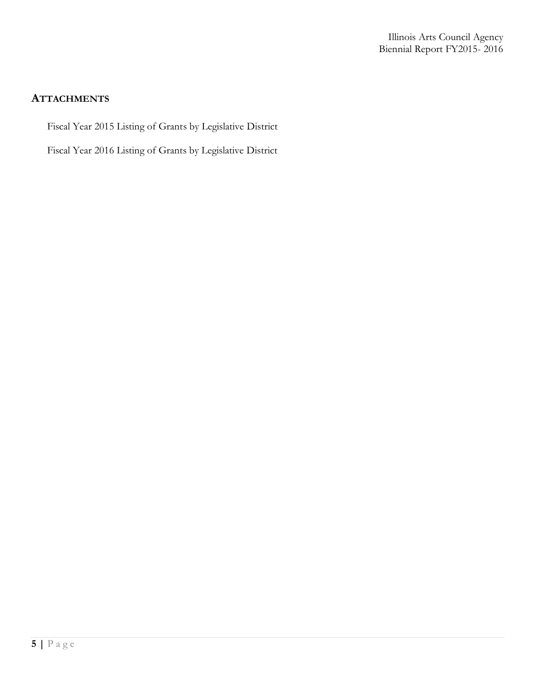# <span id="page-5-0"></span>**ATTACHMENTS**

<span id="page-5-1"></span>Fiscal Year 2015 Listing of Grants by Legislative District

Fiscal Year 2016 Listing of Grants by Legislative District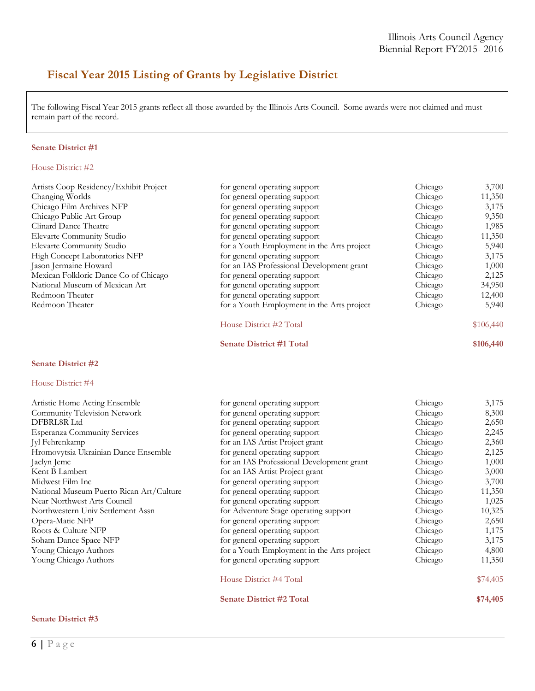# **Fiscal Year 2015 Listing of Grants by Legislative District**

The following Fiscal Year 2015 grants reflect all those awarded by the Illinois Arts Council. Some awards were not claimed and must remain part of the record.

#### **Senate District #1**

#### House District #2

| Artists Coop Residency/Exhibit Project | for general operating support              | Chicago | 3,700     |
|----------------------------------------|--------------------------------------------|---------|-----------|
| Changing Worlds                        | for general operating support              | Chicago | 11,350    |
| Chicago Film Archives NFP              | for general operating support              | Chicago | 3,175     |
| Chicago Public Art Group               | for general operating support              | Chicago | 9,350     |
| Clinard Dance Theatre                  | for general operating support              | Chicago | 1,985     |
| Elevarte Community Studio              | for general operating support              | Chicago | 11,350    |
| Elevarte Community Studio              | for a Youth Employment in the Arts project | Chicago | 5,940     |
| High Concept Laboratories NFP          | for general operating support              | Chicago | 3,175     |
| Jason Jermaine Howard                  | for an IAS Professional Development grant  | Chicago | 1,000     |
| Mexican Folkloric Dance Co of Chicago  | for general operating support              | Chicago | 2,125     |
| National Museum of Mexican Art         | for general operating support              | Chicago | 34,950    |
| Redmoon Theater                        | for general operating support              | Chicago | 12,400    |
| Redmoon Theater                        | for a Youth Employment in the Arts project | Chicago | 5,940     |
|                                        | House District #2 Total                    |         | \$106,440 |

#### **Senate District #2**

#### House District #4

| Artistic Home Acting Ensemble            | for general operating support              | Chicago | 3,175  |
|------------------------------------------|--------------------------------------------|---------|--------|
| Community Television Network             | for general operating support              | Chicago | 8,300  |
| DFBRL8R Ltd                              | for general operating support              | Chicago | 2,650  |
| <b>Esperanza Community Services</b>      | for general operating support              | Chicago | 2,245  |
| Jyl Fehrenkamp                           | for an IAS Artist Project grant            | Chicago | 2,360  |
| Hromovytsia Ukrainian Dance Ensemble     | for general operating support              | Chicago | 2,125  |
| Jaclyn Jemc                              | for an IAS Professional Development grant  | Chicago | 1,000  |
| Kent B Lambert                           | for an IAS Artist Project grant            | Chicago | 3,000  |
| Midwest Film Inc                         | for general operating support              | Chicago | 3,700  |
| National Museum Puerto Rican Art/Culture | for general operating support              | Chicago | 11,350 |
| Near Northwest Arts Council              | for general operating support              | Chicago | 1,025  |
| Northwestern Univ Settlement Assn        | for Adventure Stage operating support      | Chicago | 10,325 |
| Opera-Matic NFP                          | for general operating support              | Chicago | 2,650  |
| Roots & Culture NFP                      | for general operating support              | Chicago | 1,175  |
| Soham Dance Space NFP                    | for general operating support              | Chicago | 3,175  |
| Young Chicago Authors                    | for a Youth Employment in the Arts project | Chicago | 4,800  |
| Young Chicago Authors                    | for general operating support              | Chicago | 11,350 |

# House District #4 Total \$74,405

**Senate District #1 Total \$106,440** 

### **Senate District #2 Total \$74,405**

### **Senate District #3**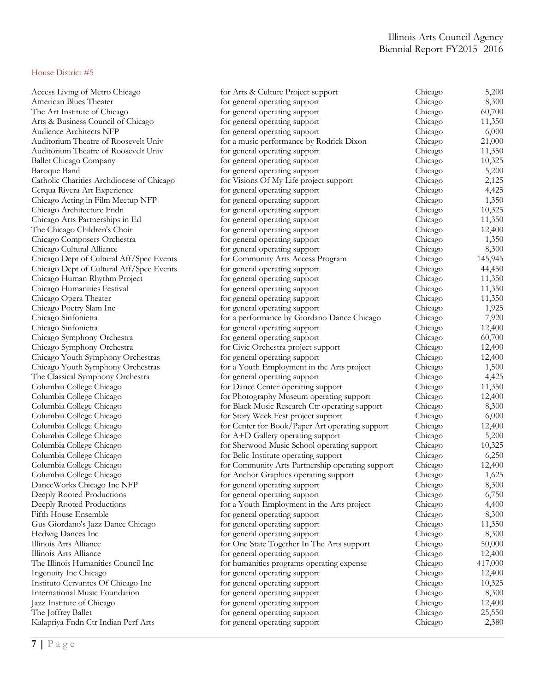| Access Living of Metro Chicago            | for Arts & Culture Project support               | Chicago | 5,200            |
|-------------------------------------------|--------------------------------------------------|---------|------------------|
| American Blues Theater                    | for general operating support                    | Chicago | 8,300            |
| The Art Institute of Chicago              | for general operating support                    | Chicago | 60,700           |
| Arts & Business Council of Chicago        | for general operating support                    | Chicago | 11,350           |
| Audience Architects NFP                   | for general operating support                    | Chicago | 6,000            |
| Auditorium Theatre of Roosevelt Univ      | for a music performance by Rodrick Dixon         | Chicago | 21,000           |
| Auditorium Theatre of Roosevelt Univ      | for general operating support                    | Chicago | 11,350           |
| <b>Ballet Chicago Company</b>             | for general operating support                    | Chicago | 10,325           |
| <b>Baroque Band</b>                       | for general operating support                    | Chicago | 5,200            |
| Catholic Charities Archdiocese of Chicago | for Visions Of My Life project support           | Chicago | 2,125            |
| Cerqua Rivera Art Experience              | for general operating support                    | Chicago | 4,425            |
| Chicago Acting in Film Meetup NFP         | for general operating support                    | Chicago | 1,350            |
| Chicago Architecture Fndn                 | for general operating support                    | Chicago | 10,325           |
| Chicago Arts Partnerships in Ed           | for general operating support                    | Chicago | 11,350           |
| The Chicago Children's Choir              | for general operating support                    | Chicago | 12,400           |
| Chicago Composers Orchestra               | for general operating support                    | Chicago | 1,350            |
| Chicago Cultural Alliance                 | for general operating support                    | Chicago | 8,300            |
| Chicago Dept of Cultural Aff/Spec Events  | for Community Arts Access Program                | Chicago | 145,945          |
| Chicago Dept of Cultural Aff/Spec Events  | for general operating support                    | Chicago | 44,450           |
| Chicago Human Rhythm Project              | for general operating support                    | Chicago | 11,350           |
| Chicago Humanities Festival               | for general operating support                    | Chicago | 11,350           |
| Chicago Opera Theater                     | for general operating support                    | Chicago | 11,350           |
| Chicago Poetry Slam Inc                   | for general operating support                    | Chicago | 1,925            |
| Chicago Sinfonietta                       | for a performance by Giordano Dance Chicago      | Chicago | 7,920            |
| Chicago Sinfonietta                       | for general operating support                    | Chicago | 12,400           |
| Chicago Symphony Orchestra                | for general operating support                    | Chicago | 60,700           |
| Chicago Symphony Orchestra                | for Civic Orchestra project support              | Chicago | 12,400           |
| Chicago Youth Symphony Orchestras         | for general operating support                    | Chicago | 12,400           |
| Chicago Youth Symphony Orchestras         | for a Youth Employment in the Arts project       | Chicago | 1,500            |
| The Classical Symphony Orchestra          | for general operating support                    | Chicago | 4,425            |
| Columbia College Chicago                  | for Dance Center operating support               | Chicago | 11,350           |
| Columbia College Chicago                  | for Photography Museum operating support         | Chicago | 12,400           |
| Columbia College Chicago                  | for Black Music Research Ctr operating support   | Chicago | 8,300            |
| Columbia College Chicago                  | for Story Week Fest project support              | Chicago | 6,000            |
| Columbia College Chicago                  | for Center for Book/Paper Art operating support  | Chicago | 12,400           |
| Columbia College Chicago                  | for A+D Gallery operating support                | Chicago | 5,200            |
| Columbia College Chicago                  | for Sherwood Music School operating support      | Chicago | 10,325           |
| Columbia College Chicago                  | for Belic Institute operating support            | Chicago | 6,250            |
| Columbia College Chicago                  | for Community Arts Partnership operating support | Chicago | 12,400           |
| Columbia College Chicago                  | for Anchor Graphics operating support            | Chicago | 1,625            |
| DanceWorks Chicago Inc NFP                | for general operating support                    | Chicago | 8,300            |
| Deeply Rooted Productions                 | for general operating support                    | Chicago | 6,750            |
| Deeply Rooted Productions                 | for a Youth Employment in the Arts project       | Chicago | 4,400            |
| Fifth House Ensemble                      | for general operating support                    | Chicago | 8,300            |
| Gus Giordano's Jazz Dance Chicago         | for general operating support                    | Chicago | 11,350           |
| Hedwig Dances Inc                         | for general operating support                    | Chicago | 8,300            |
| Illinois Arts Alliance                    | for One State Together In The Arts support       | Chicago | 50,000           |
| Illinois Arts Alliance                    | for general operating support                    | Chicago | 12,400           |
| The Illinois Humanities Council Inc       | for humanities programs operating expense        | Chicago | 417,000          |
| Ingenuity Inc Chicago                     | for general operating support                    | Chicago |                  |
| Instituto Cervantes Of Chicago Inc        | for general operating support                    | Chicago | 12,400<br>10,325 |
| International Music Foundation            | for general operating support                    | Chicago | 8,300            |
| Jazz Institute of Chicago                 | for general operating support                    | Chicago |                  |
| The Joffrey Ballet                        | for general operating support                    | Chicago | 12,400<br>25,550 |
| Kalapriya Fndn Ctr Indian Perf Arts       | for general operating support                    | Chicago | 2,380            |
|                                           |                                                  |         |                  |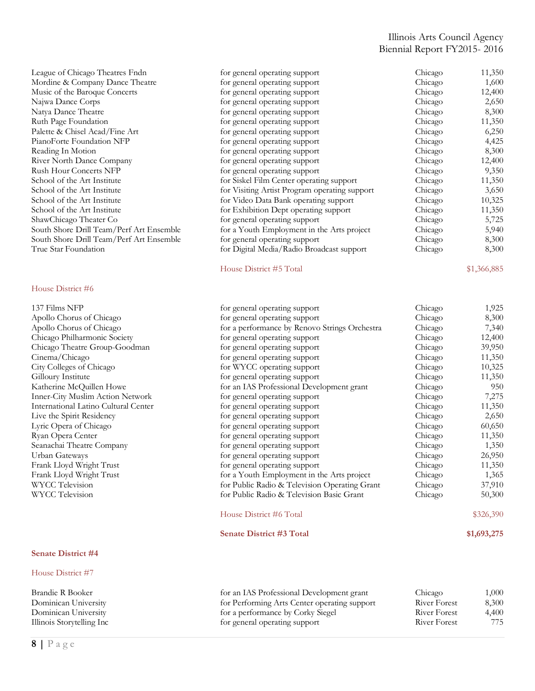| League of Chicago Theatres Fndn          | for general operating support                 | Chicago | 11,350 |
|------------------------------------------|-----------------------------------------------|---------|--------|
| Mordine & Company Dance Theatre          | for general operating support                 | Chicago | 1,600  |
| Music of the Baroque Concerts            | for general operating support                 | Chicago | 12,400 |
| Najwa Dance Corps                        | for general operating support                 | Chicago | 2,650  |
| Natya Dance Theatre                      | for general operating support                 | Chicago | 8,300  |
| Ruth Page Foundation                     | for general operating support                 | Chicago | 11,350 |
| Palette & Chisel Acad/Fine Art           | for general operating support                 | Chicago | 6,250  |
| PianoForte Foundation NFP                | for general operating support                 | Chicago | 4,425  |
| Reading In Motion                        | for general operating support                 | Chicago | 8,300  |
| River North Dance Company                | for general operating support                 | Chicago | 12,400 |
| <b>Rush Hour Concerts NFP</b>            | for general operating support                 | Chicago | 9,350  |
| School of the Art Institute              | for Siskel Film Center operating support      | Chicago | 11,350 |
| School of the Art Institute              | for Visiting Artist Program operating support | Chicago | 3,650  |
| School of the Art Institute              | for Video Data Bank operating support         | Chicago | 10,325 |
| School of the Art Institute              | for Exhibition Dept operating support         | Chicago | 11,350 |
| ShawChicago Theater Co                   | for general operating support                 | Chicago | 5,725  |
| South Shore Drill Team/Perf Art Ensemble | for a Youth Employment in the Arts project    | Chicago | 5,940  |
| South Shore Drill Team/Perf Art Ensemble | for general operating support                 | Chicago | 8,300  |
| True Star Foundation                     | for Digital Media/Radio Broadcast support     | Chicago | 8,300  |

#### House District #6

| 137 Films NFP                        |
|--------------------------------------|
| Apollo Chorus of Chicago             |
| Apollo Chorus of Chicago             |
| Chicago Philharmonic Society         |
| Chicago Theatre Group-Goodman        |
| Cinema/Chicago                       |
| City Colleges of Chicago             |
| Gilloury Institute                   |
| Katherine McQuillen Howe             |
| Inner-City Muslim Action Network     |
| International Latino Cultural Center |
| Live the Spirit Residency            |
| Lyric Opera of Chicago               |
| Ryan Opera Center                    |
| Seanachai Theatre Company            |
| Urban Gateways                       |
| Frank Lloyd Wright Trust             |
| Frank Lloyd Wright Trust             |
| <b>WYCC Television</b>               |
| <b>WYCC Television</b>               |
|                                      |

#### **Senate District #4**

#### House District #7

| Chicago | 8,300       |
|---------|-------------|
| Chicago | 8,300       |
|         |             |
|         | \$1,366,885 |
|         |             |

| 137 Films NFP                        | for general operating support                 | Chicago | 1,925     |
|--------------------------------------|-----------------------------------------------|---------|-----------|
| Apollo Chorus of Chicago             | for general operating support                 | Chicago | 8,300     |
| Apollo Chorus of Chicago             | for a performance by Renovo Strings Orchestra | Chicago | 7,340     |
| Chicago Philharmonic Society         | for general operating support                 | Chicago | 12,400    |
| Chicago Theatre Group-Goodman        | for general operating support                 | Chicago | 39,950    |
| Cinema/Chicago                       | for general operating support                 | Chicago | 11,350    |
| City Colleges of Chicago             | for WYCC operating support                    | Chicago | 10,325    |
| Gilloury Institute                   | for general operating support                 | Chicago | 11,350    |
| Katherine McQuillen Howe             | for an IAS Professional Development grant     | Chicago | 950       |
| Inner-City Muslim Action Network     | for general operating support                 | Chicago | 7,275     |
| International Latino Cultural Center | for general operating support                 | Chicago | 11,350    |
| Live the Spirit Residency            | for general operating support                 | Chicago | 2,650     |
| Lyric Opera of Chicago               | for general operating support                 | Chicago | 60,650    |
| Ryan Opera Center                    | for general operating support                 | Chicago | 11,350    |
| Seanachai Theatre Company            | for general operating support                 | Chicago | 1,350     |
| Urban Gateways                       | for general operating support                 | Chicago | 26,950    |
| Frank Lloyd Wright Trust             | for general operating support                 | Chicago | 11,350    |
| Frank Lloyd Wright Trust             | for a Youth Employment in the Arts project    | Chicago | 1,365     |
| <b>WYCC Television</b>               | for Public Radio & Television Operating Grant | Chicago | 37,910    |
| WYCC Television                      | for Public Radio & Television Basic Grant     | Chicago | 50,300    |
|                                      | House District #6 Total                       |         | \$326,390 |

#### Brandie R Booker for an IAS Professional Development grant Chicago 1,000<br>Dominican University for Performing Arts Center operating support River Forest 8,300 for Performing Arts Center operating support River Forest 8,300 Dominican University **Formance by Corky Siegel** River Forest 4,400 Illinois Storytelling Inc **formulate 1999** of general operating support **For all Primes River Forest** 775

**Senate District #3 Total \$1,693,275**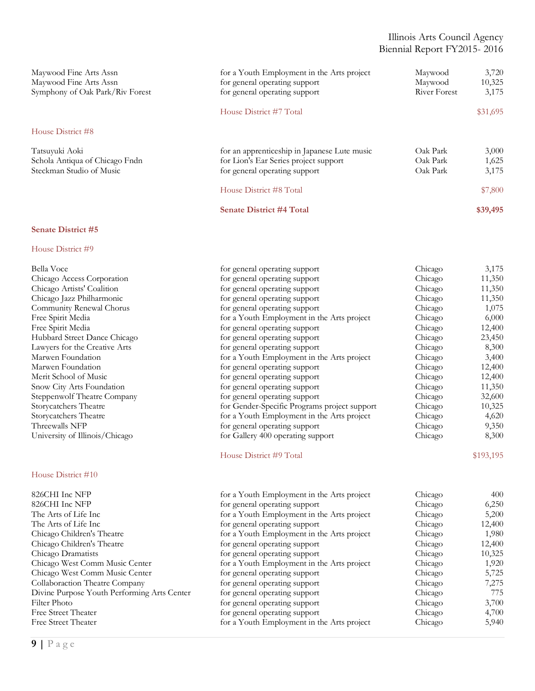| Maywood Fine Arts Assn          | for a Youth Employment in the Arts project   | Maywood      | 3,720    |
|---------------------------------|----------------------------------------------|--------------|----------|
| Maywood Fine Arts Assn          | for general operating support                | Maywood      | 10,325   |
| Symphony of Oak Park/Riv Forest | for general operating support                | River Forest | 3,175    |
|                                 | House District #7 Total                      |              | \$31,695 |
| House District #8               |                                              |              |          |
| Tatsuyuki Aoki                  | for an apprenticeship in Japanese Lute music | Oak Park     | 3,000    |
| Schola Antiqua of Chicago Fndn  | for Lion's Ear Series project support        | Oak Park     | 1,625    |
| Steckman Studio of Music        | for general operating support                | Oak Park     | 3,175    |
|                                 | House District #8 Total                      |              | \$7,800  |
|                                 | <b>Senate District #4 Total</b>              |              | \$39,495 |
| <b>Senate District #5</b>       |                                              |              |          |

# House District #9

| Bella Voce                     | for general operating support                | Chicago | 3,175  |
|--------------------------------|----------------------------------------------|---------|--------|
| Chicago Access Corporation     | for general operating support                | Chicago | 11,350 |
| Chicago Artists' Coalition     | for general operating support                | Chicago | 11,350 |
| Chicago Jazz Philharmonic      | for general operating support                | Chicago | 11,350 |
| Community Renewal Chorus       | for general operating support                | Chicago | 1,075  |
| Free Spirit Media              | for a Youth Employment in the Arts project   | Chicago | 6,000  |
| Free Spirit Media              | for general operating support                | Chicago | 12,400 |
| Hubbard Street Dance Chicago   | for general operating support                | Chicago | 23,450 |
| Lawyers for the Creative Arts  | for general operating support                | Chicago | 8,300  |
| Marwen Foundation              | for a Youth Employment in the Arts project   | Chicago | 3,400  |
| Marwen Foundation              | for general operating support                | Chicago | 12,400 |
| Merit School of Music          | for general operating support                | Chicago | 12,400 |
| Snow City Arts Foundation      | for general operating support                | Chicago | 11,350 |
| Steppenwolf Theatre Company    | for general operating support                | Chicago | 32,600 |
| Storycatchers Theatre          | for Gender-Specific Programs project support | Chicago | 10,325 |
| Storycatchers Theatre          | for a Youth Employment in the Arts project   | Chicago | 4,620  |
| Threewalls NFP                 | for general operating support                | Chicago | 9,350  |
| University of Illinois/Chicago | for Gallery 400 operating support            | Chicago | 8,300  |

House District #9 Total \$193,195

| 826CHI Inc NFP                              | for a Youth Employment in the Arts project | Chicago | 400    |
|---------------------------------------------|--------------------------------------------|---------|--------|
| 826CHI Inc NFP                              | for general operating support              | Chicago | 6,250  |
| The Arts of Life Inc                        | for a Youth Employment in the Arts project | Chicago | 5,200  |
| The Arts of Life Inc                        | for general operating support              | Chicago | 12,400 |
| Chicago Children's Theatre                  | for a Youth Employment in the Arts project | Chicago | 1,980  |
| Chicago Children's Theatre                  | for general operating support              | Chicago | 12,400 |
| Chicago Dramatists                          | for general operating support              | Chicago | 10,325 |
| Chicago West Comm Music Center              | for a Youth Employment in the Arts project | Chicago | 1,920  |
| Chicago West Comm Music Center              | for general operating support              | Chicago | 5,725  |
| Collaboraction Theatre Company              | for general operating support              | Chicago | 7,275  |
| Divine Purpose Youth Performing Arts Center | for general operating support              | Chicago | 775    |
| Filter Photo                                | for general operating support              | Chicago | 3,700  |
| Free Street Theater                         | for general operating support              | Chicago | 4,700  |
| Free Street Theater                         | for a Youth Employment in the Arts project | Chicago | 5,940  |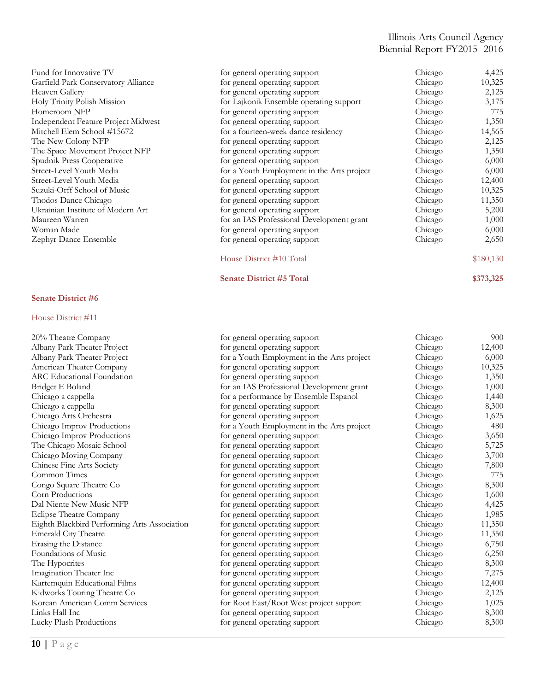| Fund for Innovative TV              | for general operating support              | Chicago | 4,425     |
|-------------------------------------|--------------------------------------------|---------|-----------|
| Garfield Park Conservatory Alliance | for general operating support              | Chicago | 10,325    |
| Heaven Gallery                      | for general operating support              | Chicago | 2,125     |
| Holy Trinity Polish Mission         | for Lajkonik Ensemble operating support    | Chicago | 3,175     |
| Homeroom NFP                        | for general operating support              | Chicago | 775       |
| Independent Feature Project Midwest | for general operating support              | Chicago | 1,350     |
| Mitchell Elem School #15672         | for a fourteen-week dance residency        | Chicago | 14,565    |
| The New Colony NFP                  | for general operating support              | Chicago | 2,125     |
| The Space Movement Project NFP      | for general operating support              | Chicago | 1,350     |
| Spudnik Press Cooperative           | for general operating support              | Chicago | 6,000     |
| Street-Level Youth Media            | for a Youth Employment in the Arts project | Chicago | 6,000     |
| Street-Level Youth Media            | for general operating support              | Chicago | 12,400    |
| Suzuki-Orff School of Music         | for general operating support              | Chicago | 10,325    |
| Thodos Dance Chicago                | for general operating support              | Chicago | 11,350    |
| Ukrainian Institute of Modern Art   | for general operating support              | Chicago | 5,200     |
| Maureen Warren                      | for an IAS Professional Development grant  | Chicago | 1,000     |
| Woman Made                          | for general operating support              | Chicago | 6,000     |
| Zephyr Dance Ensemble               | for general operating support              | Chicago | 2,650     |
|                                     | House District #10 Total                   |         | \$180,130 |

**Senate District #5 Total \$373,325**

#### **Senate District #6**

#### House District #11

20% Theatre Company for general operating support Chicago 900 Albany Park Theater Project **for general operating support** Chicago Chicago 12,400 Albany Park Theater Project **for a Youth Employment in the Arts project** Chicago 6,000 American Theater Company for general operating support Chicago 10,325 ARC Educational Foundation for general operating support chicago chicago 1,350 Bridget E Boland **Formulate Chicago for an IAS Professional Development grant** Chicago 1,000 Chicago a cappella for a performance by Ensemble Espanol Chicago 1,440 Chicago a cappella **for general operating support** Chicago 8,300 Chicago Arts Orchestra for general operating support Chicago 1,625 Chicago Improv Productions for a Youth Employment in the Arts project Chicago 480 Chicago Improv Productions for general operating support Chicago 3,650<br>The Chicago Mosaic School for general operating support Chicago 5,725 The Form general operating support Chicago 5,725<br>
for general operating support Chicago 5,700 Chicago Moving Company for general operating support Chicago 3,700 Chinese Fine Arts Society for general operating support Chicago 7,800<br>
Common Times for general operating support Chicago 775 for general operating support Chicago 775 Congo Square Theatre Co for general operating support Chicago 8,300<br>
Corn Productions for general operating support Chicago 8,300 for general operating support Chicago 1,600 Dal Niente New Music NFP for general operating support Chicago 4,425 Eclipse Theatre Company for general operating support Chicago 1,985<br>
Eighth Blackbird Performing Arts Association for general operating support Chicago 11,350 Eighth Blackbird Performing Arts Association for general operating support Chicago 11,350 Emerald City Theatre for several operation of general operating support chicago chicago the 11,350 Erasing the Distance for general operating support Chicago 6,750 Foundations of Music for general operating support Chicago 6,250 The Hypocrites for general operating support Chicago 8,300 Imagination Theater Inc for seneral operating support chicago 7,275 Kartemquin Educational Films for general operating support Chicago 12,400 Kidworks Touring Theatre Co for general operating support Chicago 2,125 Korean American Comm Services for Root East/Root West project support Chicago 1,025 Links Hall Inc 6,300 for general operating support Chicago 8,300 Lucky Plush Productions for general operating support Chicago 8,300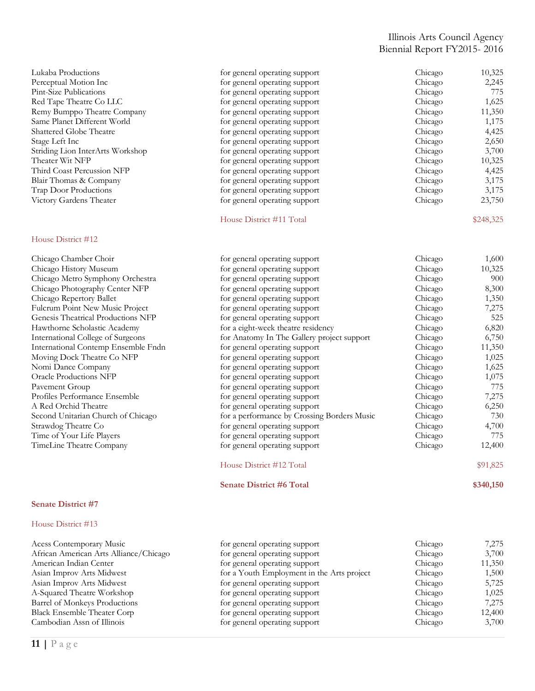| Lukaba Productions               |
|----------------------------------|
| Perceptual Motion Inc            |
| Pint-Size Publications           |
| Red Tape Theatre Co LLC          |
| Remy Bumppo Theatre Company      |
| Same Planet Different World      |
| Shattered Globe Theatre          |
| Stage Left Inc                   |
|                                  |
| Striding Lion InterArts Workshop |
| Theater Wit NFP                  |
| Third Coast Percussion NFP       |
| Blair Thomas & Company           |
| Trap Door Productions            |

#### House District #12

| Chicago Chamber Choir               |
|-------------------------------------|
| Chicago History Museum              |
| Chicago Metro Symphony Orchestra    |
| Chicago Photography Center NFP      |
| Chicago Repertory Ballet            |
| Fulcrum Point New Music Project     |
| Genesis Theatrical Productions NFP  |
| Hawthorne Scholastic Academy        |
| International College of Surgeons   |
| International Contemp Ensemble Fndn |
| Moving Dock Theatre Co NFP          |
| Nomi Dance Company                  |
| <b>Oracle Productions NFP</b>       |
| Pavement Group                      |
| Profiles Performance Ensemble       |
| A Red Orchid Theatre                |
| Second Unitarian Church of Chicago  |
| Strawdog Theatre Co                 |
| Time of Your Life Players           |
| TimeLine Theatre Company            |

#### **Senate District #7**

#### House District #13

| 3,700  |
|--------|
|        |
| 11,350 |
| 1,500  |
| 5,725  |
| 1,025  |
| 7,275  |
| 12,400 |
| 3,700  |
|        |

House District #11 Total \$248,325

| Chicago Chamber Choir                    | for general operating support               | Chicago | 1,600     |
|------------------------------------------|---------------------------------------------|---------|-----------|
| Chicago History Museum                   | for general operating support               | Chicago | 10,325    |
| Chicago Metro Symphony Orchestra         | for general operating support               | Chicago | 900       |
| Chicago Photography Center NFP           | for general operating support               | Chicago | 8,300     |
| Chicago Repertory Ballet                 | for general operating support               | Chicago | 1,350     |
| Fulcrum Point New Music Project          | for general operating support               | Chicago | 7,275     |
| Genesis Theatrical Productions NFP       | for general operating support               | Chicago | 525       |
| Hawthorne Scholastic Academy             | for a eight-week theatre residency          | Chicago | 6,820     |
| <b>International College of Surgeons</b> | for Anatomy In The Gallery project support  | Chicago | 6,750     |
| International Contemp Ensemble Fndn      | for general operating support               | Chicago | 11,350    |
| Moving Dock Theatre Co NFP               | for general operating support               | Chicago | 1,025     |
| Nomi Dance Company                       | for general operating support               | Chicago | 1,625     |
| <b>Oracle Productions NFP</b>            | for general operating support               | Chicago | 1,075     |
| Pavement Group                           | for general operating support               | Chicago | 775       |
| Profiles Performance Ensemble            | for general operating support               | Chicago | 7,275     |
| A Red Orchid Theatre                     | for general operating support               | Chicago | 6,250     |
| Second Unitarian Church of Chicago       | for a performance by Crossing Borders Music | Chicago | 730       |
| Strawdog Theatre Co                      | for general operating support               | Chicago | 4,700     |
| Time of Your Life Players                | for general operating support               | Chicago | 775       |
| TimeLine Theatre Company                 | for general operating support               | Chicago | 12,400    |
|                                          | House District #12 Total                    |         | \$91,825  |
|                                          | <b>Senate District #6 Total</b>             |         | \$340,150 |

For general operating support Chicago 10,325<br>
for general operating support Chicago 2,245

For general operating support Chicago 775 For general operating support Chicago 1,625 For general operating support Chicago 11,350<br>
For general operating support Chicago 1,175 for general operating support Chicago 1,175 For general operating support Chicago 4,425<br>
for general operating support Chicago 2,650

for general operating support Chicago 3,700 for general operating support Chicago 10,325 for general operating support Chicago 4,425 for general operating support Chicago 3,175 for general operating support Chicago 3,175 for general operating support Chicago 23,750

For general operating support Chicago

For general operating support Chicago 2,650 Chicago 2,650 Chicago 2,650 Chicago 2,650 Chicago 2,650 Chicago 2,650 Chicago 2,650 Chicago 2,650 Chicago 2,650 Chicago 2,650 Chicago 2,650 Chicago 2,650 Chicago 2,650 Chicago 2,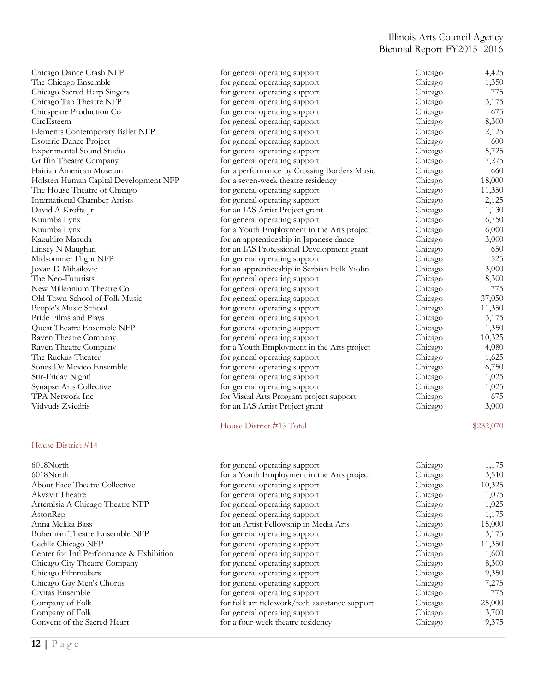| Chicago Dance Crash NFP                  | for general operating support                  | Chicago            | 4,425     |
|------------------------------------------|------------------------------------------------|--------------------|-----------|
| The Chicago Ensemble                     | for general operating support                  | Chicago            | 1,350     |
| Chicago Sacred Harp Singers              | for general operating support                  | Chicago            | 775       |
| Chicago Tap Theatre NFP                  | for general operating support                  | Chicago            | 3,175     |
| Chicspeare Production Co                 | for general operating support                  | Chicago            | 675       |
| CircEsteem                               | for general operating support                  | Chicago            | 8,300     |
| Elements Contemporary Ballet NFP         | for general operating support                  | Chicago            | 2,125     |
| <b>Esoteric Dance Project</b>            | for general operating support                  | Chicago            | 600       |
| Experimental Sound Studio                | for general operating support                  | Chicago            | 5,725     |
| Griffin Theatre Company                  | for general operating support                  | Chicago            | 7,275     |
| Haitian American Museum                  | for a performance by Crossing Borders Music    | Chicago            | 660       |
| Holsten Human Capital Development NFP    | for a seven-week theatre residency             | Chicago            | 18,000    |
| The House Theatre of Chicago             | for general operating support                  | Chicago            | 11,350    |
| <b>International Chamber Artists</b>     | for general operating support                  | Chicago            | 2,125     |
| David A Krofta Jr                        | for an IAS Artist Project grant                | Chicago            | 1,130     |
| Kuumba Lynx                              | for general operating support                  | Chicago            | 6,750     |
| Kuumba Lynx                              | for a Youth Employment in the Arts project     | Chicago            | 6,000     |
| Kazuhiro Masuda                          | for an apprenticeship in Japanese dance        | Chicago            | 3,000     |
| Linsey N Maughan                         | for an IAS Professional Development grant      | Chicago            | 650       |
| Midsommer Flight NFP                     | for general operating support                  | Chicago            | 525       |
| Jovan D Mihailovic                       | for an apprenticeship in Serbian Folk Violin   | Chicago            |           |
| The Neo-Futurists                        |                                                |                    | 3,000     |
|                                          | for general operating support                  | Chicago<br>Chicago | 8,300     |
| New Millennium Theatre Co                | for general operating support                  |                    | 775       |
| Old Town School of Folk Music            | for general operating support                  | Chicago            | 37,050    |
| People's Music School                    | for general operating support                  | Chicago            | 11,350    |
| Pride Films and Plays                    | for general operating support                  | Chicago            | 3,175     |
| Quest Theatre Ensemble NFP               | for general operating support                  | Chicago            | 1,350     |
| Raven Theatre Company                    | for general operating support                  | Chicago            | 10,325    |
| Raven Theatre Company                    | for a Youth Employment in the Arts project     | Chicago            | 4,080     |
| The Ruckus Theater                       | for general operating support                  | Chicago            | 1,625     |
| Sones De Mexico Ensemble                 | for general operating support                  | Chicago            | 6,750     |
| Stir-Friday Night!                       | for general operating support                  | Chicago            | 1,025     |
| Synapse Arts Collective                  | for general operating support                  | Chicago            | 1,025     |
| TPA Network Inc                          | for Visual Arts Program project support        | Chicago            | 675       |
| Vidvuds Zviedris                         | for an IAS Artist Project grant                | Chicago            | 3,000     |
|                                          | House District #13 Total                       |                    | \$232,070 |
| House District #14                       |                                                |                    |           |
| 6018North                                | for general operating support                  | Chicago            | 1,175     |
| 6018North                                | for a Youth Employment in the Arts project     | Chicago            | 3,510     |
| <b>About Face Theatre Collective</b>     | for general operating support                  | Chicago            | 10,325    |
| Akvavit Theatre                          | for general operating support                  | Chicago            | 1,075     |
| Artemisia A Chicago Theatre NFP          | for general operating support                  | Chicago            | 1,025     |
| AstonRep                                 | for general operating support                  | Chicago            | 1,175     |
| Anna Melika Bass                         | for an Artist Fellowship in Media Arts         | Chicago            | 15,000    |
| Bohemian Theatre Ensemble NFP            | for general operating support                  | Chicago            | 3,175     |
| Cedille Chicago NFP                      | for general operating support                  | Chicago            | 11,350    |
| Center for Intl Performance & Exhibition | for general operating support                  | Chicago            | 1,600     |
| Chicago City Theatre Company             | for general operating support                  | Chicago            | 8,300     |
| Chicago Filmmakers                       | for general operating support                  | Chicago            | 9,350     |
| Chicago Gay Men's Chorus                 | for general operating support                  | Chicago            | 7,275     |
| Civitas Ensemble                         | for general operating support                  | Chicago            | 775       |
| Company of Folk                          | for folk art fieldwork/tech assistance support | Chicago            | 25,000    |
| Company of Folk                          | for general operating support                  | Chicago            | 3,700     |
| Convent of the Sacred Heart              | for a four-week theatre residency              | Chicago            | 9,375     |
|                                          |                                                |                    |           |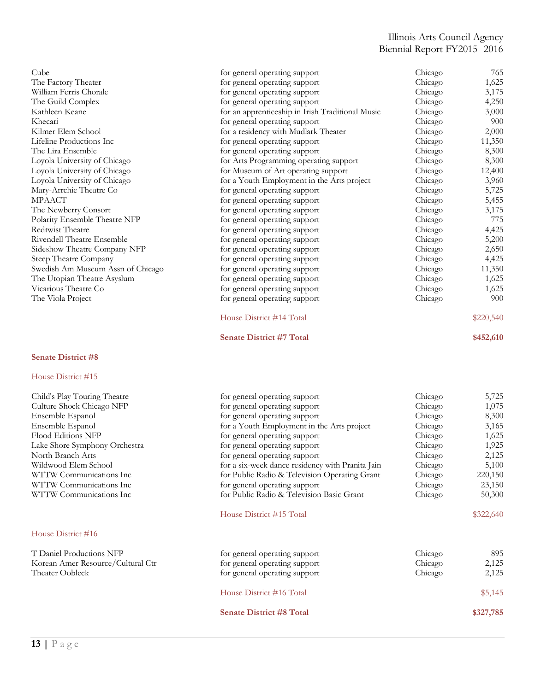for general operating support Chicago 8,300

for general operating support Chicago 4,425

House District #14 Total \$220,540

**Senate District #7 Total \$452,610**

Cube for general operating support Chicago 765 The Factory Theater for general operating support Chicago 1,625 William Ferris Chorale **for general operating support** Chicago 3,175 The Guild Complex for general operating support Chicago 4,250 Kathleen Keane **for an apprenticeship in Irish Traditional Music** Chicago 3,000 Khecari **for general operating support** Chicago 900 Kilmer Elem School for a residency with Mudlark Theater Chicago 2,000<br>Lifeline Productions Inc for eneral operating support Chicago 11.350 Lifeline Productions Inc for general operating support Chicago 11,350<br>The Lira Ensemble for general operating support Chicago 8,300 Loyola University of Chicago for Arts Programming operating support Chicago 8,300 Loyola University of Chicago for Museum of Art operating support Chicago 12,400 Loyola University of Chicago for a Youth Employment in the Arts project Chicago 3,960 Mary-Arrchie Theatre Co for general operating support Chicago 5,725 MPAACT for general operating support Chicago 5,455<br>The Newberry Consort for general operating support Chicago 5,175 The Newberry Consort for general operating support Chicago 3,175, 2014 Polarity Ensemble Theatre NFP for general operating support Chicago 775<br>Redtwist Theatre 1999 for general operating support Chicago 4,425 Rivendell Theatre Ensemble for general operating support Chicago 5,200 Sideshow Theatre Company NFP for general operating support Chicago 2,650 Steep Theatre Company for general operating support Chicago 4,425 Swedish Am Museum Assn of Chicago for general operating support Chicago Chicago 11,350 The Utopian Theatre Asyslum for general operating support Chicago 1,625 Vicarious Theatre Co for general operating support Chicago 1,625 The Viola Project **for general operating support** Chicago 900

#### **Senate District #8**

#### House District #15

| Child's Play Touring Theatre  | for general operating support                    | Chicago | 5,725     |
|-------------------------------|--------------------------------------------------|---------|-----------|
| Culture Shock Chicago NFP     | for general operating support                    | Chicago | 1,075     |
| Ensemble Espanol              | for general operating support                    | Chicago | 8,300     |
| Ensemble Espanol              | for a Youth Employment in the Arts project       | Chicago | 3,165     |
| Flood Editions NFP            | for general operating support                    | Chicago | 1,625     |
| Lake Shore Symphony Orchestra | for general operating support                    | Chicago | 1,925     |
| North Branch Arts             | for general operating support                    | Chicago | 2,125     |
| Wildwood Elem School          | for a six-week dance residency with Pranita Jain | Chicago | 5,100     |
| WTTW Communications Inc       | for Public Radio & Television Operating Grant    | Chicago | 220,150   |
| WTTW Communications Inc       | for general operating support                    | Chicago | 23,150    |
| WTTW Communications Inc       | for Public Radio & Television Basic Grant        | Chicago | 50,300    |
|                               | House District #15 Total                         |         | \$322,640 |

| T Daniel Productions NFP<br>Korean Amer Resource/Cultural Ctr<br>Theater Oobleck | for general operating support<br>for general operating support<br>for general operating support | Chicago<br>Chicago<br>Chicago | 895<br>2,125<br>2,125 |
|----------------------------------------------------------------------------------|-------------------------------------------------------------------------------------------------|-------------------------------|-----------------------|
|                                                                                  | House District #16 Total                                                                        |                               | \$5,145               |
|                                                                                  | <b>Senate District #8 Total</b>                                                                 |                               | \$327,785             |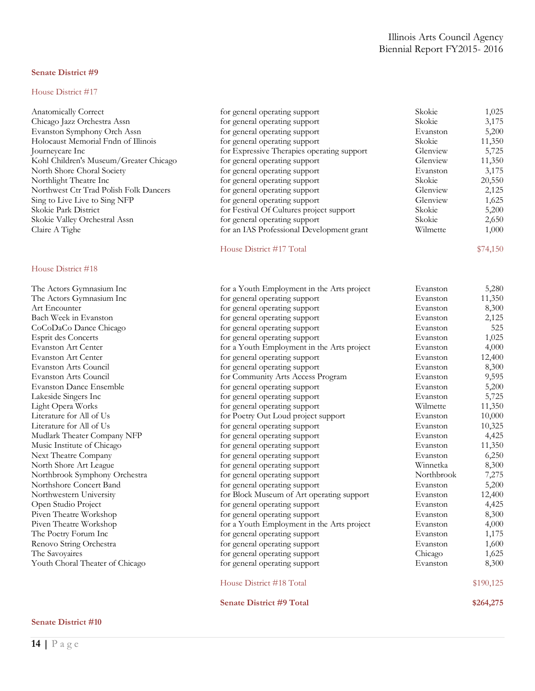#### **Senate District #9**

#### House District #17

#### House District #18

| <b>Anatomically Correct</b>            | for general operating support              | Skokie   | 1,025  |
|----------------------------------------|--------------------------------------------|----------|--------|
| Chicago Jazz Orchestra Assn            | for general operating support              | Skokie   | 3,175  |
| Evanston Symphony Orch Assn            | for general operating support              | Evanston | 5,200  |
| Holocaust Memorial Fndn of Illinois    | for general operating support              | Skokie   | 11,350 |
| Journeycare Inc                        | for Expressive Therapies operating support | Glenview | 5,725  |
| Kohl Children's Museum/Greater Chicago | for general operating support              | Glenview | 11,350 |
| North Shore Choral Society             | for general operating support              | Evanston | 3,175  |
| Northlight Theatre Inc                 | for general operating support              | Skokie   | 20,550 |
| Northwest Ctr Trad Polish Folk Dancers | for general operating support              | Glenview | 2,125  |
| Sing to Live Live to Sing NFP          | for general operating support              | Glenview | 1,625  |
| Skokie Park District                   | for Festival Of Cultures project support   | Skokie   | 5,200  |
| Skokie Valley Orchestral Assn          | for general operating support              | Skokie   | 2,650  |
| Claire A Tighe                         | for an IAS Professional Development grant  | Wilmette | 1,000  |
|                                        |                                            |          |        |

#### House District #17 Total \$74,150

| The Actors Gymnasium Inc        | for a Youth Employment in the Arts project | Evanston   | 5,280     |
|---------------------------------|--------------------------------------------|------------|-----------|
| The Actors Gymnasium Inc        | for general operating support              | Evanston   | 11,350    |
| Art Encounter                   | for general operating support              | Evanston   | 8,300     |
| Bach Week in Evanston           | for general operating support              | Evanston   | 2,125     |
| CoCoDaCo Dance Chicago          | for general operating support              | Evanston   | 525       |
| <b>Esprit des Concerts</b>      | for general operating support              | Evanston   | 1,025     |
| Evanston Art Center             | for a Youth Employment in the Arts project | Evanston   | 4,000     |
| <b>Evanston Art Center</b>      | for general operating support              | Evanston   | 12,400    |
| <b>Evanston Arts Council</b>    | for general operating support              | Evanston   | 8,300     |
| <b>Evanston Arts Council</b>    | for Community Arts Access Program          | Evanston   | 9,595     |
| <b>Evanston Dance Ensemble</b>  | for general operating support              | Evanston   | 5,200     |
| Lakeside Singers Inc            | for general operating support              | Evanston   | 5,725     |
| Light Opera Works               | for general operating support              | Wilmette   | 11,350    |
| Literature for All of Us        | for Poetry Out Loud project support        | Evanston   | 10,000    |
| Literature for All of Us        | for general operating support              | Evanston   | 10,325    |
| Mudlark Theater Company NFP     | for general operating support              | Evanston   | 4,425     |
| Music Institute of Chicago      | for general operating support              | Evanston   | 11,350    |
| Next Theatre Company            | for general operating support              | Evanston   | 6,250     |
| North Shore Art League          | for general operating support              | Winnetka   | 8,300     |
| Northbrook Symphony Orchestra   | for general operating support              | Northbrook | 7,275     |
| Northshore Concert Band         | for general operating support              | Evanston   | 5,200     |
| Northwestern University         | for Block Museum of Art operating support  | Evanston   | 12,400    |
| Open Studio Project             | for general operating support              | Evanston   | 4,425     |
| Piven Theatre Workshop          | for general operating support              | Evanston   | 8,300     |
| Piven Theatre Workshop          | for a Youth Employment in the Arts project | Evanston   | 4,000     |
| The Poetry Forum Inc            | for general operating support              | Evanston   | 1,175     |
| Renovo String Orchestra         | for general operating support              | Evanston   | 1,600     |
| The Savoyaires                  | for general operating support              | Chicago    | 1,625     |
| Youth Choral Theater of Chicago | for general operating support              | Evanston   | 8,300     |
|                                 | House District #18 Total                   |            | \$190,125 |
|                                 | <b>Senate District #9 Total</b>            |            | \$264,275 |

#### **Senate District #10**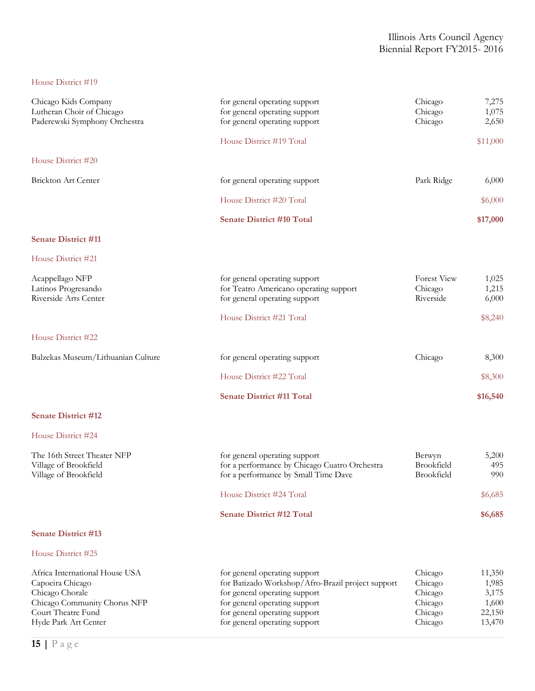| Chicago Kids Company<br>Lutheran Choir of Chicago<br>Paderewski Symphony Orchestra | for general operating support<br>for general operating support<br>for general operating support                        | Chicago<br>Chicago<br>Chicago       | 7,275<br>1,075<br>2,650 |
|------------------------------------------------------------------------------------|------------------------------------------------------------------------------------------------------------------------|-------------------------------------|-------------------------|
|                                                                                    | House District #19 Total                                                                                               |                                     | \$11,000                |
| House District #20                                                                 |                                                                                                                        |                                     |                         |
| Brickton Art Center                                                                | for general operating support                                                                                          | Park Ridge                          | 6,000                   |
|                                                                                    | House District #20 Total                                                                                               |                                     | \$6,000                 |
|                                                                                    | <b>Senate District #10 Total</b>                                                                                       |                                     | \$17,000                |
| <b>Senate District #11</b>                                                         |                                                                                                                        |                                     |                         |
| House District #21                                                                 |                                                                                                                        |                                     |                         |
| Acappellago NFP<br>Latinos Progresando<br>Riverside Arts Center                    | for general operating support<br>for Teatro Americano operating support<br>for general operating support               | Forest View<br>Chicago<br>Riverside | 1,025<br>1,215<br>6,000 |
|                                                                                    | House District #21 Total                                                                                               |                                     | \$8,240                 |
| House District #22                                                                 |                                                                                                                        |                                     |                         |
| Balzekas Museum/Lithuanian Culture                                                 | for general operating support                                                                                          | Chicago                             | 8,300                   |
|                                                                                    | House District #22 Total                                                                                               |                                     | \$8,300                 |
|                                                                                    | <b>Senate District #11 Total</b>                                                                                       |                                     | \$16,540                |
| <b>Senate District #12</b>                                                         |                                                                                                                        |                                     |                         |
| House District #24                                                                 |                                                                                                                        |                                     |                         |
| The 16th Street Theater NFP<br>Village of Brookfield<br>Village of Brookfield      | for general operating support<br>for a performance by Chicago Cuatro Orchestra<br>for a performance by Small Time Dave | Berwyn<br>Brookfield<br>Brookfield  | 5,200<br>495<br>990     |
|                                                                                    | House District #24 Total                                                                                               |                                     | \$6,685                 |
|                                                                                    | <b>Senate District #12 Total</b>                                                                                       |                                     | \$6,685                 |
| <b>Senate District #13</b>                                                         |                                                                                                                        |                                     |                         |
| House District #25                                                                 |                                                                                                                        |                                     |                         |
| Africa International House USA                                                     | for general operating support                                                                                          | Chicago                             | 11.350                  |

| Africa International House USA | for general operating support                     | Chicago | 11,350 |
|--------------------------------|---------------------------------------------------|---------|--------|
| Capoeira Chicago               | for Batizado Workshop/Afro-Brazil project support | Chicago | 1,985  |
| Chicago Chorale                | for general operating support                     | Chicago | 3,175  |
| Chicago Community Chorus NFP   | for general operating support                     | Chicago | 1,600  |
| Court Theatre Fund             | for general operating support                     | Chicago | 22,150 |
| Hyde Park Art Center           | for general operating support                     | Chicago | 13,470 |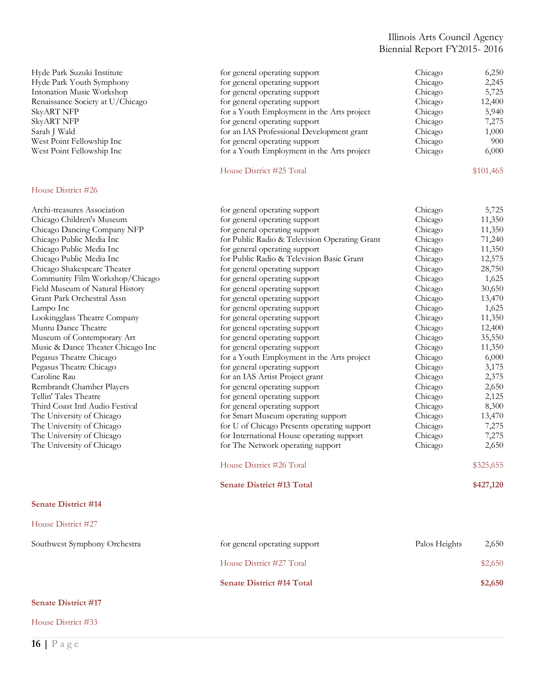| Hyde Park Suzuki Institute<br>Hyde Park Youth Symphony<br>Intonation Music Workshop<br>Renaissance Society at U/Chicago<br><b>SkyART NFP</b><br><b>SkyART NFP</b><br>Sarah J Wald<br>West Point Fellowship Inc<br>West Point Fellowship Inc                                                                                                                                                                                                                                                                                                                                                                                                                                                                                              | for general operating support<br>for general operating support<br>for general operating support<br>for general operating support<br>for a Youth Employment in the Arts project<br>for general operating support<br>for an IAS Professional Development grant<br>for general operating support<br>for a Youth Employment in the Arts project                                                                                                                                                                                                                                                                                                                                                                                                                                                                                                                                                                                                                     | Chicago<br>Chicago<br>Chicago<br>Chicago<br>Chicago<br>Chicago<br>Chicago<br>Chicago<br>Chicago                                                                                                                                                                                 | 6,250<br>2,245<br>5,725<br>12,400<br>5,940<br>7,275<br>1,000<br>900<br>6,000                                                                                                                                                                            |
|------------------------------------------------------------------------------------------------------------------------------------------------------------------------------------------------------------------------------------------------------------------------------------------------------------------------------------------------------------------------------------------------------------------------------------------------------------------------------------------------------------------------------------------------------------------------------------------------------------------------------------------------------------------------------------------------------------------------------------------|-----------------------------------------------------------------------------------------------------------------------------------------------------------------------------------------------------------------------------------------------------------------------------------------------------------------------------------------------------------------------------------------------------------------------------------------------------------------------------------------------------------------------------------------------------------------------------------------------------------------------------------------------------------------------------------------------------------------------------------------------------------------------------------------------------------------------------------------------------------------------------------------------------------------------------------------------------------------|---------------------------------------------------------------------------------------------------------------------------------------------------------------------------------------------------------------------------------------------------------------------------------|---------------------------------------------------------------------------------------------------------------------------------------------------------------------------------------------------------------------------------------------------------|
|                                                                                                                                                                                                                                                                                                                                                                                                                                                                                                                                                                                                                                                                                                                                          | House District #25 Total                                                                                                                                                                                                                                                                                                                                                                                                                                                                                                                                                                                                                                                                                                                                                                                                                                                                                                                                        |                                                                                                                                                                                                                                                                                 | \$101,465                                                                                                                                                                                                                                               |
| House District #26                                                                                                                                                                                                                                                                                                                                                                                                                                                                                                                                                                                                                                                                                                                       |                                                                                                                                                                                                                                                                                                                                                                                                                                                                                                                                                                                                                                                                                                                                                                                                                                                                                                                                                                 |                                                                                                                                                                                                                                                                                 |                                                                                                                                                                                                                                                         |
| Archi-treasures Association<br>Chicago Children's Museum<br>Chicago Dancing Company NFP<br>Chicago Public Media Inc<br>Chicago Public Media Inc<br>Chicago Public Media Inc<br>Chicago Shakespeare Theater<br>Community Film Workshop/Chicago<br>Field Museum of Natural History<br>Grant Park Orchestral Assn<br>Lampo Inc<br>Lookingglass Theatre Company<br>Muntu Dance Theatre<br>Museum of Contemporary Art<br>Music & Dance Theater Chicago Inc<br>Pegasus Theatre Chicago<br>Pegasus Theatre Chicago<br>Caroline Rau<br>Rembrandt Chamber Players<br>Tellin' Tales Theatre<br>Third Coast Intl Audio Festival<br>The University of Chicago<br>The University of Chicago<br>The University of Chicago<br>The University of Chicago | for general operating support<br>for general operating support<br>for general operating support<br>for Public Radio & Television Operating Grant<br>for general operating support<br>for Public Radio & Television Basic Grant<br>for general operating support<br>for general operating support<br>for general operating support<br>for general operating support<br>for general operating support<br>for general operating support<br>for general operating support<br>for general operating support<br>for general operating support<br>for a Youth Employment in the Arts project<br>for general operating support<br>for an IAS Artist Project grant<br>for general operating support<br>for general operating support<br>for general operating support<br>for Smart Museum operating support<br>for U of Chicago Presents operating support<br>for International House operating support<br>for The Network operating support<br>House District #26 Total | Chicago<br>Chicago<br>Chicago<br>Chicago<br>Chicago<br>Chicago<br>Chicago<br>Chicago<br>Chicago<br>Chicago<br>Chicago<br>Chicago<br>Chicago<br>Chicago<br>Chicago<br>Chicago<br>Chicago<br>Chicago<br>Chicago<br>Chicago<br>Chicago<br>Chicago<br>Chicago<br>Chicago<br>Chicago | 5,725<br>11,350<br>11,350<br>71,240<br>11,350<br>12,575<br>28,750<br>1,625<br>30,650<br>13,470<br>1,625<br>11,350<br>12,400<br>35,550<br>11,350<br>6,000<br>3,175<br>2,375<br>2,650<br>2,125<br>8,300<br>13,470<br>7,275<br>7,275<br>2,650<br>\$325,655 |
|                                                                                                                                                                                                                                                                                                                                                                                                                                                                                                                                                                                                                                                                                                                                          |                                                                                                                                                                                                                                                                                                                                                                                                                                                                                                                                                                                                                                                                                                                                                                                                                                                                                                                                                                 |                                                                                                                                                                                                                                                                                 |                                                                                                                                                                                                                                                         |
|                                                                                                                                                                                                                                                                                                                                                                                                                                                                                                                                                                                                                                                                                                                                          | <b>Senate District #13 Total</b>                                                                                                                                                                                                                                                                                                                                                                                                                                                                                                                                                                                                                                                                                                                                                                                                                                                                                                                                |                                                                                                                                                                                                                                                                                 | \$427,120                                                                                                                                                                                                                                               |
| <b>Senate District #14</b>                                                                                                                                                                                                                                                                                                                                                                                                                                                                                                                                                                                                                                                                                                               |                                                                                                                                                                                                                                                                                                                                                                                                                                                                                                                                                                                                                                                                                                                                                                                                                                                                                                                                                                 |                                                                                                                                                                                                                                                                                 |                                                                                                                                                                                                                                                         |
| House District #27                                                                                                                                                                                                                                                                                                                                                                                                                                                                                                                                                                                                                                                                                                                       |                                                                                                                                                                                                                                                                                                                                                                                                                                                                                                                                                                                                                                                                                                                                                                                                                                                                                                                                                                 |                                                                                                                                                                                                                                                                                 |                                                                                                                                                                                                                                                         |
| Southwest Symphony Orchestra                                                                                                                                                                                                                                                                                                                                                                                                                                                                                                                                                                                                                                                                                                             | for general operating support                                                                                                                                                                                                                                                                                                                                                                                                                                                                                                                                                                                                                                                                                                                                                                                                                                                                                                                                   | Palos Heights                                                                                                                                                                                                                                                                   | 2,650                                                                                                                                                                                                                                                   |
|                                                                                                                                                                                                                                                                                                                                                                                                                                                                                                                                                                                                                                                                                                                                          | House District #27 Total                                                                                                                                                                                                                                                                                                                                                                                                                                                                                                                                                                                                                                                                                                                                                                                                                                                                                                                                        |                                                                                                                                                                                                                                                                                 | \$2,650                                                                                                                                                                                                                                                 |
|                                                                                                                                                                                                                                                                                                                                                                                                                                                                                                                                                                                                                                                                                                                                          | <b>Senate District #14 Total</b>                                                                                                                                                                                                                                                                                                                                                                                                                                                                                                                                                                                                                                                                                                                                                                                                                                                                                                                                |                                                                                                                                                                                                                                                                                 | \$2,650                                                                                                                                                                                                                                                 |
| <b>Senate District #17</b>                                                                                                                                                                                                                                                                                                                                                                                                                                                                                                                                                                                                                                                                                                               |                                                                                                                                                                                                                                                                                                                                                                                                                                                                                                                                                                                                                                                                                                                                                                                                                                                                                                                                                                 |                                                                                                                                                                                                                                                                                 |                                                                                                                                                                                                                                                         |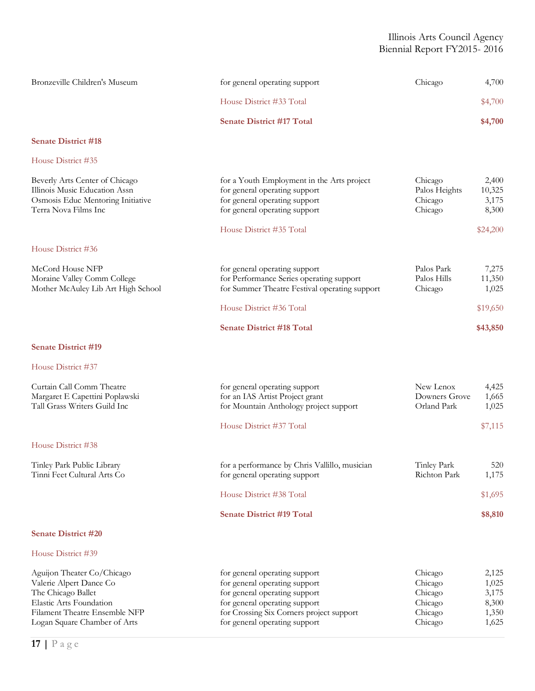| Bronzeville Children's Museum<br>for general operating support<br>Chicago<br>House District #33 Total<br><b>Senate District #17 Total</b><br><b>Senate District #18</b><br>House District #35<br>Chicago<br>Beverly Arts Center of Chicago<br>for a Youth Employment in the Arts project<br>Illinois Music Education Assn<br>for general operating support<br>Palos Heights<br>for general operating support<br>Osmosis Educ Mentoring Initiative<br>Chicago<br>for general operating support<br>Terra Nova Films Inc<br>Chicago<br>House District #35 Total<br>House District #36<br>McCord House NFP<br>for general operating support<br>Palos Park<br>Moraine Valley Comm College<br>for Performance Series operating support<br>Palos Hills<br>Mother McAuley Lib Art High School<br>for Summer Theatre Festival operating support<br>Chicago<br>House District #36 Total<br><b>Senate District #18 Total</b><br>New Lenox<br>for general operating support<br>for an IAS Artist Project grant<br>Downers Grove<br>Orland Park<br>for Mountain Anthology project support<br>House District #37 Total<br>for a performance by Chris Vallillo, musician<br>Tinley Park<br>Richton Park<br>for general operating support<br>House District #38 Total<br><b>Senate District #19 Total</b><br>Chicago<br>for general operating support<br>for general operating support<br>Chicago<br>for general operating support<br>Chicago |  |                                                    |
|-------------------------------------------------------------------------------------------------------------------------------------------------------------------------------------------------------------------------------------------------------------------------------------------------------------------------------------------------------------------------------------------------------------------------------------------------------------------------------------------------------------------------------------------------------------------------------------------------------------------------------------------------------------------------------------------------------------------------------------------------------------------------------------------------------------------------------------------------------------------------------------------------------------------------------------------------------------------------------------------------------------------------------------------------------------------------------------------------------------------------------------------------------------------------------------------------------------------------------------------------------------------------------------------------------------------------------------------------------------------------------------------------------------------------------|--|----------------------------------------------------|
|                                                                                                                                                                                                                                                                                                                                                                                                                                                                                                                                                                                                                                                                                                                                                                                                                                                                                                                                                                                                                                                                                                                                                                                                                                                                                                                                                                                                                               |  | 4,700                                              |
|                                                                                                                                                                                                                                                                                                                                                                                                                                                                                                                                                                                                                                                                                                                                                                                                                                                                                                                                                                                                                                                                                                                                                                                                                                                                                                                                                                                                                               |  | \$4,700                                            |
|                                                                                                                                                                                                                                                                                                                                                                                                                                                                                                                                                                                                                                                                                                                                                                                                                                                                                                                                                                                                                                                                                                                                                                                                                                                                                                                                                                                                                               |  | \$4,700                                            |
|                                                                                                                                                                                                                                                                                                                                                                                                                                                                                                                                                                                                                                                                                                                                                                                                                                                                                                                                                                                                                                                                                                                                                                                                                                                                                                                                                                                                                               |  |                                                    |
|                                                                                                                                                                                                                                                                                                                                                                                                                                                                                                                                                                                                                                                                                                                                                                                                                                                                                                                                                                                                                                                                                                                                                                                                                                                                                                                                                                                                                               |  |                                                    |
|                                                                                                                                                                                                                                                                                                                                                                                                                                                                                                                                                                                                                                                                                                                                                                                                                                                                                                                                                                                                                                                                                                                                                                                                                                                                                                                                                                                                                               |  | 2,400<br>10,325<br>3,175<br>8,300                  |
|                                                                                                                                                                                                                                                                                                                                                                                                                                                                                                                                                                                                                                                                                                                                                                                                                                                                                                                                                                                                                                                                                                                                                                                                                                                                                                                                                                                                                               |  | \$24,200                                           |
|                                                                                                                                                                                                                                                                                                                                                                                                                                                                                                                                                                                                                                                                                                                                                                                                                                                                                                                                                                                                                                                                                                                                                                                                                                                                                                                                                                                                                               |  |                                                    |
| <b>Senate District #19</b><br>House District #37<br>Curtain Call Comm Theatre<br>Margaret E Capettini Poplawski<br>Tall Grass Writers Guild Inc<br>House District #38<br>Tinley Park Public Library<br>Tinni Feet Cultural Arts Co<br><b>Senate District #20</b><br>House District #39<br>Aguijon Theater Co/Chicago<br>Valerie Alpert Dance Co<br>The Chicago Ballet                                                                                                                                                                                                                                                                                                                                                                                                                                                                                                                                                                                                                                                                                                                                                                                                                                                                                                                                                                                                                                                         |  | 7,275<br>11,350<br>1,025                           |
|                                                                                                                                                                                                                                                                                                                                                                                                                                                                                                                                                                                                                                                                                                                                                                                                                                                                                                                                                                                                                                                                                                                                                                                                                                                                                                                                                                                                                               |  | \$19,650                                           |
|                                                                                                                                                                                                                                                                                                                                                                                                                                                                                                                                                                                                                                                                                                                                                                                                                                                                                                                                                                                                                                                                                                                                                                                                                                                                                                                                                                                                                               |  | \$43,850                                           |
|                                                                                                                                                                                                                                                                                                                                                                                                                                                                                                                                                                                                                                                                                                                                                                                                                                                                                                                                                                                                                                                                                                                                                                                                                                                                                                                                                                                                                               |  |                                                    |
|                                                                                                                                                                                                                                                                                                                                                                                                                                                                                                                                                                                                                                                                                                                                                                                                                                                                                                                                                                                                                                                                                                                                                                                                                                                                                                                                                                                                                               |  |                                                    |
|                                                                                                                                                                                                                                                                                                                                                                                                                                                                                                                                                                                                                                                                                                                                                                                                                                                                                                                                                                                                                                                                                                                                                                                                                                                                                                                                                                                                                               |  | 4,425<br>1,665<br>1,025                            |
|                                                                                                                                                                                                                                                                                                                                                                                                                                                                                                                                                                                                                                                                                                                                                                                                                                                                                                                                                                                                                                                                                                                                                                                                                                                                                                                                                                                                                               |  | \$7,115                                            |
|                                                                                                                                                                                                                                                                                                                                                                                                                                                                                                                                                                                                                                                                                                                                                                                                                                                                                                                                                                                                                                                                                                                                                                                                                                                                                                                                                                                                                               |  |                                                    |
|                                                                                                                                                                                                                                                                                                                                                                                                                                                                                                                                                                                                                                                                                                                                                                                                                                                                                                                                                                                                                                                                                                                                                                                                                                                                                                                                                                                                                               |  | 520<br>1,175                                       |
|                                                                                                                                                                                                                                                                                                                                                                                                                                                                                                                                                                                                                                                                                                                                                                                                                                                                                                                                                                                                                                                                                                                                                                                                                                                                                                                                                                                                                               |  | \$1,695                                            |
|                                                                                                                                                                                                                                                                                                                                                                                                                                                                                                                                                                                                                                                                                                                                                                                                                                                                                                                                                                                                                                                                                                                                                                                                                                                                                                                                                                                                                               |  | \$8,810                                            |
|                                                                                                                                                                                                                                                                                                                                                                                                                                                                                                                                                                                                                                                                                                                                                                                                                                                                                                                                                                                                                                                                                                                                                                                                                                                                                                                                                                                                                               |  |                                                    |
|                                                                                                                                                                                                                                                                                                                                                                                                                                                                                                                                                                                                                                                                                                                                                                                                                                                                                                                                                                                                                                                                                                                                                                                                                                                                                                                                                                                                                               |  |                                                    |
| Elastic Arts Foundation<br>for general operating support<br>Chicago<br>Filament Theatre Ensemble NFP<br>for Crossing Six Corners project support<br>Chicago<br>for general operating support<br>Chicago<br>Logan Square Chamber of Arts                                                                                                                                                                                                                                                                                                                                                                                                                                                                                                                                                                                                                                                                                                                                                                                                                                                                                                                                                                                                                                                                                                                                                                                       |  | 2,125<br>1,025<br>3,175<br>8,300<br>1,350<br>1,625 |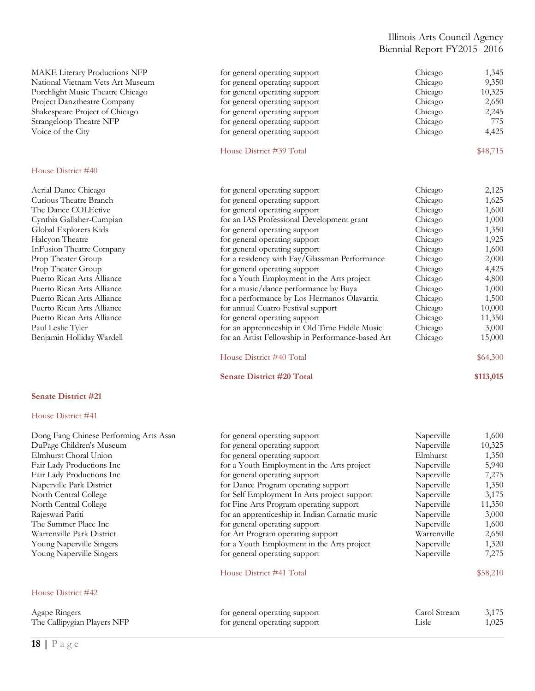| MAKE Literary Productions NFP    |
|----------------------------------|
| National Vietnam Vets Art Museum |
| Porchlight Music Theatre Chicago |
| Project Danztheatre Company      |
| Shakespeare Project of Chicago   |
| Strangeloop Theatre NFP          |
| Voice of the City                |
|                                  |

#### House District #40

| Aerial Dance Chicago            |
|---------------------------------|
| Curious Theatre Branch          |
| The Dance COLEctive             |
| Cynthia Gallaher-Cumpian        |
| Global Explorers Kids           |
| Halcyon Theatre                 |
| <b>InFusion Theatre Company</b> |
| Prop Theater Group              |
| Prop Theater Group              |
| Puerto Rican Arts Alliance      |
| Puerto Rican Arts Alliance      |
| Puerto Rican Arts Alliance      |
| Puerto Rican Arts Alliance      |
| Puerto Rican Arts Alliance      |
| Paul Leslie Tyler               |
| Benjamin Holliday Wardell       |
|                                 |

#### **Senate District #21**

### House District #41

| Dong Fang Chinese Performing Arts Assn |
|----------------------------------------|
| DuPage Children's Museum               |
| Elmhurst Choral Union                  |
| Fair Lady Productions Inc              |
| Fair Lady Productions Inc              |
| Naperville Park District               |
| North Central College                  |
| North Central College                  |
| Rajeswari Pariti                       |
| The Summer Place Inc                   |
| Warrenville Park District              |
| Young Naperville Singers               |
| Young Naperville Singers               |
|                                        |

## House District #42

| Agape Ringers               |  |
|-----------------------------|--|
| The Callipygian Players NFP |  |

| <b>MAKE Literary Productions NFP</b> | for general operating support | Chicago | 1,345  |
|--------------------------------------|-------------------------------|---------|--------|
| National Vietnam Vets Art Museum     | for general operating support | Chicago | 9,350  |
| Porchlight Music Theatre Chicago     | for general operating support | Chicago | 10,325 |
| Project Danztheatre Company          | for general operating support | Chicago | 2,650  |
| Shakespeare Project of Chicago       | for general operating support | Chicago | 2,245  |
| Strangeloop Theatre NFP              | for general operating support | Chicago | 775    |
| Voice of the City                    | for general operating support | Chicago | 4,425  |
|                                      |                               |         |        |

#### House District #39 Total \$48,715

| Aerial Dance Chicago            | for general operating support                     | Chicago | 2,125     |
|---------------------------------|---------------------------------------------------|---------|-----------|
| Curious Theatre Branch          | for general operating support                     | Chicago | 1,625     |
| The Dance COLEctive             | for general operating support                     | Chicago | 1,600     |
| Cynthia Gallaher-Cumpian        | for an IAS Professional Development grant         | Chicago | 1,000     |
| Global Explorers Kids           | for general operating support                     | Chicago | 1,350     |
| Halcyon Theatre                 | for general operating support                     | Chicago | 1,925     |
| <b>InFusion Theatre Company</b> | for general operating support                     | Chicago | 1,600     |
| Prop Theater Group              | for a residency with Fay/Glassman Performance     | Chicago | 2,000     |
| Prop Theater Group              | for general operating support                     | Chicago | 4,425     |
| Puerto Rican Arts Alliance      | for a Youth Employment in the Arts project        | Chicago | 4,800     |
| Puerto Rican Arts Alliance      | for a music/dance performance by Buya             | Chicago | 1,000     |
| Puerto Rican Arts Alliance      | for a performance by Los Hermanos Olavarria       | Chicago | 1,500     |
| Puerto Rican Arts Alliance      | for annual Cuatro Festival support                | Chicago | 10,000    |
| Puerto Rican Arts Alliance      | for general operating support                     | Chicago | 11,350    |
| Paul Leslie Tyler               | for an apprenticeship in Old Time Fiddle Music    | Chicago | 3,000     |
| Benjamin Holliday Wardell       | for an Artist Fellowship in Performance-based Art | Chicago | 15,000    |
|                                 | House District #40 Total                          |         | \$64,300  |
|                                 | <b>Senate District #20 Total</b>                  |         | \$113,015 |

| Dong Fang Chinese Performing Arts Assn | for general operating support                  | Naperville   | 1,600    |
|----------------------------------------|------------------------------------------------|--------------|----------|
| DuPage Children's Museum               | for general operating support                  | Naperville   | 10,325   |
| Elmhurst Choral Union                  | for general operating support                  | Elmhurst     | 1,350    |
| Fair Lady Productions Inc              | for a Youth Employment in the Arts project     | Naperville   | 5,940    |
| Fair Lady Productions Inc              | for general operating support                  | Naperville   | 7,275    |
| Naperville Park District               | for Dance Program operating support            | Naperville   | 1,350    |
| North Central College                  | for Self Employment In Arts project support    | Naperville   | 3,175    |
| North Central College                  | for Fine Arts Program operating support        | Naperville   | 11,350   |
| Rajeswari Pariti                       | for an apprenticeship in Indian Carnatic music | Naperville   | 3,000    |
| The Summer Place Inc                   | for general operating support                  | Naperville   | 1,600    |
| Warrenville Park District              | for Art Program operating support              | Warrenville  | 2,650    |
| Young Naperville Singers               | for a Youth Employment in the Arts project     | Naperville   | 1,320    |
| Young Naperville Singers               | for general operating support                  | Naperville   | 7,275    |
|                                        | House District #41 Total                       |              | \$58,210 |
| House District #42                     |                                                |              |          |
| Agape Ringers                          | for general operating support                  | Carol Stream | 3,175    |

The Callippygian Players NFP for general operating support Lisle 1,025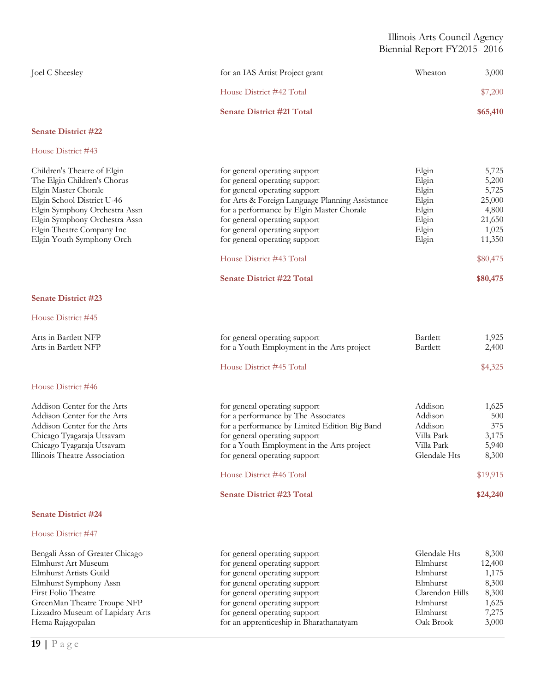| House District #42 Total         | \$7,200  |
|----------------------------------|----------|
| <b>Senate District #21 Total</b> | \$65,410 |

#### **Senate District #22**

#### House District #43

| Children's Theatre of Elgin<br>The Elgin Children's Chorus<br>Elgin Master Chorale<br>Elgin School District U-46<br>Elgin Symphony Orchestra Assn<br>Elgin Symphony Orchestra Assn<br>Elgin Theatre Company Inc<br>Elgin Youth Symphony Orch | for general operating support<br>for general operating support<br>for general operating support<br>for Arts & Foreign Language Planning Assistance<br>for a performance by Elgin Master Chorale<br>for general operating support<br>for general operating support<br>for general operating support<br>House District #43 Total | Elgin<br>Elgin<br>Elgin<br>Elgin<br>Elgin<br>Elgin<br>Elgin<br>Elgin      | 5,725<br>5,200<br>5,725<br>25,000<br>4,800<br>21,650<br>1,025<br>11,350<br>\$80,475 |  |
|----------------------------------------------------------------------------------------------------------------------------------------------------------------------------------------------------------------------------------------------|--------------------------------------------------------------------------------------------------------------------------------------------------------------------------------------------------------------------------------------------------------------------------------------------------------------------------------|---------------------------------------------------------------------------|-------------------------------------------------------------------------------------|--|
|                                                                                                                                                                                                                                              | <b>Senate District #22 Total</b>                                                                                                                                                                                                                                                                                               |                                                                           | \$80,475                                                                            |  |
| <b>Senate District #23</b>                                                                                                                                                                                                                   |                                                                                                                                                                                                                                                                                                                                |                                                                           |                                                                                     |  |
| House District #45                                                                                                                                                                                                                           |                                                                                                                                                                                                                                                                                                                                |                                                                           |                                                                                     |  |
| Arts in Bartlett NFP<br>Arts in Bartlett NFP                                                                                                                                                                                                 | for general operating support<br>for a Youth Employment in the Arts project                                                                                                                                                                                                                                                    | Bartlett<br>Bartlett                                                      | 1,925<br>2,400                                                                      |  |
|                                                                                                                                                                                                                                              | House District #45 Total                                                                                                                                                                                                                                                                                                       |                                                                           | \$4,325                                                                             |  |
| House District #46                                                                                                                                                                                                                           |                                                                                                                                                                                                                                                                                                                                |                                                                           |                                                                                     |  |
| Addison Center for the Arts<br>Addison Center for the Arts<br>Addison Center for the Arts<br>Chicago Tyagaraja Utsavam<br>Chicago Tyagaraja Utsavam<br>Illinois Theatre Association                                                          | for general operating support<br>for a performance by The Associates<br>for a performance by Limited Edition Big Band<br>for general operating support<br>for a Youth Employment in the Arts project<br>for general operating support<br>House District #46 Total                                                              | Addison<br>Addison<br>Addison<br>Villa Park<br>Villa Park<br>Glendale Hts | 1,625<br>500<br>375<br>3,175<br>5,940<br>8,300<br>\$19,915                          |  |
|                                                                                                                                                                                                                                              | <b>Senate District #23 Total</b>                                                                                                                                                                                                                                                                                               |                                                                           | \$24,240                                                                            |  |
| <b>Senate District #24</b>                                                                                                                                                                                                                   |                                                                                                                                                                                                                                                                                                                                |                                                                           |                                                                                     |  |
|                                                                                                                                                                                                                                              |                                                                                                                                                                                                                                                                                                                                |                                                                           |                                                                                     |  |
| House District #47                                                                                                                                                                                                                           |                                                                                                                                                                                                                                                                                                                                |                                                                           |                                                                                     |  |

| for general operating support           | Glendale Hts    | 8,300  |
|-----------------------------------------|-----------------|--------|
| for general operating support           | Elmhurst        | 12,400 |
| for general operating support           | Elmhurst        | 1,175  |
| for general operating support           | Elmhurst        | 8,300  |
| for general operating support           | Clarendon Hills | 8,300  |
| for general operating support           | Elmhurst        | 1,625  |
| for general operating support           | Elmhurst        | 7,275  |
| for an apprenticeship in Bharathanatyam | Oak Brook       | 3,000  |
|                                         |                 |        |

Hema Rajagopalan

Bengali Assn of Greater Chicago

GreenMan Theatre Troupe NFP Lizzadro Museum of Lapidary Arts

Elmhurst Art Museum Elmhurst Artists Guild Elmhurst Symphony Assn First Folio Theatre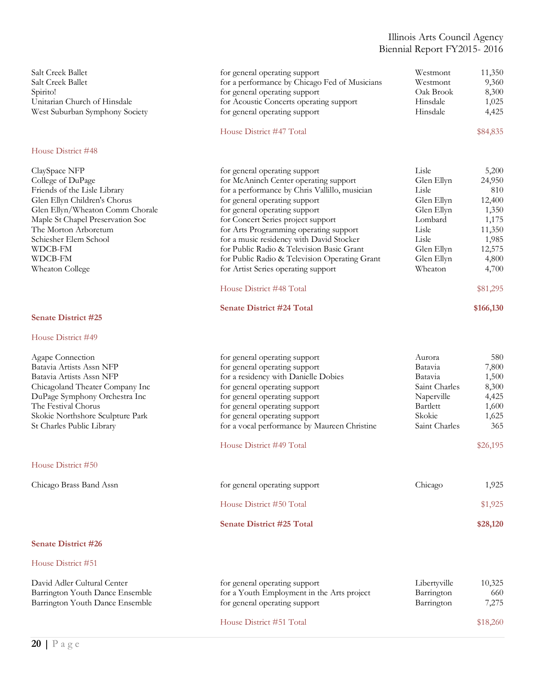| Salt Creek Ballet              |
|--------------------------------|
| Salt Creek Ballet              |
| Spirito!                       |
| Unitarian Church of Hinsdale   |
| West Suburban Symphony Society |

#### House District #48

| ClaySpace NFP                    |
|----------------------------------|
| College of DuPage                |
| Friends of the Lisle Library     |
| Glen Ellyn Children's Chorus     |
| Glen Ellyn/Wheaton Comm Chorale  |
| Maple St Chapel Preservation Soc |
| The Morton Arboretum             |
| Schiesher Elem School            |
| WDCB-FM                          |
| WDCB-FM                          |
| Wheaton College                  |

#### **Senate District #25**

#### House District #49

| Agape Connection                 |
|----------------------------------|
| Batavia Artists Assn NFP         |
| Batavia Artists Assn NFP         |
| Chicagoland Theater Company Inc  |
| DuPage Symphony Orchestra Inc    |
| The Festival Chorus              |
| Skokie Northshore Sculpture Park |
| St Charles Public Library        |

#### House District #50

Chicago Brass Band Assn for Ghicago 1,925 for general operation of the Ghicago 1,925 for Ghicago 1,925 for Ghi

# for general operating support Westmont 11,350<br>for a performance by Chicago Fed of Musicians Westmont 9,360 for a performance by Chicago Fed of Musicians Westmont 9,360 for general operating support Cak Brook 8,300 for Acoustic Concerts operating support Hinsdale 1,025<br>for general operating support Hinsdale 4,425 for general operating support Hinsdale 4,425 House District #47 Total \$84,835

| ClaySpace NFP                    | for general operating support                 | Lisle      | 5,200    |
|----------------------------------|-----------------------------------------------|------------|----------|
| College of DuPage                | for McAninch Center operating support         | Glen Ellyn | 24,950   |
| Friends of the Lisle Library     | for a performance by Chris Vallillo, musician | Lisle      | 810      |
| Glen Ellyn Children's Chorus     | for general operating support                 | Glen Ellyn | 12,400   |
| Glen Ellyn/Wheaton Comm Chorale  | for general operating support                 | Glen Ellyn | 1,350    |
| Maple St Chapel Preservation Soc | for Concert Series project support            | Lombard    | 1,175    |
| The Morton Arboretum             | for Arts Programming operating support        | Lisle      | 11,350   |
| Schiesher Elem School            | for a music residency with David Stocker      | Lisle      | 1,985    |
| WDCB-FM                          | for Public Radio & Television Basic Grant     | Glen Ellyn | 12,575   |
| WDCB-FM                          | for Public Radio & Television Operating Grant | Glen Ellyn | 4,800    |
| Wheaton College                  | for Artist Series operating support           | Wheaton    | 4,700    |
|                                  | House District #48 Total                      |            | \$81,295 |
|                                  | _____________                                 |            |          |

**Senate District #24 Total \$166,130**

| Agape Connection                 | for general operating support                | Aurora        | 580      |
|----------------------------------|----------------------------------------------|---------------|----------|
| Batavia Artists Assn NFP         | for general operating support                | Batavia       | 7,800    |
| Batavia Artists Assn NFP         | for a residency with Danielle Dobies         | Batavia       | 1,500    |
| Chicagoland Theater Company Inc  | for general operating support                | Saint Charles | 8,300    |
| DuPage Symphony Orchestra Inc    | for general operating support                | Naperville    | 4,425    |
| The Festival Chorus              | for general operating support                | Bartlett      | 1,600    |
| Skokie Northshore Sculpture Park | for general operating support                | Skokie        | 1,625    |
| St Charles Public Library        | for a vocal performance by Maureen Christine | Saint Charles | 365      |
|                                  | House District #49 Total                     |               | \$26,195 |
|                                  |                                              |               |          |

| for general operating support    | Chicago | 1.925    |
|----------------------------------|---------|----------|
| House District #50 Total         |         | \$1,925  |
| <b>Senate District #25 Total</b> |         | \$28,120 |

#### **Senate District #26**

| David Adler Cultural Center     |
|---------------------------------|
| Barrington Youth Dance Ensemble |
| Barrington Youth Dance Ensemble |

| David Adler Cultural Center     | for general operating support              | Libertyville | 10,325   |
|---------------------------------|--------------------------------------------|--------------|----------|
| Barrington Youth Dance Ensemble | for a Youth Employment in the Arts project | Barrington   | 660      |
| Barrington Youth Dance Ensemble | for general operating support              | Barrington   | 7,275    |
|                                 | House District #51 Total                   |              | \$18,260 |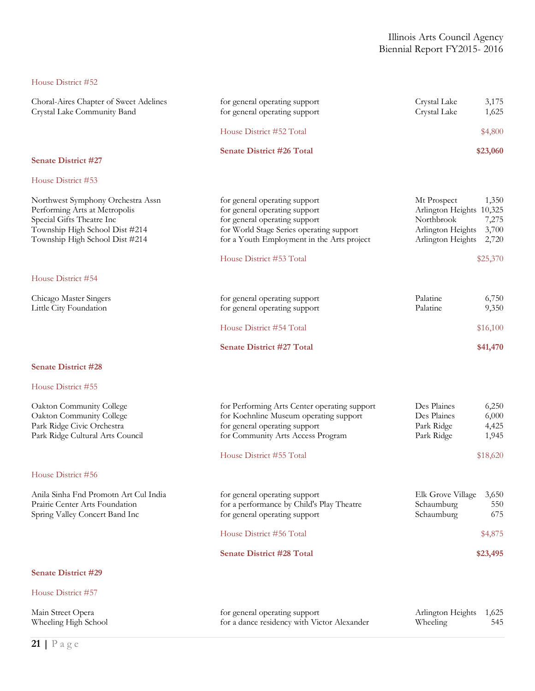| Choral-Aires Chapter of Sweet Adelines<br>Crystal Lake Community Band                                                                                               | for general operating support<br>for general operating support                                                                                                                            | Crystal Lake<br>3,175<br>Crystal Lake<br>1,625                                                                                      |
|---------------------------------------------------------------------------------------------------------------------------------------------------------------------|-------------------------------------------------------------------------------------------------------------------------------------------------------------------------------------------|-------------------------------------------------------------------------------------------------------------------------------------|
|                                                                                                                                                                     | House District #52 Total                                                                                                                                                                  | \$4,800                                                                                                                             |
| <b>Senate District #27</b>                                                                                                                                          | <b>Senate District #26 Total</b>                                                                                                                                                          | \$23,060                                                                                                                            |
| House District #53                                                                                                                                                  |                                                                                                                                                                                           |                                                                                                                                     |
| Northwest Symphony Orchestra Assn<br>Performing Arts at Metropolis<br>Special Gifts Theatre Inc<br>Township High School Dist #214<br>Township High School Dist #214 | for general operating support<br>for general operating support<br>for general operating support<br>for World Stage Series operating support<br>for a Youth Employment in the Arts project | Mt Prospect<br>1,350<br>Arlington Heights 10,325<br>Northbrook<br>7,275<br>Arlington Heights<br>3,700<br>Arlington Heights<br>2,720 |
|                                                                                                                                                                     | House District #53 Total                                                                                                                                                                  | \$25,370                                                                                                                            |
| House District #54                                                                                                                                                  |                                                                                                                                                                                           |                                                                                                                                     |
| Chicago Master Singers<br>Little City Foundation                                                                                                                    | for general operating support<br>for general operating support                                                                                                                            | Palatine<br>6,750<br>Palatine<br>9,350                                                                                              |
|                                                                                                                                                                     | House District #54 Total                                                                                                                                                                  | \$16,100                                                                                                                            |
|                                                                                                                                                                     | Senate District #27 Total                                                                                                                                                                 | \$41,470                                                                                                                            |
| <b>Senate District #28</b>                                                                                                                                          |                                                                                                                                                                                           |                                                                                                                                     |
| House District #55                                                                                                                                                  |                                                                                                                                                                                           |                                                                                                                                     |
| <b>Oakton Community College</b><br>Oakton Community College<br>Park Ridge Civic Orchestra<br>Park Ridge Cultural Arts Council                                       | for Performing Arts Center operating support<br>for Koehnline Museum operating support<br>for general operating support<br>for Community Arts Access Program<br>House District #55 Total  | Des Plaines<br>6,250<br>Des Plaines<br>6,000<br>Park Ridge<br>4,425<br>Park Ridge<br>1,945<br>\$18,620                              |
| House District #56                                                                                                                                                  |                                                                                                                                                                                           |                                                                                                                                     |
| Anila Sinha Fnd Promotn Art Cul India<br>Prairie Center Arts Foundation<br>Spring Valley Concert Band Inc                                                           | for general operating support<br>for a performance by Child's Play Theatre<br>for general operating support                                                                               | Elk Grove Village<br>3,650<br>Schaumburg<br>550<br>Schaumburg<br>675                                                                |
|                                                                                                                                                                     | House District #56 Total                                                                                                                                                                  | \$4,875                                                                                                                             |
|                                                                                                                                                                     | <b>Senate District #28 Total</b>                                                                                                                                                          | \$23,495                                                                                                                            |
| <b>Senate District #29</b>                                                                                                                                          |                                                                                                                                                                                           |                                                                                                                                     |
| House District #57                                                                                                                                                  |                                                                                                                                                                                           |                                                                                                                                     |
| Main Street Opera<br>Wheeling High School                                                                                                                           | for general operating support<br>for a dance residency with Victor Alexander                                                                                                              | Arlington Heights<br>1,625<br>Wheeling<br>545                                                                                       |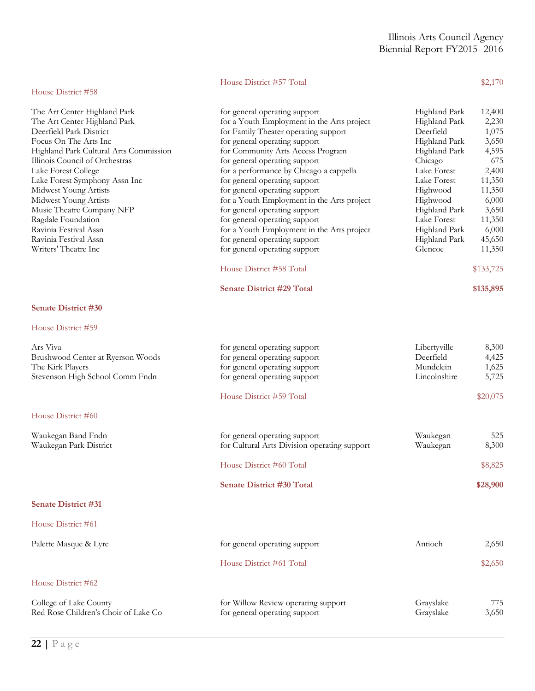For general operating support Highland Park 12,400 for a Youth Employment in the Arts project Highland Park 2,230 For Family Theater operating support Deerfield 1,075<br>
Park 1,075<br>
Park 3,650 For general operating support For general operating support Highland Park 3,650<br>
For Community Arts Access Program Highland Park 4,595 For Community Arts Access Program Highland Park 4,595<br>
for general operating support Chicago 675 Illinois Chicago 675 for a performance by Chicago a cappella Lake Forest 2,400 for general operating support Lake Forest 11,350 for general operating support Highwood 11,350 for a Youth Employment in the Arts project Highwood 6,000 for general operating support Highland Park 3,650 For general operating support Lake Forest 11,350<br>
for a Youth Employment in the Arts project Highland Park 6,000 For a Youth Employment in the Arts project Highland Park 6,000<br>for general operating support Highland Park 45,650 For general operating support Highland Park 45,650 for general operating support Glencoe 11,350

House District #58 Total \$133,725

**Senate District #29 Total \$135,895**

#### House District #58

| The Art Center Highland Park           |
|----------------------------------------|
| The Art Center Highland Park           |
| Deerfield Park District                |
| Focus On The Arts Inc                  |
| Highland Park Cultural Arts Commission |
| Illinois Council of Orchestras         |
| Lake Forest College                    |
| Lake Forest Symphony Assn Inc          |
| Midwest Young Artists                  |
| Midwest Young Artists                  |
| Music Theatre Company NFP              |
| Ragdale Foundation                     |
| Ravinia Festival Assn                  |
| Ravinia Festival Assn                  |
| Writers' Theatre Inc                   |

#### **Senate District #30**

#### House District #59

| Ars Viva<br>Brushwood Center at Ryerson Woods<br>The Kirk Players<br>Stevenson High School Comm Fndn | for general operating support<br>for general operating support<br>for general operating support<br>for general operating support | Libertyville<br>Deerfield<br>Mundelein<br>Lincolnshire | 8,300<br>4,425<br>1,625<br>5,725 |
|------------------------------------------------------------------------------------------------------|----------------------------------------------------------------------------------------------------------------------------------|--------------------------------------------------------|----------------------------------|
|                                                                                                      | House District #59 Total                                                                                                         |                                                        | \$20,075                         |
| House District #60                                                                                   |                                                                                                                                  |                                                        |                                  |
| Waukegan Band Fndn<br>Waukegan Park District                                                         | for general operating support<br>for Cultural Arts Division operating support                                                    | Waukegan<br>Waukegan                                   | 525<br>8,300                     |
|                                                                                                      | House District #60 Total                                                                                                         |                                                        | \$8,825                          |
|                                                                                                      | <b>Senate District #30 Total</b>                                                                                                 |                                                        | \$28,900                         |
| <b>Senate District #31</b>                                                                           |                                                                                                                                  |                                                        |                                  |
| House District #61                                                                                   |                                                                                                                                  |                                                        |                                  |
| Palette Masque & Lyre                                                                                | for general operating support                                                                                                    | Antioch                                                | 2,650                            |
|                                                                                                      | House District #61 Total                                                                                                         |                                                        | \$2,650                          |
| House District #62                                                                                   |                                                                                                                                  |                                                        |                                  |
| College of Lake County<br>Red Rose Children's Choir of Lake Co                                       | for Willow Review operating support<br>for general operating support                                                             | Grayslake<br>Grayslake                                 | 775<br>3,650                     |

#### House District #57 Total \$2,170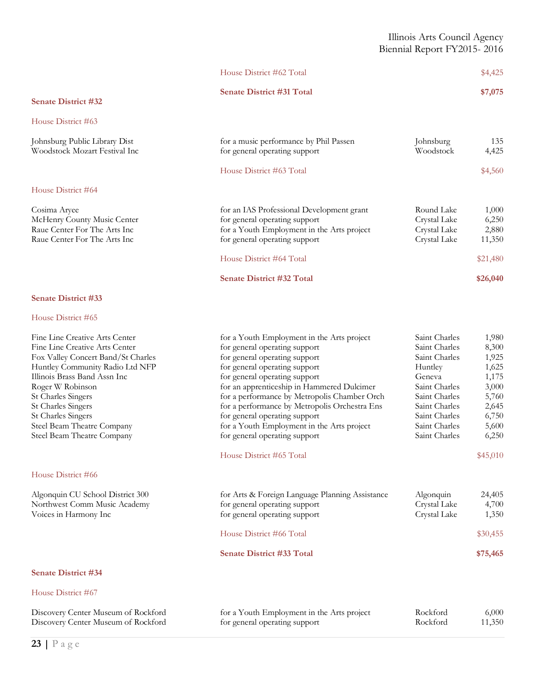| House District #62 Total         | \$4,425 |
|----------------------------------|---------|
| <b>Senate District #31 Total</b> | \$7,075 |
|                                  |         |

| Johnsburg Public Library Dist<br>Woodstock Mozart Festival Inc                                              | for a music performance by Phil Passen<br>for general operating support                                                                                   | Johnsburg<br>Woodstock                                     | 135<br>4,425                      |
|-------------------------------------------------------------------------------------------------------------|-----------------------------------------------------------------------------------------------------------------------------------------------------------|------------------------------------------------------------|-----------------------------------|
|                                                                                                             | House District #63 Total                                                                                                                                  |                                                            | \$4,560                           |
| House District #64                                                                                          |                                                                                                                                                           |                                                            |                                   |
| Cosima Aryee<br>McHenry County Music Center<br>Raue Center For The Arts Inc<br>Raue Center For The Arts Inc | for an IAS Professional Development grant<br>for general operating support<br>for a Youth Employment in the Arts project<br>for general operating support | Round Lake<br>Crystal Lake<br>Crystal Lake<br>Crystal Lake | 1,000<br>6.250<br>2,880<br>11,350 |
|                                                                                                             | House District #64 Total                                                                                                                                  |                                                            | \$21,480                          |
|                                                                                                             | <b>Senate District #32 Total</b>                                                                                                                          |                                                            | \$26,040                          |

# **Senate District #33**

**Senate District #32**

House District #63

### House District #65

| Fine Line Creative Arts Center     | for a Youth Employment in the Arts project    | Saint Charles | 1,980    |
|------------------------------------|-----------------------------------------------|---------------|----------|
| Fine Line Creative Arts Center     | for general operating support                 | Saint Charles | 8,300    |
| Fox Valley Concert Band/St Charles | for general operating support                 | Saint Charles | 1,925    |
| Huntley Community Radio Ltd NFP    | for general operating support                 | Huntley       | 1,625    |
| Illinois Brass Band Assn Inc       | for general operating support                 | Geneva        | 1,175    |
| Roger W Robinson                   | for an apprenticeship in Hammered Dulcimer    | Saint Charles | 3,000    |
| St Charles Singers                 | for a performance by Metropolis Chamber Orch  | Saint Charles | 5,760    |
| St Charles Singers                 | for a performance by Metropolis Orchestra Ens | Saint Charles | 2,645    |
| St Charles Singers                 | for general operating support                 | Saint Charles | 6,750    |
| Steel Beam Theatre Company         | for a Youth Employment in the Arts project    | Saint Charles | 5,600    |
| Steel Beam Theatre Company         | for general operating support                 | Saint Charles | 6,250    |
|                                    | House District #65 Total                      |               | \$45,010 |

## House District #66

| Algonquin CU School District 300<br>Northwest Comm Music Academy<br>Voices in Harmony Inc | for Arts & Foreign Language Planning Assistance<br>for general operating support<br>for general operating support | Algonquin<br>Crystal Lake<br>Crystal Lake | 24,405<br>4,700<br>1,350 |
|-------------------------------------------------------------------------------------------|-------------------------------------------------------------------------------------------------------------------|-------------------------------------------|--------------------------|
|                                                                                           | House District #66 Total                                                                                          |                                           | \$30,455                 |
|                                                                                           | <b>Senate District #33 Total</b>                                                                                  |                                           | \$75,465                 |
| <b>Senate District #34</b>                                                                |                                                                                                                   |                                           |                          |
| <b>TT TAIL ILLE</b>                                                                       |                                                                                                                   |                                           |                          |

| Discovery Center Museum of Rockford | for a Youth Employment in the Arts project | Rockford | 6,000  |
|-------------------------------------|--------------------------------------------|----------|--------|
| Discovery Center Museum of Rockford | for general operating support              | Rockford | 11,350 |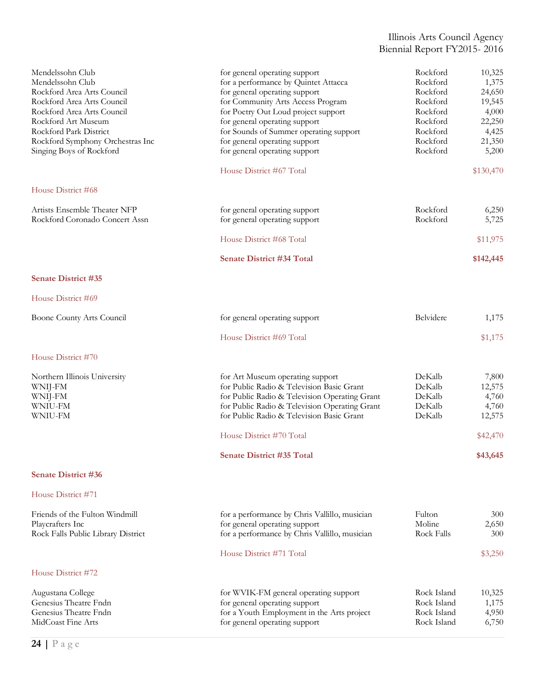| Mendelssohn Club<br>Mendelssohn Club<br>Rockford Area Arts Council<br>Rockford Area Arts Council | for general operating support<br>for a performance by Quintet Attacca<br>for general operating support<br>for Community Arts Access Program | Rockford<br>Rockford<br>Rockford<br>Rockford | 10,325<br>1,375<br>24,650<br>19,545 |
|--------------------------------------------------------------------------------------------------|---------------------------------------------------------------------------------------------------------------------------------------------|----------------------------------------------|-------------------------------------|
| Rockford Area Arts Council                                                                       | for Poetry Out Loud project support                                                                                                         | Rockford                                     | 4,000                               |
| Rockford Art Museum                                                                              | for general operating support                                                                                                               | Rockford                                     | 22,250                              |
| Rockford Park District                                                                           | for Sounds of Summer operating support                                                                                                      | Rockford                                     | 4,425                               |
| Rockford Symphony Orchestras Inc                                                                 | for general operating support                                                                                                               | Rockford                                     | 21,350                              |
| Singing Boys of Rockford                                                                         | for general operating support                                                                                                               | Rockford                                     | 5,200                               |
|                                                                                                  | House District #67 Total                                                                                                                    |                                              | \$130,470                           |
| House District #68                                                                               |                                                                                                                                             |                                              |                                     |
| Artists Ensemble Theater NFP                                                                     | for general operating support                                                                                                               | Rockford                                     | 6,250                               |
| Rockford Coronado Concert Assn                                                                   | for general operating support                                                                                                               | Rockford                                     | 5,725                               |
|                                                                                                  | House District #68 Total                                                                                                                    |                                              | \$11,975                            |
|                                                                                                  | <b>Senate District #34 Total</b>                                                                                                            |                                              | \$142,445                           |
| <b>Senate District #35</b>                                                                       |                                                                                                                                             |                                              |                                     |
| House District #69                                                                               |                                                                                                                                             |                                              |                                     |
| Boone County Arts Council                                                                        | for general operating support                                                                                                               | Belvidere                                    | 1,175                               |
|                                                                                                  | House District #69 Total                                                                                                                    |                                              | \$1,175                             |
| House District #70                                                                               |                                                                                                                                             |                                              |                                     |
| Northern Illinois University                                                                     | for Art Museum operating support                                                                                                            | DeKalb                                       | 7,800                               |
| WNIJ-FM                                                                                          | for Public Radio & Television Basic Grant                                                                                                   | DeKalb                                       | 12,575                              |
| WNIJ-FM                                                                                          | for Public Radio & Television Operating Grant                                                                                               | DeKalb                                       | 4,760                               |
| WNIU-FM<br>WNIU-FM                                                                               | for Public Radio & Television Operating Grant<br>for Public Radio & Television Basic Grant                                                  | DeKalb<br>DeKalb                             | 4,760                               |
|                                                                                                  |                                                                                                                                             |                                              | 12,575                              |
|                                                                                                  | House District #70 Total                                                                                                                    |                                              | \$42,470                            |
|                                                                                                  | <b>Senate District #35 Total</b>                                                                                                            |                                              | \$43,645                            |
| <b>Senate District #36</b>                                                                       |                                                                                                                                             |                                              |                                     |
| House District #71                                                                               |                                                                                                                                             |                                              |                                     |
| Friends of the Fulton Windmill                                                                   | for a performance by Chris Vallillo, musician                                                                                               | Fulton                                       | 300                                 |
| Playcrafters Inc                                                                                 | for general operating support                                                                                                               | Moline                                       | 2,650                               |
| Rock Falls Public Library District                                                               | for a performance by Chris Vallillo, musician                                                                                               | Rock Falls                                   | 300                                 |
|                                                                                                  | House District #71 Total                                                                                                                    |                                              | \$3,250                             |
| House District #72                                                                               |                                                                                                                                             |                                              |                                     |
| Augustana College                                                                                | for WVIK-FM general operating support                                                                                                       | Rock Island                                  | 10,325                              |
| Genesius Theatre Fndn                                                                            | for general operating support                                                                                                               | Rock Island                                  | 1,175                               |
| Genesius Theatre Fndn<br>MidCoast Fine Arts                                                      | for a Youth Employment in the Arts project<br>for general operating support                                                                 | Rock Island<br>Rock Island                   | 4,950<br>6,750                      |
|                                                                                                  |                                                                                                                                             |                                              |                                     |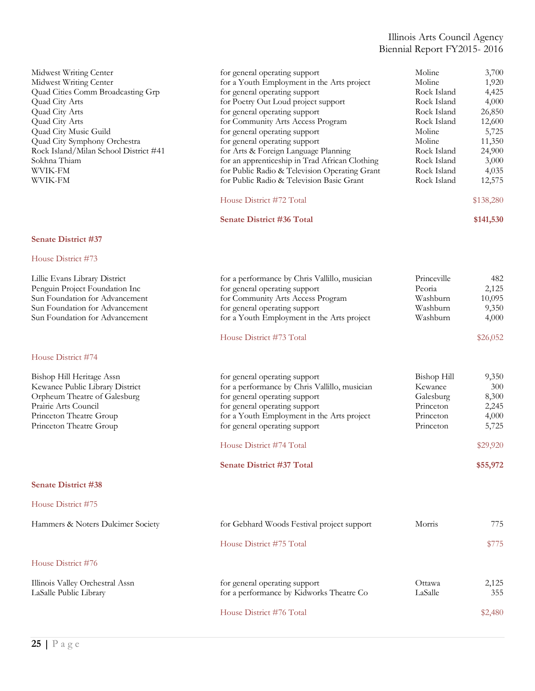Midwest Writing Center **for general operating support** Moline 3,700<br>Midwest Writing Center **for a Youth Employment in the Arts project** Moline 1,920 Midwest Writing Center for a Youth Employment in the Arts project Moline 1,920 Quad Cities Comm Broadcasting Grp for general operating support Rock Island 4,425 Quad City Arts for Poetry Out Loud project support Rock Island 4,000 Quad City Arts **Formulate Contract Contract Contract Contract Contract Contract Contract Contract Contract Contract Contract Contract Contract Contract Contract Contract Contract Contract Contract Contract Contract Contrac** Quad City Arts for Community Arts Access Program Rock Island 12,600 Quad City Music Guild for general operating support Moline 5,725 Quad City Symphony Orchestra for general operating support Moline 11,350<br>Rock Island/Milan School District #41 for Arts & Foreign Language Planning Rock Island 24,900 Sokhna Thiam **for an apprenticeship in Trad African Clothing** Rock Island 3,000 WVIK-FM for Public Radio & Television Operating Grant Rock Island 4,035 WVIK-FM for Public Radio & Television Basic Grant Rock Island 12,575

#### **Senate District #37**

#### House District #73

| Lillie Evans Library District<br>Penguin Project Foundation Inc<br>Sun Foundation for Advancement<br>Sun Foundation for Advancement<br>Sun Foundation for Advancement      | for a performance by Chris Vallillo, musician<br>for general operating support<br>for Community Arts Access Program<br>for general operating support<br>for a Youth Employment in the Arts project                                                                                                                | Princeville<br>Peoria<br>Washburn<br>Washburn<br>Washburn                  | 482<br>2,125<br>10,095<br>9,350<br>4,000                                 |
|----------------------------------------------------------------------------------------------------------------------------------------------------------------------------|-------------------------------------------------------------------------------------------------------------------------------------------------------------------------------------------------------------------------------------------------------------------------------------------------------------------|----------------------------------------------------------------------------|--------------------------------------------------------------------------|
|                                                                                                                                                                            | House District #73 Total                                                                                                                                                                                                                                                                                          |                                                                            | \$26,052                                                                 |
| House District #74                                                                                                                                                         |                                                                                                                                                                                                                                                                                                                   |                                                                            |                                                                          |
| Bishop Hill Heritage Assn<br>Kewanee Public Library District<br>Orpheum Theatre of Galesburg<br>Prairie Arts Council<br>Princeton Theatre Group<br>Princeton Theatre Group | for general operating support<br>for a performance by Chris Vallillo, musician<br>for general operating support<br>for general operating support<br>for a Youth Employment in the Arts project<br>for general operating support<br>House District #74 Total<br><b>Senate District #37 Total</b>                   | Bishop Hill<br>Kewanee<br>Galesburg<br>Princeton<br>Princeton<br>Princeton | 9,350<br>300<br>8,300<br>2,245<br>4,000<br>5,725<br>\$29,920<br>\$55,972 |
| <b>Senate District #38</b>                                                                                                                                                 |                                                                                                                                                                                                                                                                                                                   |                                                                            |                                                                          |
| House District #75                                                                                                                                                         |                                                                                                                                                                                                                                                                                                                   |                                                                            |                                                                          |
| Hammers & Noters Dulcimer Society                                                                                                                                          | for Gebhard Woods Festival project support                                                                                                                                                                                                                                                                        | Morris                                                                     | 775                                                                      |
|                                                                                                                                                                            | House District #75 Total                                                                                                                                                                                                                                                                                          |                                                                            | \$775                                                                    |
| House District #76                                                                                                                                                         |                                                                                                                                                                                                                                                                                                                   |                                                                            |                                                                          |
| $T11' \quad T11 \quad \bigcap \quad 1 \quad \dots \quad 11$                                                                                                                | $\mathcal{C}$ and $\mathcal{C}$ and $\mathcal{C}$ and $\mathcal{C}$ and $\mathcal{C}$ and $\mathcal{C}$ and $\mathcal{C}$ and $\mathcal{C}$ and $\mathcal{C}$ and $\mathcal{C}$ and $\mathcal{C}$ and $\mathcal{C}$ and $\mathcal{C}$ and $\mathcal{C}$ and $\mathcal{C}$ and $\mathcal{C}$ and $\mathcal{C}$ and | $\bigcap_{i=1}^n$                                                          | 0.105                                                                    |

for Arts & Foreign Language Planning

House District #72 Total \$138,280

**Senate District #36 Total \$141,530** 

Illinois Valley Orchestral Assn for general operating support Ottawa 2,125 LaSalle Public Library for a performance by Kidworks Theatre Co LaSalle 355 House District #76 Total \$2,480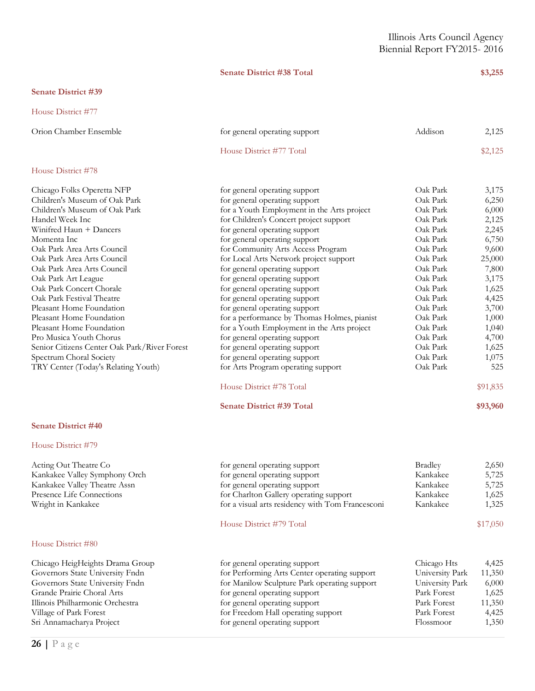### **Senate District #38 Total \$3,255**

#### **Senate District #39**

House District #77

Orion Chamber Ensemble for general operating support Addison 2,125

#### House District #78

| Chicago Folks Operetta NFP                   | for general operating support               | Oak Park | 3,175    |
|----------------------------------------------|---------------------------------------------|----------|----------|
| Children's Museum of Oak Park                | for general operating support               | Oak Park | 6,250    |
| Children's Museum of Oak Park                | for a Youth Employment in the Arts project  | Oak Park | 6,000    |
| Handel Week Inc                              | for Children's Concert project support      | Oak Park | 2,125    |
| Winifred Haun + Dancers                      | for general operating support               | Oak Park | 2,245    |
| Momenta Inc                                  | for general operating support               | Oak Park | 6,750    |
| Oak Park Area Arts Council                   | for Community Arts Access Program           | Oak Park | 9,600    |
| Oak Park Area Arts Council                   | for Local Arts Network project support      | Oak Park | 25,000   |
| Oak Park Area Arts Council                   | for general operating support               | Oak Park | 7,800    |
| Oak Park Art League                          | for general operating support               | Oak Park | 3,175    |
| Oak Park Concert Chorale                     | for general operating support               | Oak Park | 1,625    |
| Oak Park Festival Theatre                    | for general operating support               | Oak Park | 4,425    |
| Pleasant Home Foundation                     | for general operating support               | Oak Park | 3,700    |
| Pleasant Home Foundation                     | for a performance by Thomas Holmes, pianist | Oak Park | 1,000    |
| Pleasant Home Foundation                     | for a Youth Employment in the Arts project  | Oak Park | 1,040    |
| Pro Musica Youth Chorus                      | for general operating support               | Oak Park | 4,700    |
| Senior Citizens Center Oak Park/River Forest | for general operating support               | Oak Park | 1,625    |
| Spectrum Choral Society                      | for general operating support               | Oak Park | 1,075    |
| TRY Center (Today's Relating Youth)          | for Arts Program operating support          | Oak Park | 525      |
|                                              | House District #78 Total                    |          | \$91,835 |

#### **Senate District #40**

#### House District #79

Acting Out Theatre Co Kankakee Valley Symphony Orch Kankakee Valley Theatre Assn Presence Life Connections Wright in Kankakee

#### House District #80

Chicago HeigHeights Drama Group Governors State University Fndn Governors State University Fndn Grande Prairie Choral Arts Illinois Philharmonic Orchestra Village of Park Forest Sri Annamacharya Project

| for general operating support                    | <b>Bradley</b> | 2,650    |
|--------------------------------------------------|----------------|----------|
| for general operating support                    | Kankakee       | 5,725    |
| for general operating support                    | Kankakee       | 5,725    |
| for Charlton Gallery operating support           | Kankakee       | 1,625    |
| for a visual arts residency with Tom Francesconi | Kankakee       | 1,325    |
| House District #79 Total                         |                | \$17,050 |

**Senate District #39 Total \$93,960**

House District #77 Total \$2,125

| for general operating support                | Chicago Hts     | 4,425  |
|----------------------------------------------|-----------------|--------|
| for Performing Arts Center operating support | University Park | 11,350 |
| for Manilow Sculpture Park operating support | University Park | 6,000  |
| for general operating support                | Park Forest     | 1,625  |
| for general operating support                | Park Forest     | 11,350 |
| for Freedom Hall operating support           | Park Forest     | 4,425  |
| for general operating support                | Flossmoor       | 1,350  |
|                                              |                 |        |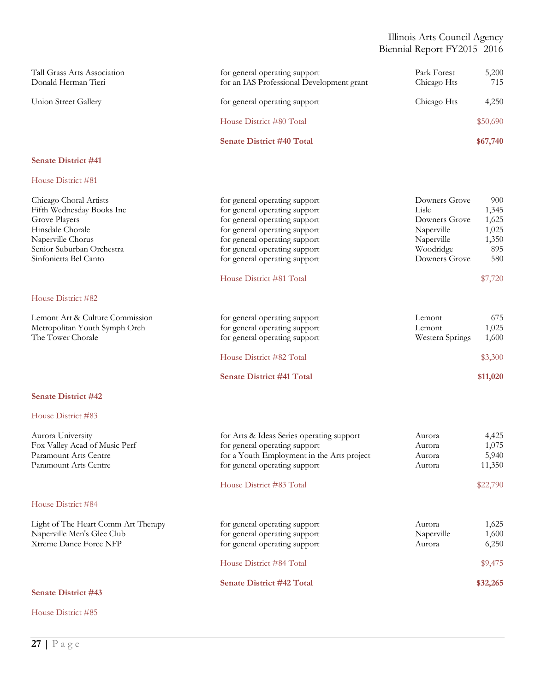| Tall Grass Arts Association<br>Donald Herman Tieri                                                                                                                  | for general operating support<br>for an IAS Professional Development grant                                                                                                                                                                                      | Park Forest<br>Chicago Hts                                                                        | 5,200<br>715                                                     |
|---------------------------------------------------------------------------------------------------------------------------------------------------------------------|-----------------------------------------------------------------------------------------------------------------------------------------------------------------------------------------------------------------------------------------------------------------|---------------------------------------------------------------------------------------------------|------------------------------------------------------------------|
| Union Street Gallery                                                                                                                                                | for general operating support                                                                                                                                                                                                                                   | Chicago Hts                                                                                       | 4,250                                                            |
|                                                                                                                                                                     | House District #80 Total                                                                                                                                                                                                                                        |                                                                                                   | \$50,690                                                         |
|                                                                                                                                                                     | <b>Senate District #40 Total</b>                                                                                                                                                                                                                                |                                                                                                   | \$67,740                                                         |
| <b>Senate District #41</b>                                                                                                                                          |                                                                                                                                                                                                                                                                 |                                                                                                   |                                                                  |
| House District #81                                                                                                                                                  |                                                                                                                                                                                                                                                                 |                                                                                                   |                                                                  |
| Chicago Choral Artists<br>Fifth Wednesday Books Inc<br>Grove Players<br>Hinsdale Chorale<br>Naperville Chorus<br>Senior Suburban Orchestra<br>Sinfonietta Bel Canto | for general operating support<br>for general operating support<br>for general operating support<br>for general operating support<br>for general operating support<br>for general operating support<br>for general operating support<br>House District #81 Total | Downers Grove<br>Lisle<br>Downers Grove<br>Naperville<br>Naperville<br>Woodridge<br>Downers Grove | 900<br>1,345<br>1,625<br>1,025<br>1,350<br>895<br>580<br>\$7,720 |
| House District #82                                                                                                                                                  |                                                                                                                                                                                                                                                                 |                                                                                                   |                                                                  |
| Lemont Art & Culture Commission<br>Metropolitan Youth Symph Orch<br>The Tower Chorale                                                                               | for general operating support<br>for general operating support<br>for general operating support<br>House District #82 Total                                                                                                                                     | Lemont<br>Lemont<br>Western Springs                                                               | 675<br>1,025<br>1,600<br>\$3,300                                 |
|                                                                                                                                                                     | <b>Senate District #41 Total</b>                                                                                                                                                                                                                                |                                                                                                   | \$11,020                                                         |
| <b>Senate District #42</b>                                                                                                                                          |                                                                                                                                                                                                                                                                 |                                                                                                   |                                                                  |
| House District #83                                                                                                                                                  |                                                                                                                                                                                                                                                                 |                                                                                                   |                                                                  |
| Aurora University<br>Fox Valley Acad of Music Perf<br>Paramount Arts Centre<br>Paramount Arts Centre                                                                | for Arts & Ideas Series operating support<br>for general operating support<br>for a Youth Employment in the Arts project<br>for general operating support<br>House District #83 Total                                                                           | Aurora<br>Aurora<br>Aurora<br>Aurora                                                              | 4,425<br>1,075<br>5,940<br>11,350<br>\$22,790                    |
| House District #84                                                                                                                                                  |                                                                                                                                                                                                                                                                 |                                                                                                   |                                                                  |
| Light of The Heart Comm Art Therapy<br>Naperville Men's Glee Club<br>Xtreme Dance Force NFP                                                                         | for general operating support<br>for general operating support<br>for general operating support                                                                                                                                                                 | Aurora<br>Naperville<br>Aurora                                                                    | 1,625<br>1,600<br>6,250                                          |
|                                                                                                                                                                     | House District #84 Total                                                                                                                                                                                                                                        |                                                                                                   | \$9,475                                                          |
| <b>Senate District #43</b>                                                                                                                                          | <b>Senate District #42 Total</b>                                                                                                                                                                                                                                |                                                                                                   | \$32,265                                                         |
| House District #85                                                                                                                                                  |                                                                                                                                                                                                                                                                 |                                                                                                   |                                                                  |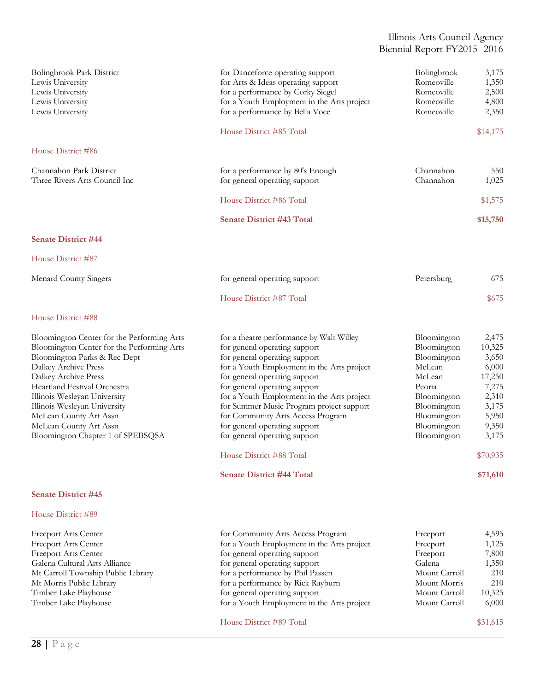| Bolingbrook Park District<br>Lewis University<br>Lewis University<br>Lewis University<br>Lewis University                                                                                                                                                                                                                                                         | for Danceforce operating support<br>for Arts & Ideas operating support<br>for a performance by Corky Siegel<br>for a Youth Employment in the Arts project<br>for a performance by Bella Voce                                                                                                                                                                                                                                                                                                | Bolingbrook<br>Romeoville<br>Romeoville<br>Romeoville<br>Romeoville                                                                                | 3,175<br>1,350<br>2,500<br>4,800<br>2,350                                                                                 |
|-------------------------------------------------------------------------------------------------------------------------------------------------------------------------------------------------------------------------------------------------------------------------------------------------------------------------------------------------------------------|---------------------------------------------------------------------------------------------------------------------------------------------------------------------------------------------------------------------------------------------------------------------------------------------------------------------------------------------------------------------------------------------------------------------------------------------------------------------------------------------|----------------------------------------------------------------------------------------------------------------------------------------------------|---------------------------------------------------------------------------------------------------------------------------|
|                                                                                                                                                                                                                                                                                                                                                                   | House District #85 Total                                                                                                                                                                                                                                                                                                                                                                                                                                                                    |                                                                                                                                                    | \$14,175                                                                                                                  |
| House District #86                                                                                                                                                                                                                                                                                                                                                |                                                                                                                                                                                                                                                                                                                                                                                                                                                                                             |                                                                                                                                                    |                                                                                                                           |
| Channahon Park District<br>Three Rivers Arts Council Inc                                                                                                                                                                                                                                                                                                          | for a performance by 80's Enough<br>for general operating support                                                                                                                                                                                                                                                                                                                                                                                                                           | Channahon<br>Channahon                                                                                                                             | 550<br>1,025                                                                                                              |
|                                                                                                                                                                                                                                                                                                                                                                   | House District #86 Total                                                                                                                                                                                                                                                                                                                                                                                                                                                                    |                                                                                                                                                    | \$1,575                                                                                                                   |
|                                                                                                                                                                                                                                                                                                                                                                   | <b>Senate District #43 Total</b>                                                                                                                                                                                                                                                                                                                                                                                                                                                            |                                                                                                                                                    | \$15,750                                                                                                                  |
| <b>Senate District #44</b>                                                                                                                                                                                                                                                                                                                                        |                                                                                                                                                                                                                                                                                                                                                                                                                                                                                             |                                                                                                                                                    |                                                                                                                           |
| House District #87                                                                                                                                                                                                                                                                                                                                                |                                                                                                                                                                                                                                                                                                                                                                                                                                                                                             |                                                                                                                                                    |                                                                                                                           |
| Menard County Singers                                                                                                                                                                                                                                                                                                                                             | for general operating support                                                                                                                                                                                                                                                                                                                                                                                                                                                               | Petersburg                                                                                                                                         | 675                                                                                                                       |
|                                                                                                                                                                                                                                                                                                                                                                   | House District #87 Total                                                                                                                                                                                                                                                                                                                                                                                                                                                                    |                                                                                                                                                    | \$675                                                                                                                     |
| House District #88                                                                                                                                                                                                                                                                                                                                                |                                                                                                                                                                                                                                                                                                                                                                                                                                                                                             |                                                                                                                                                    |                                                                                                                           |
| Bloomington Center for the Performing Arts<br>Bloomington Center for the Performing Arts<br>Bloomington Parks & Rec Dept<br>Dalkey Archive Press<br>Dalkey Archive Press<br>Heartland Festival Orchestra<br>Illinois Wesleyan University<br>Illinois Wesleyan University<br>McLean County Art Assn<br>McLean County Art Assn<br>Bloomington Chapter 1 of SPEBSQSA | for a theatre performance by Walt Willey<br>for general operating support<br>for general operating support<br>for a Youth Employment in the Arts project<br>for general operating support<br>for general operating support<br>for a Youth Employment in the Arts project<br>for Summer Music Program project support<br>for Community Arts Access Program<br>for general operating support<br>for general operating support<br>House District #88 Total<br><b>Senate District #44 Total</b> | Bloomington<br>Bloomington<br>Bloomington<br>McLean<br>McLean<br>Peoria<br>Bloomington<br>Bloomington<br>Bloomington<br>Bloomington<br>Bloomington | 2,475<br>10,325<br>3,650<br>6,000<br>17,250<br>7,275<br>2,310<br>3,175<br>5,950<br>9,350<br>3,175<br>\$70,935<br>\$71,610 |
| <b>Senate District #45</b>                                                                                                                                                                                                                                                                                                                                        |                                                                                                                                                                                                                                                                                                                                                                                                                                                                                             |                                                                                                                                                    |                                                                                                                           |
| House District #89                                                                                                                                                                                                                                                                                                                                                |                                                                                                                                                                                                                                                                                                                                                                                                                                                                                             |                                                                                                                                                    |                                                                                                                           |
| <b>Freeport Arts Center</b><br><b>Freeport Arts Center</b><br><b>Freeport Arts Center</b><br>Galena Cultural Arts Alliance<br>Mt Carroll Township Public Library<br>Mt Morris Public Library<br>Timber Lake Playhouse<br>Timber Lake Playhouse                                                                                                                    | for Community Arts Access Program<br>for a Youth Employment in the Arts project<br>for general operating support<br>for general operating support<br>for a performance by Phil Passen<br>for a performance by Rick Rayburn<br>for general operating support<br>for a Youth Employment in the Arts project<br>House District #89 Total                                                                                                                                                       | Freeport<br>Freeport<br>Freeport<br>Galena<br>Mount Carroll<br>Mount Morris<br>Mount Carroll<br>Mount Carroll                                      | 4,595<br>1,125<br>7,800<br>1,350<br>210<br>210<br>10,325<br>6,000<br>\$31,615                                             |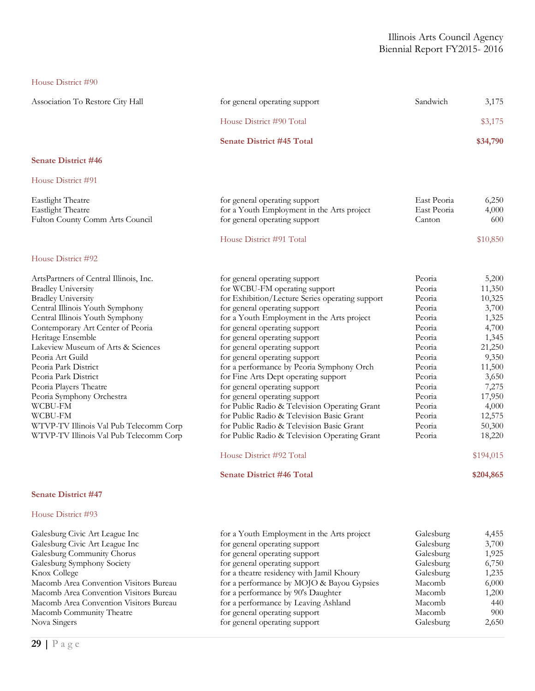## House District #90

| Association To Restore City Hall                                                                                                                                                                                                                                                                                                                                                                                                                                                                            | for general operating support                                                                                                                                                                                                                                                                                                                                                                                                                                                                                                                                                                                                                                                           | Sandwich                                                                                                                                                               | 3,175                                                                                                                                                         |
|-------------------------------------------------------------------------------------------------------------------------------------------------------------------------------------------------------------------------------------------------------------------------------------------------------------------------------------------------------------------------------------------------------------------------------------------------------------------------------------------------------------|-----------------------------------------------------------------------------------------------------------------------------------------------------------------------------------------------------------------------------------------------------------------------------------------------------------------------------------------------------------------------------------------------------------------------------------------------------------------------------------------------------------------------------------------------------------------------------------------------------------------------------------------------------------------------------------------|------------------------------------------------------------------------------------------------------------------------------------------------------------------------|---------------------------------------------------------------------------------------------------------------------------------------------------------------|
|                                                                                                                                                                                                                                                                                                                                                                                                                                                                                                             | House District #90 Total                                                                                                                                                                                                                                                                                                                                                                                                                                                                                                                                                                                                                                                                |                                                                                                                                                                        | \$3,175                                                                                                                                                       |
|                                                                                                                                                                                                                                                                                                                                                                                                                                                                                                             | <b>Senate District #45 Total</b>                                                                                                                                                                                                                                                                                                                                                                                                                                                                                                                                                                                                                                                        |                                                                                                                                                                        | \$34,790                                                                                                                                                      |
| <b>Senate District #46</b>                                                                                                                                                                                                                                                                                                                                                                                                                                                                                  |                                                                                                                                                                                                                                                                                                                                                                                                                                                                                                                                                                                                                                                                                         |                                                                                                                                                                        |                                                                                                                                                               |
| House District #91                                                                                                                                                                                                                                                                                                                                                                                                                                                                                          |                                                                                                                                                                                                                                                                                                                                                                                                                                                                                                                                                                                                                                                                                         |                                                                                                                                                                        |                                                                                                                                                               |
| Eastlight Theatre<br><b>Eastlight Theatre</b><br>Fulton County Comm Arts Council                                                                                                                                                                                                                                                                                                                                                                                                                            | for general operating support<br>for a Youth Employment in the Arts project<br>for general operating support                                                                                                                                                                                                                                                                                                                                                                                                                                                                                                                                                                            | East Peoria<br>East Peoria<br>Canton                                                                                                                                   | 6,250<br>4,000<br>600                                                                                                                                         |
|                                                                                                                                                                                                                                                                                                                                                                                                                                                                                                             | House District #91 Total                                                                                                                                                                                                                                                                                                                                                                                                                                                                                                                                                                                                                                                                |                                                                                                                                                                        | \$10,850                                                                                                                                                      |
| House District #92                                                                                                                                                                                                                                                                                                                                                                                                                                                                                          |                                                                                                                                                                                                                                                                                                                                                                                                                                                                                                                                                                                                                                                                                         |                                                                                                                                                                        |                                                                                                                                                               |
| ArtsPartners of Central Illinois, Inc.<br><b>Bradley University</b><br><b>Bradley University</b><br>Central Illinois Youth Symphony<br>Central Illinois Youth Symphony<br>Contemporary Art Center of Peoria<br>Heritage Ensemble<br>Lakeview Museum of Arts & Sciences<br>Peoria Art Guild<br>Peoria Park District<br>Peoria Park District<br>Peoria Players Theatre<br>Peoria Symphony Orchestra<br>WCBU-FM<br>WCBU-FM<br>WTVP-TV Illinois Val Pub Telecomm Corp<br>WTVP-TV Illinois Val Pub Telecomm Corp | for general operating support<br>for WCBU-FM operating support<br>for Exhibition/Lecture Series operating support<br>for general operating support<br>for a Youth Employment in the Arts project<br>for general operating support<br>for general operating support<br>for general operating support<br>for general operating support<br>for a performance by Peoria Symphony Orch<br>for Fine Arts Dept operating support<br>for general operating support<br>for general operating support<br>for Public Radio & Television Operating Grant<br>for Public Radio & Television Basic Grant<br>for Public Radio & Television Basic Grant<br>for Public Radio & Television Operating Grant | Peoria<br>Peoria<br>Peoria<br>Peoria<br>Peoria<br>Peoria<br>Peoria<br>Peoria<br>Peoria<br>Peoria<br>Peoria<br>Peoria<br>Peoria<br>Peoria<br>Peoria<br>Peoria<br>Peoria | 5,200<br>11,350<br>10,325<br>3,700<br>1,325<br>4,700<br>1,345<br>21,250<br>9,350<br>11,500<br>3,650<br>7,275<br>17,950<br>4,000<br>12,575<br>50,300<br>18,220 |
|                                                                                                                                                                                                                                                                                                                                                                                                                                                                                                             | House District #92 Total                                                                                                                                                                                                                                                                                                                                                                                                                                                                                                                                                                                                                                                                |                                                                                                                                                                        | \$194,015                                                                                                                                                     |
|                                                                                                                                                                                                                                                                                                                                                                                                                                                                                                             | <b>Senate District #46 Total</b>                                                                                                                                                                                                                                                                                                                                                                                                                                                                                                                                                                                                                                                        |                                                                                                                                                                        | \$204,865                                                                                                                                                     |
| <b>Senate District #47</b>                                                                                                                                                                                                                                                                                                                                                                                                                                                                                  |                                                                                                                                                                                                                                                                                                                                                                                                                                                                                                                                                                                                                                                                                         |                                                                                                                                                                        |                                                                                                                                                               |
| House District #93                                                                                                                                                                                                                                                                                                                                                                                                                                                                                          |                                                                                                                                                                                                                                                                                                                                                                                                                                                                                                                                                                                                                                                                                         |                                                                                                                                                                        |                                                                                                                                                               |
| Galesburg Civic Art League Inc<br>Galesburg Civic Art League Inc                                                                                                                                                                                                                                                                                                                                                                                                                                            | for a Youth Employment in the Arts project<br>for general operating support                                                                                                                                                                                                                                                                                                                                                                                                                                                                                                                                                                                                             | Galesburg<br>Galesburg                                                                                                                                                 | 4,455<br>3,700                                                                                                                                                |

for a performance by MOJO & Bayou Gypsies Macomb 6,000<br>for a performance by 90's Daughter Macomb 1,200

for general operating support Macomb 900

Galesburg Community Chorus for general operating support Galesburg 1,925 Galesburg Symphony Society for general operating support Galesburg 6,750<br>Knox College for a theatre residency with Jamil Khoury Galesburg 1,235 Knox College for a theatre residency with Jamil Khoury Galesburg 1,235<br>Macomb Area Convention Visitors Bureau for a performance by MOJO & Bayou Gypsies Macomb 6,000 Macomb Area Convention Visitors Bureau for a performance by 90's Daughter Macomb 1,200 Macomb 1,200 Macomb 1,200 Macomb 1,200 Macomb 1,200 Macomb 1,200 Macomb 1,200 Macomb 1,200 Macomb 1,200 Macomb 1,200 Macomb 1,200 Macom Macomb Area Convention Visitors Bureau for a performance by Leaving Ashland Macomb 1440<br>Macomb Community Theatre for general operating support Macomb 900 Nova Singers for general operating support Galesburg 2,650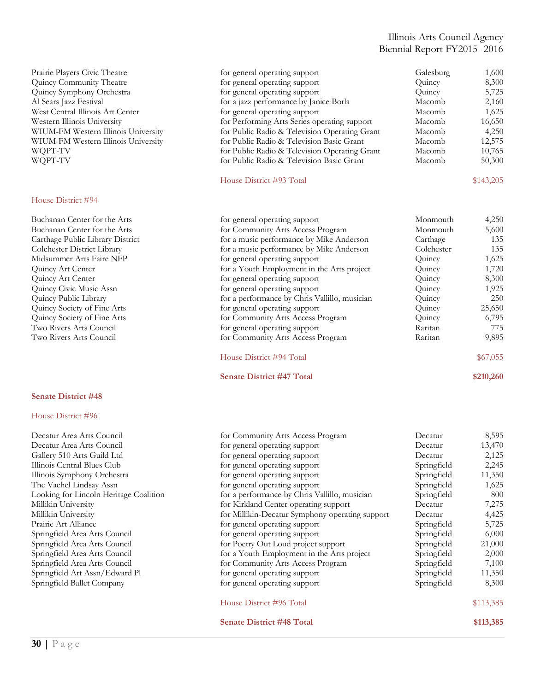#### House District #94

Buchanan Center for the Arts Buchanan Center for the Arts Carthage Public Library District Colchester District Library Midsummer Arts Faire NFP Quincy Art Center Quincy Art Center Quincy Civic Music Assn Quincy Society of Fine Arts for general operating support Quincy Quincy Quincy 25,600 Quincy 25,650 Quincy 25,650 Quincy 25,650 Quincy 25,650 Quincy 25,650 Quincy 25,650 Quincy 25,650 Quincy 25,650 Quincy 25,650 Quincy 25, Quincy Society of Fine Arts for Community Arts Access Program Quincy 6,795 Two Rivers Arts Council for general operating support Raritan 775 Two Rivers Arts Council for Community Arts Access Program Raritan 9,895

#### **Senate District #48**

#### House District #96

| Decatur Area Arts Council              |
|----------------------------------------|
| Decatur Area Arts Council              |
| Gallery 510 Arts Guild Ltd             |
| Illinois Central Blues Club            |
| Illinois Symphony Orchestra            |
| The Vachel Lindsay Assn                |
| Looking for Lincoln Heritage Coalition |
| Millikin University                    |
| Millikin University                    |
| Prairie Art Alliance                   |
| Springfield Area Arts Council          |
| Springfield Area Arts Council          |
| Springfield Area Arts Council          |
| Springfield Area Arts Council          |
| Springfield Art Assn/Edward Pl         |
| Springfield Ballet Company             |
|                                        |

**30 |** P a g e

| Prairie Players Civic Theatre       | for general operating support                 | Galesburg  | 1,600     |
|-------------------------------------|-----------------------------------------------|------------|-----------|
| Quincy Community Theatre            | for general operating support                 | Quincy     | 8,300     |
| Quincy Symphony Orchestra           | for general operating support                 | Quincy     | 5,725     |
| Al Sears Jazz Festival              | for a jazz performance by Janice Borla        | Macomb     | 2,160     |
| West Central Illinois Art Center    | for general operating support                 | Macomb     | 1,625     |
| Western Illinois University         | for Performing Arts Series operating support  | Macomb     | 16,650    |
| WIUM-FM Western Illinois University | for Public Radio & Television Operating Grant | Macomb     | 4,250     |
| WIUM-FM Western Illinois University | for Public Radio & Television Basic Grant     | Macomb     | 12,575    |
| WQPT-TV                             | for Public Radio & Television Operating Grant | Macomb     | 10,765    |
| WQPT-TV                             | for Public Radio & Television Basic Grant     | Macomb     | 50,300    |
|                                     | House District #93 Total                      |            | \$143,205 |
| House District #94                  |                                               |            |           |
| Buchanan Center for the Arts        | for general operating support                 | Monmouth   | 4,250     |
| Buchanan Center for the Arts        | for Community Arts Access Program             | Monmouth   | 5,600     |
| Carthage Public Library District    | for a music performance by Mike Anderson      | Carthage   | 135       |
| Colchester District Library         | for a music performance by Mike Anderson      | Colchester | 135       |
| Midsummer Arts Faire NFP            | for general operating support                 | Quincy     | 1,625     |
| Quincy Art Center                   | for a Youth Employment in the Arts project    | Quincy     | 1,720     |
| Quincy Art Center                   | for general operating support                 | Quincy     | 8,300     |
| Quincy Civic Music Assn             | for general operating support                 | Quincy     | 1,925     |
| Quincy Public Library               | for a performance by Chris Vallillo, musician | Quincy     | 250       |
| Quincy Society of Fine Arts         | for general operating support                 | Quincy     | 25,650    |

House District #94 Total \$67,055

**Senate District #47 Total \$210,260** 

| Decatur Area Arts Council              | for Community Arts Access Program               | Decatur     | 8,595     |
|----------------------------------------|-------------------------------------------------|-------------|-----------|
| Decatur Area Arts Council              | for general operating support                   | Decatur     | 13,470    |
| Gallery 510 Arts Guild Ltd             | for general operating support                   | Decatur     | 2,125     |
| Illinois Central Blues Club            | for general operating support                   | Springfield | 2,245     |
| Illinois Symphony Orchestra            | for general operating support                   | Springfield | 11,350    |
| The Vachel Lindsay Assn                | for general operating support                   | Springfield | 1,625     |
| Looking for Lincoln Heritage Coalition | for a performance by Chris Vallillo, musician   | Springfield | 800       |
| Millikin University                    | for Kirkland Center operating support           | Decatur     | 7,275     |
| Millikin University                    | for Millikin-Decatur Symphony operating support | Decatur     | 4,425     |
| Prairie Art Alliance                   | for general operating support                   | Springfield | 5,725     |
| Springfield Area Arts Council          | for general operating support                   | Springfield | 6,000     |
| Springfield Area Arts Council          | for Poetry Out Loud project support             | Springfield | 21,000    |
| Springfield Area Arts Council          | for a Youth Employment in the Arts project      | Springfield | 2,000     |
| Springfield Area Arts Council          | for Community Arts Access Program               | Springfield | 7,100     |
| Springfield Art Assn/Edward Pl         | for general operating support                   | Springfield | 11,350    |
| Springfield Ballet Company             | for general operating support                   | Springfield | 8,300     |
|                                        | House District #96 Total                        |             | \$113,385 |
|                                        | <b>Senate District #48 Total</b>                |             | \$113,385 |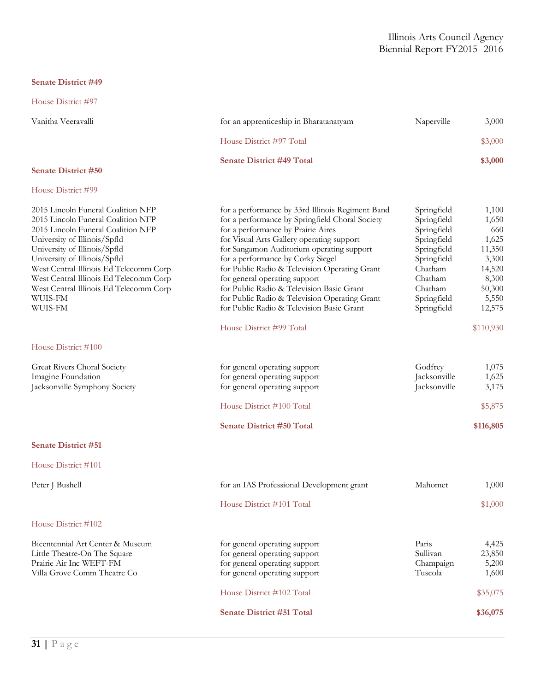#### **Senate District #49**

House District #97

Vanitha Veeravalli

#### **Senate District #50**

#### House District #99

| for an apprenticeship in Bharatanatyam | Naperville | 3,000   |
|----------------------------------------|------------|---------|
| House District #97 Total               |            | \$3,000 |
| <b>Senate District #49 Total</b>       |            | \$3,000 |

House District #101 Total \$1,000

| 2015 Lincoln Funeral Coalition NFP     | for a performance by 33rd Illinois Regiment Band | Springfield | 1,100     |
|----------------------------------------|--------------------------------------------------|-------------|-----------|
| 2015 Lincoln Funeral Coalition NFP     | for a performance by Springfield Choral Society  | Springfield | 1,650     |
| 2015 Lincoln Funeral Coalition NFP     | for a performance by Prairie Aires               | Springfield | 660       |
| University of Illinois/Spfld           | for Visual Arts Gallery operating support        | Springfield | 1,625     |
| University of Illinois/Spfld           | for Sangamon Auditorium operating support        | Springfield | 11,350    |
| University of Illinois/Spfld           | for a performance by Corky Siegel                | Springfield | 3,300     |
| West Central Illinois Ed Telecomm Corp | for Public Radio & Television Operating Grant    | Chatham     | 14,520    |
| West Central Illinois Ed Telecomm Corp | for general operating support                    | Chatham     | 8,300     |
| West Central Illinois Ed Telecomm Corp | for Public Radio & Television Basic Grant        | Chatham     | 50,300    |
| WUIS-FM                                | for Public Radio & Television Operating Grant    | Springfield | 5,550     |
| WUIS-FM                                | for Public Radio & Television Basic Grant        | Springfield | 12,575    |
|                                        | House District #99 Total                         |             | \$110,930 |

## House District #100

|                                                                                    | <b>Senate District #50 Total</b>                                                                | \$116,805                                                          |  |
|------------------------------------------------------------------------------------|-------------------------------------------------------------------------------------------------|--------------------------------------------------------------------|--|
|                                                                                    | House District #100 Total                                                                       | \$5,875                                                            |  |
| Great Rivers Choral Society<br>Imagine Foundation<br>Jacksonville Symphony Society | for general operating support<br>for general operating support<br>for general operating support | 1,075<br>Godfrey<br>1,625<br>Jacksonville<br>3,175<br>Jacksonville |  |

# **Senate District #51**

House District #101

Peter J Bushell for an IAS Professional Development grant Mahomet 1,000

| Bicentennial Art Center & Museum<br>Little Theatre-On The Square<br>Prairie Air Inc WEFT-FM<br>Villa Grove Comm Theatre Co | for general operating support<br>for general operating support<br>for general operating support<br>for general operating support | Paris<br>Sullivan<br>Champaign<br>Tuscola | 4,425<br>23,850<br>5,200<br>1,600 |
|----------------------------------------------------------------------------------------------------------------------------|----------------------------------------------------------------------------------------------------------------------------------|-------------------------------------------|-----------------------------------|
|                                                                                                                            | House District #102 Total                                                                                                        |                                           | \$35,075                          |
|                                                                                                                            | <b>Senate District #51 Total</b>                                                                                                 |                                           | \$36,075                          |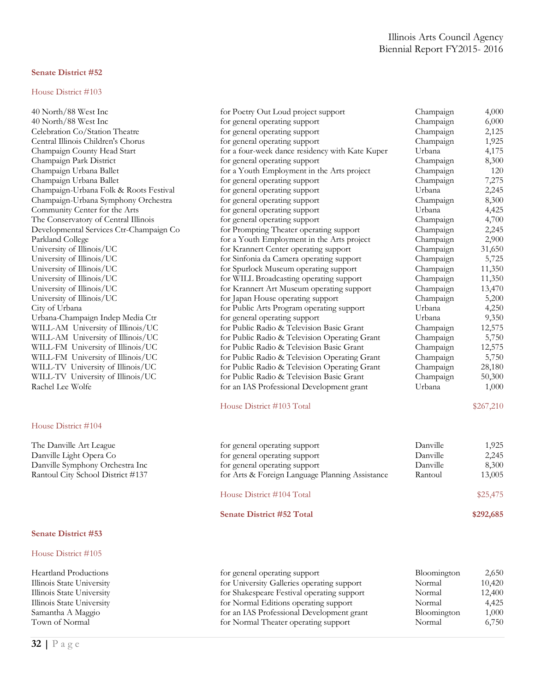#### **Senate District #52**

#### House District #103

#### House District #104

#### **Senate District #53**

#### House District #105

| 40 North/88 West Inc                    | for Poetry Out Loud project support             | Champaign | 4,000     |
|-----------------------------------------|-------------------------------------------------|-----------|-----------|
| 40 North/88 West Inc                    | for general operating support                   | Champaign | 6,000     |
| Celebration Co/Station Theatre          | for general operating support                   | Champaign | 2,125     |
| Central Illinois Children's Chorus      | for general operating support                   | Champaign | 1,925     |
| Champaign County Head Start             | for a four-week dance residency with Kate Kuper | Urbana    | 4,175     |
| Champaign Park District                 | for general operating support                   | Champaign | 8,300     |
| Champaign Urbana Ballet                 | for a Youth Employment in the Arts project      | Champaign | 120       |
| Champaign Urbana Ballet                 | for general operating support                   | Champaign | 7,275     |
| Champaign-Urbana Folk & Roots Festival  | for general operating support                   | Urbana    | 2,245     |
| Champaign-Urbana Symphony Orchestra     | for general operating support                   | Champaign | 8,300     |
| Community Center for the Arts           | for general operating support                   | Urbana    | 4,425     |
| The Conservatory of Central Illinois    | for general operating support                   | Champaign | 4,700     |
| Developmental Services Ctr-Champaign Co | for Prompting Theater operating support         | Champaign | 2,245     |
| Parkland College                        | for a Youth Employment in the Arts project      | Champaign | 2,900     |
| University of Illinois/UC               | for Krannert Center operating support           | Champaign | 31,650    |
| University of Illinois/UC               | for Sinfonia da Camera operating support        | Champaign | 5,725     |
| University of Illinois/UC               | for Spurlock Museum operating support           | Champaign | 11,350    |
| University of Illinois/UC               | for WILL Broadcasting operating support         | Champaign | 11,350    |
| University of Illinois/UC               | for Krannert Art Museum operating support       | Champaign | 13,470    |
| University of Illinois/UC               | for Japan House operating support               | Champaign | 5,200     |
| City of Urbana                          | for Public Arts Program operating support       | Urbana    | 4,250     |
| Urbana-Champaign Indep Media Ctr        | for general operating support                   | Urbana    | 9,350     |
| WILL-AM University of Illinois/UC       | for Public Radio & Television Basic Grant       | Champaign | 12,575    |
| WILL-AM University of Illinois/UC       | for Public Radio & Television Operating Grant   | Champaign | 5,750     |
| WILL-FM University of Illinois/UC       | for Public Radio & Television Basic Grant       | Champaign | 12,575    |
| WILL-FM University of Illinois/UC       | for Public Radio & Television Operating Grant   | Champaign | 5,750     |
| WILL-TV University of Illinois/UC       | for Public Radio & Television Operating Grant   | Champaign | 28,180    |
| WILL-TV University of Illinois/UC       | for Public Radio & Television Basic Grant       | Champaign | 50,300    |
| Rachel Lee Wolfe                        | for an IAS Professional Development grant       | Urbana    | 1,000     |
|                                         | House District #103 Total                       |           | \$267,210 |

| House District #103 Total |  |  |  |
|---------------------------|--|--|--|
|---------------------------|--|--|--|

| The Danville Art League           | for general operating support                   | Danville | 1.925     |
|-----------------------------------|-------------------------------------------------|----------|-----------|
| Danville Light Opera Co           | for general operating support                   | Danville | 2,245     |
| Danville Symphony Orchestra Inc   | for general operating support                   | Danville | 8,300     |
| Rantoul City School District #137 | for Arts & Foreign Language Planning Assistance | Rantoul  | 13,005    |
|                                   | House District #104 Total                       |          | \$25,475  |
|                                   | <b>Senate District #52 Total</b>                |          | \$292,685 |

| for general operating support              | 2,650                                                              |
|--------------------------------------------|--------------------------------------------------------------------|
| for University Galleries operating support | 10,420                                                             |
| for Shakespeare Festival operating support | 12,400                                                             |
| for Normal Editions operating support      | 4,425                                                              |
| for an IAS Professional Development grant  | 1,000                                                              |
| for Normal Theater operating support       | 6,750                                                              |
|                                            | Bloomington<br>Normal<br>Normal<br>Normal<br>Bloomington<br>Normal |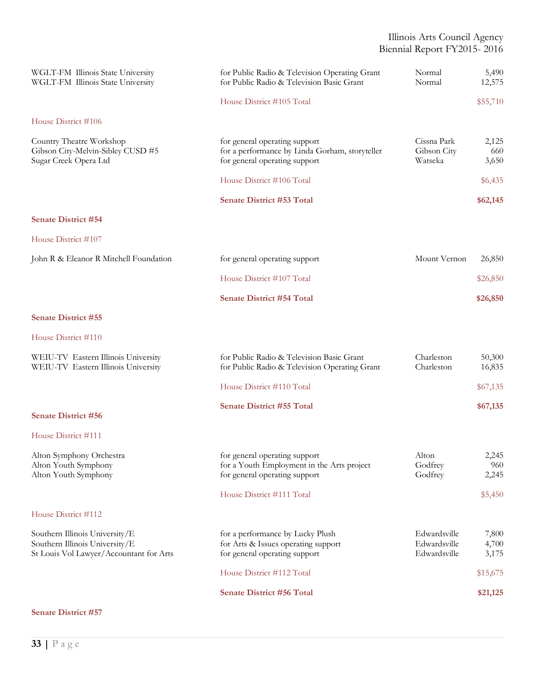| WGLT-FM Illinois State University<br>WGLT-FM Illinois State University                                      | for Public Radio & Television Operating Grant<br>for Public Radio & Television Basic Grant                       | Normal<br>Normal                             | 5,490<br>12,575         |
|-------------------------------------------------------------------------------------------------------------|------------------------------------------------------------------------------------------------------------------|----------------------------------------------|-------------------------|
|                                                                                                             | House District #105 Total                                                                                        |                                              | \$55,710                |
| House District #106                                                                                         |                                                                                                                  |                                              |                         |
| Country Theatre Workshop<br>Gibson City-Melvin-Sibley CUSD #5<br>Sugar Creek Opera Ltd                      | for general operating support<br>for a performance by Linda Gorham, storyteller<br>for general operating support | Cissna Park<br>Gibson City<br>Watseka        | 2,125<br>660<br>3,650   |
|                                                                                                             | House District #106 Total                                                                                        |                                              | \$6,435                 |
|                                                                                                             | <b>Senate District #53 Total</b>                                                                                 |                                              | \$62,145                |
| <b>Senate District #54</b>                                                                                  |                                                                                                                  |                                              |                         |
| House District #107                                                                                         |                                                                                                                  |                                              |                         |
| John R & Eleanor R Mitchell Foundation                                                                      | for general operating support                                                                                    | Mount Vernon                                 | 26,850                  |
|                                                                                                             | House District #107 Total                                                                                        |                                              | \$26,850                |
|                                                                                                             | <b>Senate District #54 Total</b>                                                                                 |                                              | \$26,850                |
| <b>Senate District #55</b>                                                                                  |                                                                                                                  |                                              |                         |
| House District #110                                                                                         |                                                                                                                  |                                              |                         |
| WEIU-TV Eastern Illinois University<br>WEIU-TV Eastern Illinois University                                  | for Public Radio & Television Basic Grant<br>for Public Radio & Television Operating Grant                       | Charleston<br>Charleston                     | 50,300<br>16,835        |
|                                                                                                             | House District #110 Total                                                                                        |                                              | \$67,135                |
| <b>Senate District #56</b>                                                                                  | <b>Senate District #55 Total</b>                                                                                 |                                              | \$67,135                |
| House District #111                                                                                         |                                                                                                                  |                                              |                         |
| Alton Symphony Orchestra<br>Alton Youth Symphony<br>Alton Youth Symphony                                    | for general operating support<br>for a Youth Employment in the Arts project<br>for general operating support     | Alton<br>Godfrey<br>Godfrey                  | 2,245<br>960<br>2,245   |
|                                                                                                             | House District #111 Total                                                                                        |                                              | \$5,450                 |
| House District #112                                                                                         |                                                                                                                  |                                              |                         |
| Southern Illinois University/E<br>Southern Illinois University/E<br>St Louis Vol Lawyer/Accountant for Arts | for a performance by Lucky Plush<br>for Arts & Issues operating support<br>for general operating support         | Edwardsville<br>Edwardsville<br>Edwardsville | 7,800<br>4,700<br>3,175 |
|                                                                                                             | House District #112 Total                                                                                        |                                              | \$15,675                |
|                                                                                                             | <b>Senate District #56 Total</b>                                                                                 |                                              | \$21,125                |

# **Senate District #57**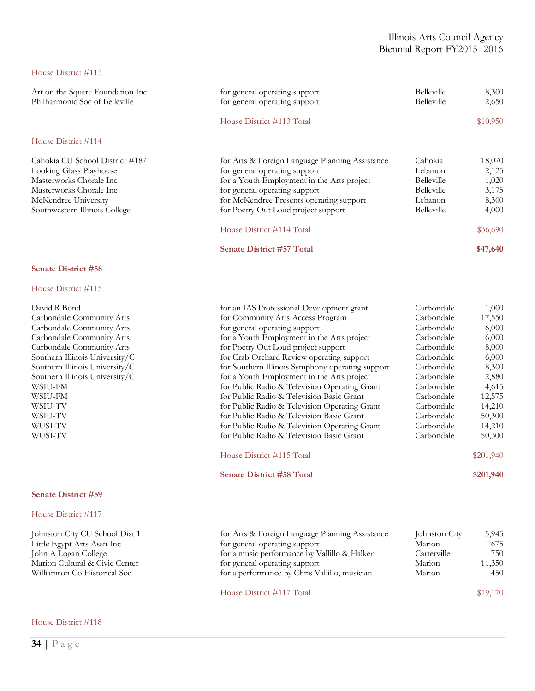#### House District #113

Art on the Square Foundation Inc for general operation support Belleville 8,300 for general operation support Belleville 8,300 for general operation support Belleville 8,300 for general operation support Belleville 8,300 f Philharmonic Soc of Belleville 2,6500 for general operations of Belleville 2,6500 for  $\epsilon$ 

#### House District #114

Cahokia CU School District #187 for Looking Glass Playhouse for general operations of  $f$ Masterworks Chorale Inc for a Youth Employment in the Arts project Belleville 1,020 minutes and  $\theta$ Masterworks Chorale Inc for general operations of  $f$ c McKendree University for McKendree Presents operation and the McKendree Presents operation 8,300 million 8,300 Southwestern Illinois College for Poetry Poetry Poetry Project support Belleville 4,000 minutes and Belleville 4,000 minutes and Project support Belleville 4,000 minutes and Project support Belleville 4,000 minutes and Pro

### **Senate District #58**

#### House District #115

| David R Bond                   |
|--------------------------------|
| Carbondale Community Arts      |
| Carbondale Community Arts      |
| Carbondale Community Arts      |
| Carbondale Community Arts      |
| Southern Illinois University/C |
| Southern Illinois University/C |
| Southern Illinois University/C |
| WSIU-FM                        |
| WSIU-FM                        |
| WSIU-TV                        |
| WSIU-TV                        |
| WUSI-TV                        |
| WHSL-TV                        |

#### **Senate District #59**

#### House District #117

Johnston City CU School Dist 1 Little Egypt Arts Assn Inc John A Logan College Marion Cultural & Civic Center Williamson Co Historical Soc

| for general operating support<br>for general operating support | Belleville<br><b>Belleville</b> | 8,300<br>2,650 |
|----------------------------------------------------------------|---------------------------------|----------------|
| House District #113 Total                                      |                                 | \$10,950       |
|                                                                |                                 |                |
| for Arts & Foreign Language Planning Assistance                | Cahokia                         | 18,070         |
| for general operating support                                  | Lebanon                         | 2,125          |
| for a Youth Employment in the Arts project                     | Belleville                      | 1,020          |
| for general operating support                                  | Belleville                      | 3,175          |
| for McKendree Presents operating support                       | Lebanon                         | 8,300          |
| for Poetry Out Loud project support                            | Belleville                      | 4,000          |
| House District #114 Total                                      |                                 | \$36,690       |
| <b>Senate District #57 Total</b>                               |                                 | \$47,640       |

| David R Bond                   | for an IAS Professional Development grant        | Carbondale | 1,000     |
|--------------------------------|--------------------------------------------------|------------|-----------|
| Carbondale Community Arts      | for Community Arts Access Program                | Carbondale | 17,550    |
| Carbondale Community Arts      | for general operating support                    | Carbondale | 6,000     |
| Carbondale Community Arts      | for a Youth Employment in the Arts project       | Carbondale | 6,000     |
| Carbondale Community Arts      | for Poetry Out Loud project support              | Carbondale | 8,000     |
| Southern Illinois University/C | for Crab Orchard Review operating support        | Carbondale | 6,000     |
| Southern Illinois University/C | for Southern Illinois Symphony operating support | Carbondale | 8,300     |
| Southern Illinois University/C | for a Youth Employment in the Arts project       | Carbondale | 2,880     |
| WSIU-FM                        | for Public Radio & Television Operating Grant    | Carbondale | 4,615     |
| WSIU-FM                        | for Public Radio & Television Basic Grant        | Carbondale | 12,575    |
| WSIU-TV                        | for Public Radio & Television Operating Grant    | Carbondale | 14,210    |
| WSIU-TV                        | for Public Radio & Television Basic Grant        | Carbondale | 50,300    |
| WUSI-TV                        | for Public Radio & Television Operating Grant    | Carbondale | 14,210    |
| WUSI-TV                        | for Public Radio & Television Basic Grant        | Carbondale | 50,300    |
|                                | House District #115 Total                        |            | \$201,940 |
|                                | <b>Senate District #58 Total</b>                 |            | \$201,940 |
|                                |                                                  |            |           |

| for Arts & Foreign Language Planning Assistance | Johnston City | 5,945    |
|-------------------------------------------------|---------------|----------|
| for general operating support                   | Marion        | 675      |
| for a music performance by Vallillo & Halker    | Carterville   | 750      |
| for general operating support                   | Marion        | 11,350   |
| for a performance by Chris Vallillo, musician   | Marion        | 450      |
| House District #117 Total                       |               | \$19,170 |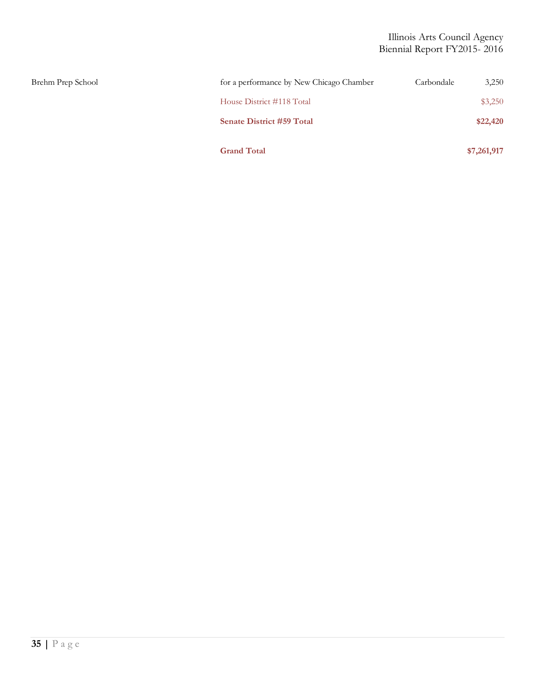| Brehm Prep School | for a performance by New Chicago Chamber | Carbondale | 3,250       |
|-------------------|------------------------------------------|------------|-------------|
|                   | House District #118 Total                |            | \$3,250     |
|                   | <b>Senate District #59 Total</b>         |            | \$22,420    |
|                   | <b>Grand Total</b>                       |            | \$7,261,917 |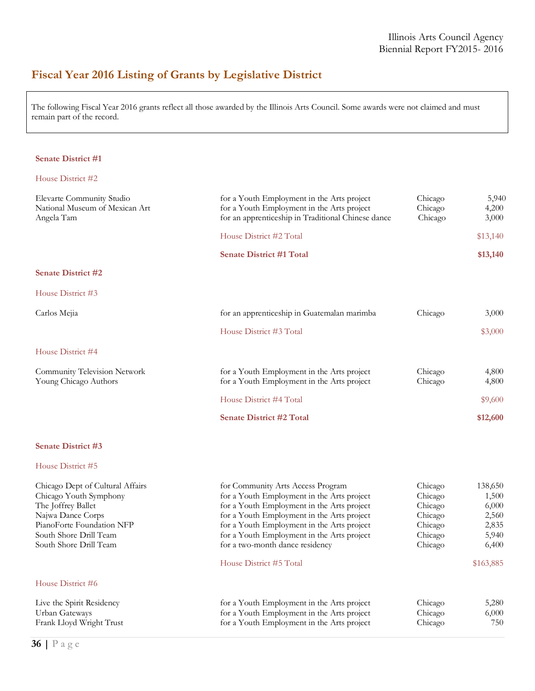# <span id="page-36-0"></span>**Fiscal Year 2016 Listing of Grants by Legislative District**

The following Fiscal Year 2016 grants reflect all those awarded by the Illinois Arts Council. Some awards were not claimed and must remain part of the record.

## **Senate District #1**

#### House District #2

| for a Youth Employment in the Arts project<br>for a Youth Employment in the Arts project<br>for an apprenticeship in Traditional Chinese dance | Chicago<br>Chicago<br>Chicago                                                                                                                                                                                           | 5,940<br>4,200<br>3,000                             |
|------------------------------------------------------------------------------------------------------------------------------------------------|-------------------------------------------------------------------------------------------------------------------------------------------------------------------------------------------------------------------------|-----------------------------------------------------|
| House District #2 Total                                                                                                                        |                                                                                                                                                                                                                         | \$13,140                                            |
| <b>Senate District #1 Total</b>                                                                                                                |                                                                                                                                                                                                                         | \$13,140                                            |
|                                                                                                                                                |                                                                                                                                                                                                                         |                                                     |
|                                                                                                                                                |                                                                                                                                                                                                                         |                                                     |
| for an apprenticeship in Guatemalan marimba                                                                                                    | Chicago                                                                                                                                                                                                                 | 3,000                                               |
| House District #3 Total                                                                                                                        |                                                                                                                                                                                                                         | \$3,000                                             |
|                                                                                                                                                |                                                                                                                                                                                                                         |                                                     |
| for a Youth Employment in the Arts project<br>for a Youth Employment in the Arts project                                                       | Chicago<br>Chicago                                                                                                                                                                                                      | 4,800<br>4,800                                      |
| House District #4 Total                                                                                                                        |                                                                                                                                                                                                                         | \$9,600                                             |
| <b>Senate District #2 Total</b>                                                                                                                |                                                                                                                                                                                                                         | \$12,600                                            |
|                                                                                                                                                |                                                                                                                                                                                                                         |                                                     |
|                                                                                                                                                |                                                                                                                                                                                                                         |                                                     |
| for Community Arts Access Program<br>for a Youth Employment in the Arts project                                                                | Chicago<br>Chicago                                                                                                                                                                                                      | 138,650<br>1,500                                    |
|                                                                                                                                                |                                                                                                                                                                                                                         | 6,000                                               |
|                                                                                                                                                |                                                                                                                                                                                                                         | 2,560                                               |
|                                                                                                                                                |                                                                                                                                                                                                                         | 2,835<br>5,940                                      |
|                                                                                                                                                |                                                                                                                                                                                                                         | 6,400                                               |
|                                                                                                                                                | for a Youth Employment in the Arts project<br>for a Youth Employment in the Arts project<br>for a Youth Employment in the Arts project<br>for a Youth Employment in the Arts project<br>for a two-month dance residency | Chicago<br>Chicago<br>Chicago<br>Chicago<br>Chicago |

#### House District #6

| Live the Spirit Residency | for a Youth Employment in the Arts project | Chicago | 5,280 |
|---------------------------|--------------------------------------------|---------|-------|
| Urban Gateways            | for a Youth Employment in the Arts project | Chicago | 6,000 |
| Frank Lloyd Wright Trust  | for a Youth Employment in the Arts project | Chicago | 750   |

House District #5 Total \$163,885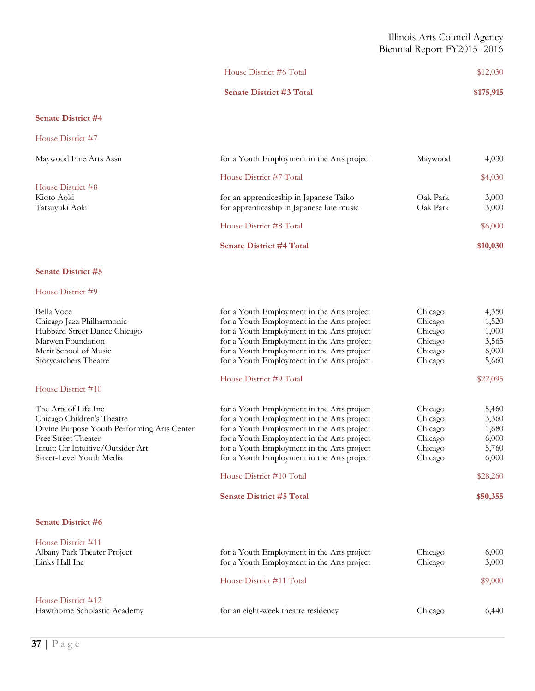## House District #6 Total \$12,030

# **Senate District #3 Total \$175,915**

#### **Senate District #4**

#### House District #7

| Maywood Fine Arts Assn | for a Youth Employment in the Arts project | Maywood  | 4,030    |
|------------------------|--------------------------------------------|----------|----------|
|                        | House District #7 Total                    |          | \$4,030  |
| House District #8      |                                            |          |          |
| Kioto Aoki             | for an apprenticeship in Japanese Taiko    | Oak Park | 3,000    |
| Tatsuyuki Aoki         | for apprenticeship in Japanese lute music  | Oak Park | 3,000    |
|                        | House District #8 Total                    |          | \$6,000  |
|                        | <b>Senate District #4 Total</b>            |          | \$10,030 |

#### **Senate District #5**

| Bella Voce                                  | for a Youth Employment in the Arts project | Chicago | 4,350    |
|---------------------------------------------|--------------------------------------------|---------|----------|
| Chicago Jazz Philharmonic                   | for a Youth Employment in the Arts project | Chicago | 1,520    |
| Hubbard Street Dance Chicago                | for a Youth Employment in the Arts project | Chicago | 1,000    |
| Marwen Foundation                           | for a Youth Employment in the Arts project | Chicago | 3,565    |
| Merit School of Music                       | for a Youth Employment in the Arts project | Chicago | 6,000    |
| Storycatchers Theatre                       | for a Youth Employment in the Arts project | Chicago | 5,660    |
|                                             | House District #9 Total                    |         | \$22,095 |
| House District #10                          |                                            |         |          |
| The Arts of Life Inc                        | for a Youth Employment in the Arts project | Chicago | 5,460    |
| Chicago Children's Theatre                  | for a Youth Employment in the Arts project | Chicago | 3,360    |
| Divine Purpose Youth Performing Arts Center | for a Youth Employment in the Arts project | Chicago | 1,680    |
| Free Street Theater                         | for a Youth Employment in the Arts project | Chicago | 6,000    |
| Intuit: Ctr Intuitive/Outsider Art          | for a Youth Employment in the Arts project | Chicago | 5,760    |
| Street-Level Youth Media                    | for a Youth Employment in the Arts project | Chicago | 6,000    |
|                                             | House District #10 Total                   |         | \$28,260 |
|                                             | <b>Senate District #5 Total</b>            |         | \$50,355 |
| <b>Senate District #6</b>                   |                                            |         |          |
| House District #11                          |                                            |         |          |
| Albany Park Theater Project                 | for a Youth Employment in the Arts project | Chicago | 6,000    |
| Links Hall Inc                              | for a Youth Employment in the Arts project | Chicago | 3,000    |
|                                             | House District #11 Total                   |         | \$9,000  |
| House District #12                          |                                            |         |          |
| Hawthorne Scholastic Academy                | for an eight-week theatre residency        | Chicago | 6,440    |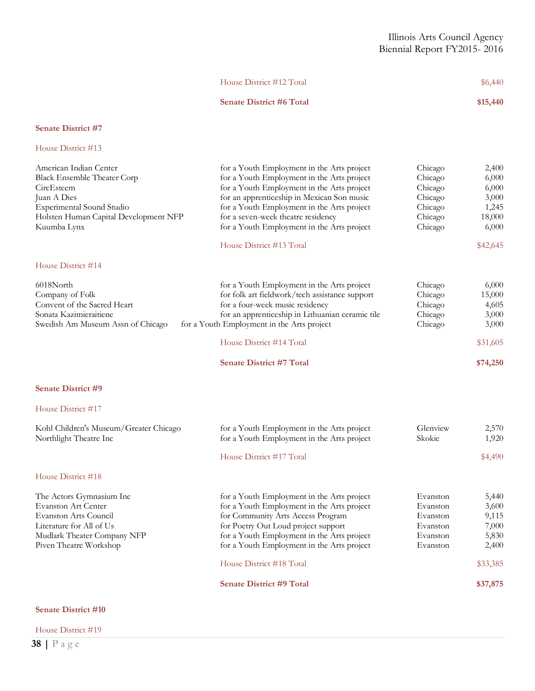| House District #12 Total        | \$6,440  |
|---------------------------------|----------|
| <b>Senate District #6 Total</b> | \$15,440 |

#### **Senate District #7**

### House District #13

| American Indian Center<br><b>Black Ensemble Theater Corp</b><br>CircEsteem<br>Juan A Dies<br>Experimental Sound Studio<br>Holsten Human Capital Development NFP<br>Kuumba Lynx | for a Youth Employment in the Arts project<br>for a Youth Employment in the Arts project<br>for a Youth Employment in the Arts project<br>for an apprenticeship in Mexican Son music<br>for a Youth Employment in the Arts project<br>for a seven-week theatre residency<br>for a Youth Employment in the Arts project<br>House District #13 Total | Chicago<br>Chicago<br>Chicago<br>Chicago<br>Chicago<br>Chicago<br>Chicago | 2,400<br>6,000<br>6,000<br>3,000<br>1,245<br>18,000<br>6,000<br>\$42,645 |
|--------------------------------------------------------------------------------------------------------------------------------------------------------------------------------|----------------------------------------------------------------------------------------------------------------------------------------------------------------------------------------------------------------------------------------------------------------------------------------------------------------------------------------------------|---------------------------------------------------------------------------|--------------------------------------------------------------------------|
| House District #14                                                                                                                                                             |                                                                                                                                                                                                                                                                                                                                                    |                                                                           |                                                                          |
| 6018North<br>Company of Folk<br>Convent of the Sacred Heart<br>Sonata Kazimieraitiene<br>Swedish Am Museum Assn of Chicago                                                     | for a Youth Employment in the Arts project<br>for folk art fieldwork/tech assistance support<br>for a four-week music residency<br>for an apprenticeship in Lithuanian ceramic tile<br>for a Youth Employment in the Arts project<br>House District #14 Total<br><b>Senate District #7 Total</b>                                                   | Chicago<br>Chicago<br>Chicago<br>Chicago<br>Chicago                       | 6,000<br>15,000<br>4,605<br>3,000<br>3,000<br>\$31,605<br>\$74,250       |
| <b>Senate District #9</b>                                                                                                                                                      |                                                                                                                                                                                                                                                                                                                                                    |                                                                           |                                                                          |
| House District #17                                                                                                                                                             |                                                                                                                                                                                                                                                                                                                                                    |                                                                           |                                                                          |
| Kohl Children's Museum/Greater Chicago<br>Northlight Theatre Inc                                                                                                               | for a Youth Employment in the Arts project<br>for a Youth Employment in the Arts project                                                                                                                                                                                                                                                           | Glenview<br>Skokie                                                        | 2,570<br>1,920                                                           |
|                                                                                                                                                                                | House District #17 Total                                                                                                                                                                                                                                                                                                                           |                                                                           | \$4,490                                                                  |
| House District #18                                                                                                                                                             |                                                                                                                                                                                                                                                                                                                                                    |                                                                           |                                                                          |
| The Actors Gymnasium Inc<br><b>Evanston Art Center</b><br>Evanston Arts Council<br>Literature for All of Us<br>Mudlark Theater Company NFP<br>Piven Theatre Workshop           | for a Youth Employment in the Arts project<br>for a Youth Employment in the Arts project<br>for Community Arts Access Program<br>for Poetry Out Loud project support<br>for a Youth Employment in the Arts project<br>for a Youth Employment in the Arts project<br>House District #18 Total                                                       | Evanston<br>Evanston<br>Evanston<br>Evanston<br>Evanston<br>Evanston      | 5,440<br>3,600<br>9,115<br>7,000<br>5,830<br>2,400                       |
|                                                                                                                                                                                | <b>Senate District #9 Total</b>                                                                                                                                                                                                                                                                                                                    |                                                                           | \$33,385<br>\$37,875                                                     |
|                                                                                                                                                                                |                                                                                                                                                                                                                                                                                                                                                    |                                                                           |                                                                          |

#### **Senate District #10**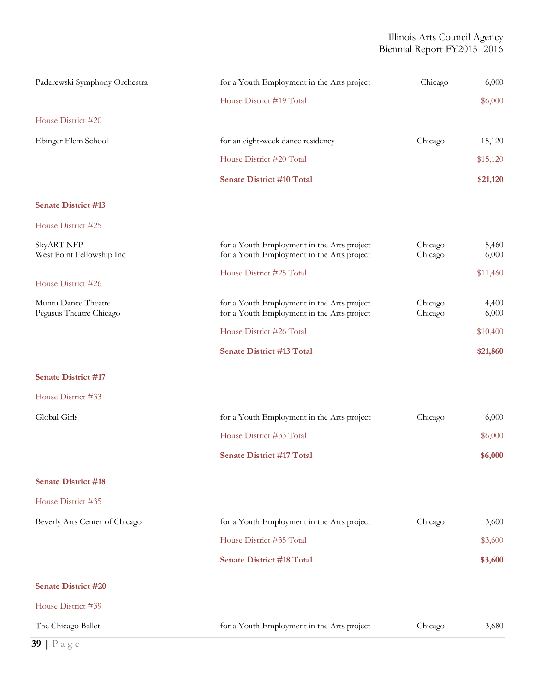| Paderewski Symphony Orchestra                  | for a Youth Employment in the Arts project                                               | Chicago            | 6,000          |
|------------------------------------------------|------------------------------------------------------------------------------------------|--------------------|----------------|
|                                                | House District #19 Total                                                                 |                    | \$6,000        |
| House District #20                             |                                                                                          |                    |                |
| Ebinger Elem School                            | for an eight-week dance residency                                                        | Chicago            | 15,120         |
|                                                | House District #20 Total                                                                 |                    | \$15,120       |
|                                                | <b>Senate District #10 Total</b>                                                         |                    | \$21,120       |
| <b>Senate District #13</b>                     |                                                                                          |                    |                |
| House District #25                             |                                                                                          |                    |                |
| <b>SkyART NFP</b><br>West Point Fellowship Inc | for a Youth Employment in the Arts project<br>for a Youth Employment in the Arts project | Chicago<br>Chicago | 5,460<br>6,000 |
| House District #26                             | House District #25 Total                                                                 |                    | \$11,460       |
| Muntu Dance Theatre<br>Pegasus Theatre Chicago | for a Youth Employment in the Arts project<br>for a Youth Employment in the Arts project | Chicago<br>Chicago | 4,400<br>6,000 |
|                                                | House District #26 Total                                                                 |                    | \$10,400       |
|                                                | <b>Senate District #13 Total</b>                                                         |                    | \$21,860       |
| <b>Senate District #17</b>                     |                                                                                          |                    |                |
| House District #33                             |                                                                                          |                    |                |
| Global Girls                                   | for a Youth Employment in the Arts project                                               | Chicago            | 6,000          |
|                                                | House District #33 Total                                                                 |                    | \$6,000        |
|                                                | <b>Senate District #17 Total</b>                                                         |                    | \$6,000        |
| <b>Senate District #18</b>                     |                                                                                          |                    |                |
| House District #35                             |                                                                                          |                    |                |
| Beverly Arts Center of Chicago                 | for a Youth Employment in the Arts project                                               | Chicago            | 3,600          |
|                                                | House District #35 Total                                                                 |                    | \$3,600        |
|                                                | <b>Senate District #18 Total</b>                                                         |                    | \$3,600        |
| <b>Senate District #20</b>                     |                                                                                          |                    |                |
| House District #39                             |                                                                                          |                    |                |
| The Chicago Ballet                             | for a Youth Employment in the Arts project                                               | Chicago            | 3,680          |
|                                                |                                                                                          |                    |                |

**39 |** P a g e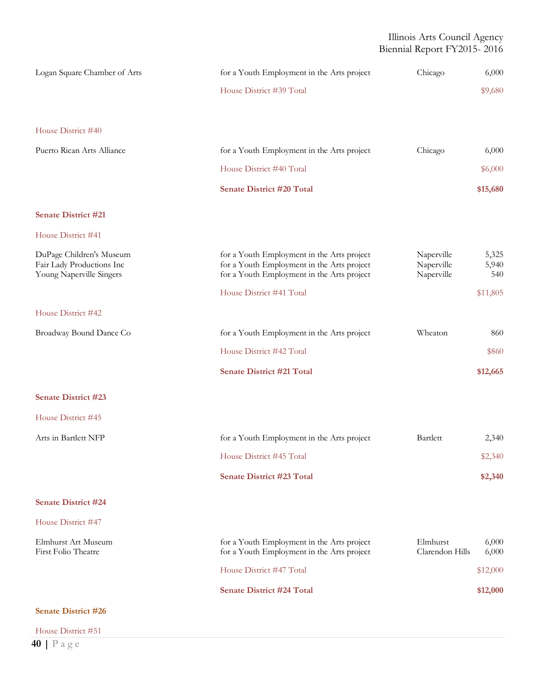| Logan Square Chamber of Arts                                                      | for a Youth Employment in the Arts project                                                                                             | Chicago                                | 6,000                 |
|-----------------------------------------------------------------------------------|----------------------------------------------------------------------------------------------------------------------------------------|----------------------------------------|-----------------------|
|                                                                                   | House District #39 Total                                                                                                               |                                        | \$9,680               |
|                                                                                   |                                                                                                                                        |                                        |                       |
| House District #40                                                                |                                                                                                                                        |                                        |                       |
| Puerto Rican Arts Alliance                                                        | for a Youth Employment in the Arts project                                                                                             | Chicago                                | 6,000                 |
|                                                                                   | House District #40 Total                                                                                                               |                                        | \$6,000               |
|                                                                                   | <b>Senate District #20 Total</b>                                                                                                       |                                        | \$15,680              |
| <b>Senate District #21</b>                                                        |                                                                                                                                        |                                        |                       |
| House District #41                                                                |                                                                                                                                        |                                        |                       |
| DuPage Children's Museum<br>Fair Lady Productions Inc<br>Young Naperville Singers | for a Youth Employment in the Arts project<br>for a Youth Employment in the Arts project<br>for a Youth Employment in the Arts project | Naperville<br>Naperville<br>Naperville | 5,325<br>5,940<br>540 |
|                                                                                   | House District #41 Total                                                                                                               |                                        | \$11,805              |
| House District #42                                                                |                                                                                                                                        |                                        |                       |
| Broadway Bound Dance Co                                                           | for a Youth Employment in the Arts project                                                                                             | Wheaton                                | 860                   |
|                                                                                   | House District #42 Total                                                                                                               |                                        | \$860                 |
|                                                                                   | <b>Senate District #21 Total</b>                                                                                                       |                                        | \$12,665              |
| <b>Senate District #23</b>                                                        |                                                                                                                                        |                                        |                       |
| House District #45                                                                |                                                                                                                                        |                                        |                       |
| Arts in Bartlett NFP                                                              | for a Youth Employment in the Arts project                                                                                             | Bartlett                               | 2,340                 |
|                                                                                   | House District #45 Total                                                                                                               |                                        | \$2,340               |
|                                                                                   | <b>Senate District #23 Total</b>                                                                                                       |                                        | \$2,340               |
| <b>Senate District #24</b>                                                        |                                                                                                                                        |                                        |                       |
| House District #47                                                                |                                                                                                                                        |                                        |                       |
| Elmhurst Art Museum<br>First Folio Theatre                                        | for a Youth Employment in the Arts project<br>for a Youth Employment in the Arts project                                               | Elmhurst<br>Clarendon Hills            | 6,000<br>6,000        |
|                                                                                   | House District #47 Total                                                                                                               |                                        | \$12,000              |
|                                                                                   | <b>Senate District #24 Total</b>                                                                                                       |                                        | \$12,000              |
| <b>Senate District #26</b>                                                        |                                                                                                                                        |                                        |                       |
| House District #51                                                                |                                                                                                                                        |                                        |                       |

**40 |** P a g e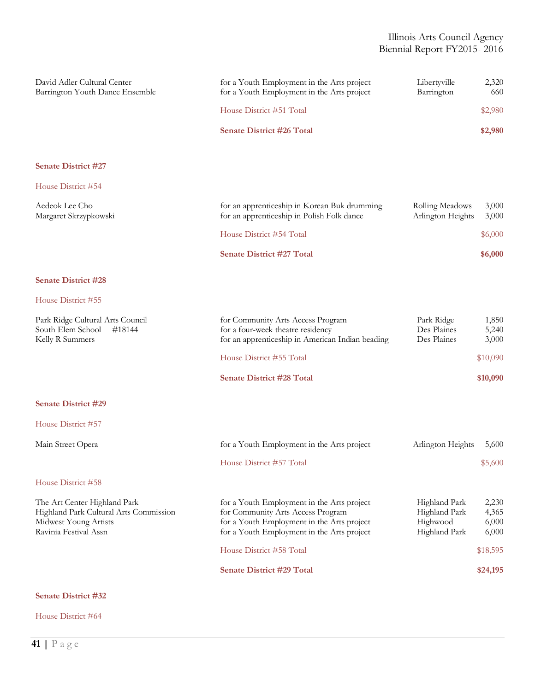| David Adler Cultural Center<br>Barrington Youth Dance Ensemble                                                           | for a Youth Employment in the Arts project<br>for a Youth Employment in the Arts project                                                                                    | Libertyville<br>Barrington                                  | 2,320<br>660                     |
|--------------------------------------------------------------------------------------------------------------------------|-----------------------------------------------------------------------------------------------------------------------------------------------------------------------------|-------------------------------------------------------------|----------------------------------|
|                                                                                                                          | House District #51 Total                                                                                                                                                    |                                                             | \$2,980                          |
|                                                                                                                          | <b>Senate District #26 Total</b>                                                                                                                                            |                                                             | \$2,980                          |
| <b>Senate District #27</b>                                                                                               |                                                                                                                                                                             |                                                             |                                  |
| House District #54                                                                                                       |                                                                                                                                                                             |                                                             |                                  |
| Aedeok Lee Cho<br>Margaret Skrzypkowski                                                                                  | for an apprenticeship in Korean Buk drumming<br>for an apprenticeship in Polish Folk dance                                                                                  | Rolling Meadows<br>Arlington Heights                        | 3,000<br>3,000                   |
|                                                                                                                          | House District #54 Total                                                                                                                                                    |                                                             | \$6,000                          |
|                                                                                                                          | Senate District #27 Total                                                                                                                                                   |                                                             | \$6,000                          |
| <b>Senate District #28</b>                                                                                               |                                                                                                                                                                             |                                                             |                                  |
| House District #55                                                                                                       |                                                                                                                                                                             |                                                             |                                  |
| Park Ridge Cultural Arts Council<br>South Elem School<br>#18144<br>Kelly R Summers                                       | for Community Arts Access Program<br>for a four-week theatre residency<br>for an apprenticeship in American Indian beading                                                  | Park Ridge<br>Des Plaines<br>Des Plaines                    | 1,850<br>5,240<br>3,000          |
|                                                                                                                          | House District #55 Total                                                                                                                                                    |                                                             | \$10,090                         |
|                                                                                                                          | <b>Senate District #28 Total</b>                                                                                                                                            |                                                             | \$10,090                         |
| <b>Senate District #29</b>                                                                                               |                                                                                                                                                                             |                                                             |                                  |
| House District #57                                                                                                       |                                                                                                                                                                             |                                                             |                                  |
| Main Street Opera                                                                                                        | for a Youth Employment in the Arts project                                                                                                                                  | Arlington Heights                                           | 5,600                            |
|                                                                                                                          | House District #57 Total                                                                                                                                                    |                                                             | \$5,600                          |
| House District #58                                                                                                       |                                                                                                                                                                             |                                                             |                                  |
| The Art Center Highland Park<br>Highland Park Cultural Arts Commission<br>Midwest Young Artists<br>Ravinia Festival Assn | for a Youth Employment in the Arts project<br>for Community Arts Access Program<br>for a Youth Employment in the Arts project<br>for a Youth Employment in the Arts project | Highland Park<br>Highland Park<br>Highwood<br>Highland Park | 2,230<br>4,365<br>6,000<br>6,000 |
|                                                                                                                          | House District #58 Total                                                                                                                                                    |                                                             | \$18,595                         |
|                                                                                                                          | <b>Senate District #29 Total</b>                                                                                                                                            |                                                             | \$24,195                         |
|                                                                                                                          |                                                                                                                                                                             |                                                             |                                  |

# **Senate District #32**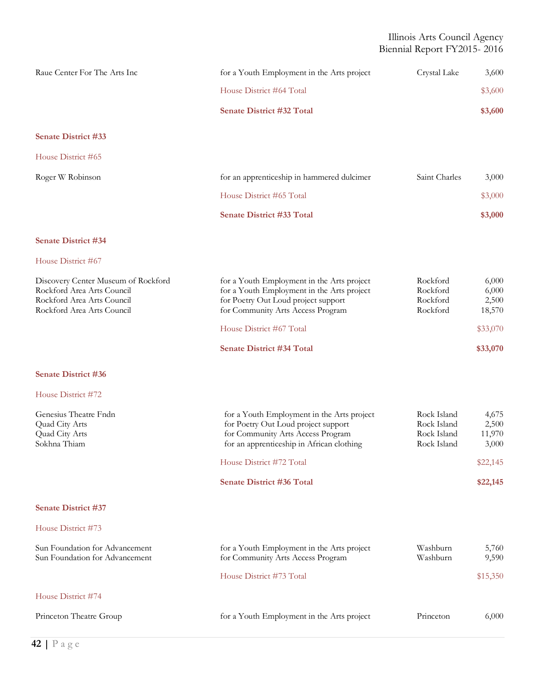|                                                                                                                               |                                                                                                                                                                      | Biennial Report FY2015-2016                                                                   |
|-------------------------------------------------------------------------------------------------------------------------------|----------------------------------------------------------------------------------------------------------------------------------------------------------------------|-----------------------------------------------------------------------------------------------|
| Raue Center For The Arts Inc                                                                                                  | for a Youth Employment in the Arts project                                                                                                                           | Crystal Lake<br>3,600                                                                         |
|                                                                                                                               | House District #64 Total                                                                                                                                             | \$3,600                                                                                       |
|                                                                                                                               | <b>Senate District #32 Total</b>                                                                                                                                     | \$3,600                                                                                       |
| <b>Senate District #33</b>                                                                                                    |                                                                                                                                                                      |                                                                                               |
| House District #65                                                                                                            |                                                                                                                                                                      |                                                                                               |
| Roger W Robinson                                                                                                              | for an apprenticeship in hammered dulcimer                                                                                                                           | Saint Charles<br>3,000                                                                        |
|                                                                                                                               | House District #65 Total                                                                                                                                             | \$3,000                                                                                       |
|                                                                                                                               | <b>Senate District #33 Total</b>                                                                                                                                     | \$3,000                                                                                       |
| <b>Senate District #34</b>                                                                                                    |                                                                                                                                                                      |                                                                                               |
| House District #67                                                                                                            |                                                                                                                                                                      |                                                                                               |
| Discovery Center Museum of Rockford<br>Rockford Area Arts Council<br>Rockford Area Arts Council<br>Rockford Area Arts Council | for a Youth Employment in the Arts project<br>for a Youth Employment in the Arts project<br>for Poetry Out Loud project support<br>for Community Arts Access Program | Rockford<br>6,000<br>Rockford<br>6,000<br>Rockford<br>2,500<br>Rockford<br>18,570             |
|                                                                                                                               | House District #67 Total                                                                                                                                             | \$33,070                                                                                      |
|                                                                                                                               | <b>Senate District #34 Total</b>                                                                                                                                     | \$33,070                                                                                      |
| <b>Senate District #36</b>                                                                                                    |                                                                                                                                                                      |                                                                                               |
| House District #72                                                                                                            |                                                                                                                                                                      |                                                                                               |
| Genesius Theatre Fndn<br>Quad City Arts<br>Quad City Arts<br>Sokhna Thiam                                                     | for a Youth Employment in the Arts project<br>for Poetry Out Loud project support<br>for Community Arts Access Program<br>for an apprenticeship in African clothing  | Rock Island<br>4,675<br>Rock Island<br>2,500<br>Rock Island<br>11,970<br>Rock Island<br>3,000 |
|                                                                                                                               | House District #72 Total                                                                                                                                             | \$22,145                                                                                      |
|                                                                                                                               | <b>Senate District #36 Total</b>                                                                                                                                     | \$22,145                                                                                      |
| <b>Senate District #37</b>                                                                                                    |                                                                                                                                                                      |                                                                                               |

| Sun Foundation for Advancement<br>Sun Foundation for Advancement | for a Youth Employment in the Arts project<br>for Community Arts Access Program | Washburn<br>Washburn | 5,760<br>9,590 |
|------------------------------------------------------------------|---------------------------------------------------------------------------------|----------------------|----------------|
|                                                                  | House District #73 Total                                                        |                      | \$15,350       |
| House District #74                                               |                                                                                 |                      |                |
| Princeton Theatre Group                                          | for a Youth Employment in the Arts project                                      | Princeton            | 6,000          |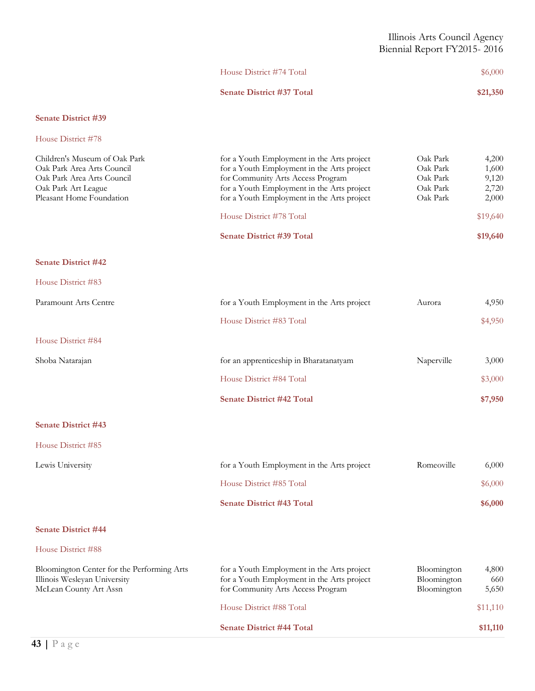| House District #74 Total         | \$6,000  |
|----------------------------------|----------|
| <b>Senate District #37 Total</b> | \$21,350 |

### **Senate District #39**

#### House District #78

| Children's Museum of Oak Park<br>Oak Park Area Arts Council | for a Youth Employment in the Arts project<br>for a Youth Employment in the Arts project | Oak Park<br>Oak Park | 4,200<br>1,600 |
|-------------------------------------------------------------|------------------------------------------------------------------------------------------|----------------------|----------------|
| Oak Park Area Arts Council                                  | for Community Arts Access Program                                                        | Oak Park             | 9,120          |
| Oak Park Art League                                         | for a Youth Employment in the Arts project                                               | Oak Park             | 2,720          |
| Pleasant Home Foundation                                    | for a Youth Employment in the Arts project                                               | Oak Park             | 2,000          |
|                                                             | House District #78 Total                                                                 |                      | \$19,640       |
|                                                             | <b>Senate District #39 Total</b>                                                         |                      | \$19,640       |
| <b>Senate District #42</b>                                  |                                                                                          |                      |                |
| House District #83                                          |                                                                                          |                      |                |
| Paramount Arts Centre                                       | for a Youth Employment in the Arts project                                               | Aurora               | 4,950          |
|                                                             | House District #83 Total                                                                 |                      | \$4,950        |
| House District #84                                          |                                                                                          |                      |                |
| Shoba Natarajan                                             | for an apprenticeship in Bharatanatyam                                                   | Naperville           | 3,000          |
|                                                             | House District #84 Total                                                                 |                      | \$3,000        |
|                                                             | <b>Senate District #42 Total</b>                                                         |                      | \$7,950        |
| <b>Senate District #43</b>                                  |                                                                                          |                      |                |
| House District #85                                          |                                                                                          |                      |                |
| Lewis University                                            | for a Youth Employment in the Arts project                                               | Romeoville           | 6,000          |
|                                                             | House District #85 Total                                                                 |                      | \$6,000        |
|                                                             | <b>Senate District #43 Total</b>                                                         |                      | \$6,000        |

# **Senate District #44**

| Bloomington Center for the Performing Arts<br>Illinois Wesleyan University<br>McLean County Art Assn | for a Youth Employment in the Arts project<br>for a Youth Employment in the Arts project<br>for Community Arts Access Program | Bloomington<br>Bloomington<br>Bloomington | 4,800<br>660<br>5,650 |
|------------------------------------------------------------------------------------------------------|-------------------------------------------------------------------------------------------------------------------------------|-------------------------------------------|-----------------------|
|                                                                                                      | House District #88 Total                                                                                                      |                                           | \$11,110              |
|                                                                                                      | <b>Senate District #44 Total</b>                                                                                              |                                           | \$11,110              |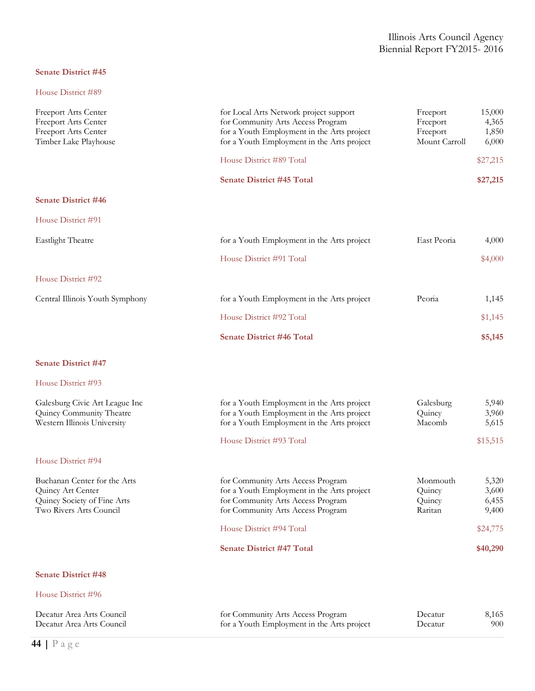### **Senate District #45**

### House District #89

| Freeport Arts Center<br><b>Freeport Arts Center</b><br><b>Freeport Arts Center</b><br>Timber Lake Playhouse | for Local Arts Network project support<br>for Community Arts Access Program<br>for a Youth Employment in the Arts project<br>for a Youth Employment in the Arts project | Freeport<br>Freeport<br>Freeport<br>Mount Carroll | 15,000<br>4,365<br>1,850<br>6,000 |
|-------------------------------------------------------------------------------------------------------------|-------------------------------------------------------------------------------------------------------------------------------------------------------------------------|---------------------------------------------------|-----------------------------------|
|                                                                                                             | House District #89 Total                                                                                                                                                |                                                   | \$27,215                          |
|                                                                                                             | <b>Senate District #45 Total</b>                                                                                                                                        |                                                   | \$27,215                          |
| <b>Senate District #46</b>                                                                                  |                                                                                                                                                                         |                                                   |                                   |
| House District #91                                                                                          |                                                                                                                                                                         |                                                   |                                   |
| <b>Eastlight Theatre</b>                                                                                    | for a Youth Employment in the Arts project                                                                                                                              | East Peoria                                       | 4,000                             |
|                                                                                                             | House District #91 Total                                                                                                                                                |                                                   | \$4,000                           |
| House District #92                                                                                          |                                                                                                                                                                         |                                                   |                                   |
| Central Illinois Youth Symphony                                                                             | for a Youth Employment in the Arts project                                                                                                                              | Peoria                                            | 1,145                             |
|                                                                                                             | House District #92 Total                                                                                                                                                |                                                   | \$1,145                           |
|                                                                                                             | <b>Senate District #46 Total</b>                                                                                                                                        |                                                   | \$5,145                           |
| <b>Senate District #47</b>                                                                                  |                                                                                                                                                                         |                                                   |                                   |
| House District #93                                                                                          |                                                                                                                                                                         |                                                   |                                   |
| Galesburg Civic Art League Inc<br>Quincy Community Theatre<br>Western Illinois University                   | for a Youth Employment in the Arts project<br>for a Youth Employment in the Arts project<br>for a Youth Employment in the Arts project                                  | Galesburg<br>Quincy<br>Macomb                     | 5,940<br>3,960<br>5,615           |
|                                                                                                             | House District #93 Total                                                                                                                                                |                                                   | \$15,515                          |
| House District #94                                                                                          |                                                                                                                                                                         |                                                   |                                   |
| Buchanan Center for the Arts<br>Quincy Art Center<br>Quincy Society of Fine Arts<br>Two Rivers Arts Council | for Community Arts Access Program<br>for a Youth Employment in the Arts project<br>for Community Arts Access Program<br>for Community Arts Access Program               | Monmouth<br>Quincy<br>Quincy<br>Raritan           | 5,320<br>3,600<br>6,455<br>9,400  |
|                                                                                                             | House District #94 Total                                                                                                                                                |                                                   | \$24,775                          |
|                                                                                                             | <b>Senate District #47 Total</b>                                                                                                                                        |                                                   | \$40,290                          |

### **Senate District #48**

| Decatur Area Arts Council | for Community Arts Access Program          | Decatur | 8,165 |
|---------------------------|--------------------------------------------|---------|-------|
| Decatur Area Arts Council | for a Youth Employment in the Arts project | Decatur | 900   |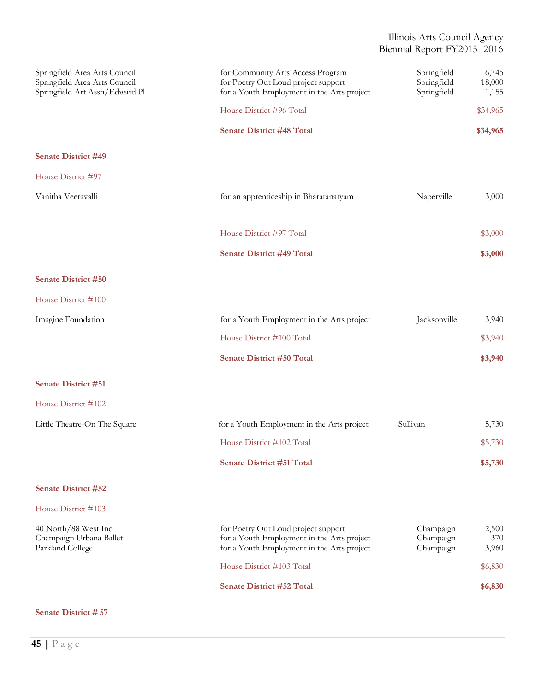| Springfield Area Arts Council<br>Springfield Area Arts Council<br>Springfield Art Assn/Edward Pl | for Community Arts Access Program<br>for Poetry Out Loud project support<br>for a Youth Employment in the Arts project          | Springfield<br>Springfield<br>Springfield | 6,745<br>18,000<br>1,155 |
|--------------------------------------------------------------------------------------------------|---------------------------------------------------------------------------------------------------------------------------------|-------------------------------------------|--------------------------|
|                                                                                                  | House District #96 Total                                                                                                        |                                           | \$34,965                 |
|                                                                                                  | <b>Senate District #48 Total</b>                                                                                                |                                           | \$34,965                 |
| <b>Senate District #49</b>                                                                       |                                                                                                                                 |                                           |                          |
| House District #97                                                                               |                                                                                                                                 |                                           |                          |
| Vanitha Veeravalli                                                                               | for an apprenticeship in Bharatanatyam                                                                                          | Naperville                                | 3,000                    |
|                                                                                                  | House District #97 Total                                                                                                        |                                           | \$3,000                  |
|                                                                                                  | <b>Senate District #49 Total</b>                                                                                                |                                           | \$3,000                  |
| <b>Senate District #50</b>                                                                       |                                                                                                                                 |                                           |                          |
| House District #100                                                                              |                                                                                                                                 |                                           |                          |
| Imagine Foundation                                                                               | for a Youth Employment in the Arts project                                                                                      | Jacksonville                              | 3,940                    |
|                                                                                                  | House District #100 Total                                                                                                       |                                           | \$3,940                  |
|                                                                                                  | <b>Senate District #50 Total</b>                                                                                                |                                           | \$3,940                  |
| <b>Senate District #51</b>                                                                       |                                                                                                                                 |                                           |                          |
| House District #102                                                                              |                                                                                                                                 |                                           |                          |
| Little Theatre-On The Square                                                                     | for a Youth Employment in the Arts project                                                                                      | Sullivan                                  | 5,730                    |
|                                                                                                  | House District #102 Total                                                                                                       |                                           | \$5,730                  |
|                                                                                                  | <b>Senate District #51 Total</b>                                                                                                |                                           | \$5,730                  |
| <b>Senate District #52</b>                                                                       |                                                                                                                                 |                                           |                          |
| House District #103                                                                              |                                                                                                                                 |                                           |                          |
| 40 North/88 West Inc<br>Champaign Urbana Ballet<br>Parkland College                              | for Poetry Out Loud project support<br>for a Youth Employment in the Arts project<br>for a Youth Employment in the Arts project | Champaign<br>Champaign<br>Champaign       | 2,500<br>370<br>3,960    |
|                                                                                                  | House District #103 Total                                                                                                       |                                           | \$6,830                  |
|                                                                                                  | <b>Senate District #52 Total</b>                                                                                                |                                           | \$6,830                  |

# **Senate District # 57**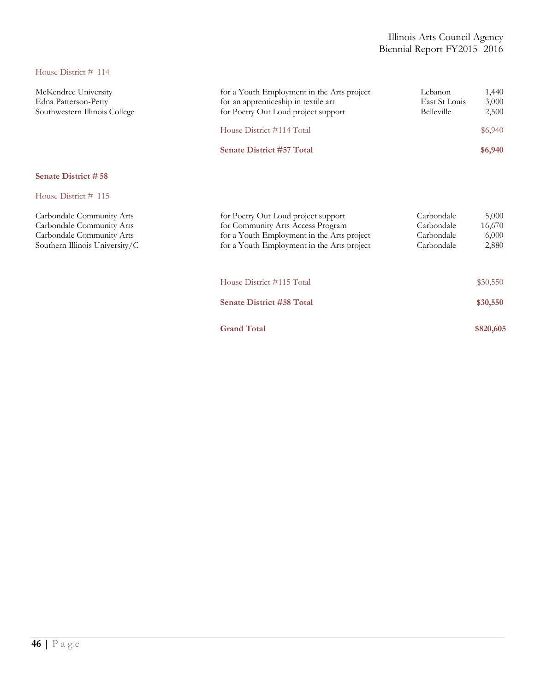# McKendree University for a Youth Employment in the Arts project Lebanon 1,440 Edna Patterson-Petty for an apprenticeship in textile art East St Louis 3,000 Southwestern Illinois College for Poetry Out Loud project support Belleville 2,500 House District #114 Total \$6,940 **Senate District #57 Total \$6,940 Senate District # 58** House District # 115 Carbondale Community Arts for Poetry Out Loud project support Carbondale 5,000 Carbondale Community Arts for Community Arts Access Program Carbondale 16,670<br>Carbondale Community Arts for a Youth Employment in the Arts project Carbondale 6,000 Carbondale Community Arts for a Youth Employment in the Arts project Carbondale<br>
Southern Illinois University/C for a Youth Employment in the Arts project Carbondale for a Youth Employment in the Arts project Carbondale 2,880 House District #115 Total \$30,550 **Senate District #58 Total \$30,550 Grand Total \$820,605**